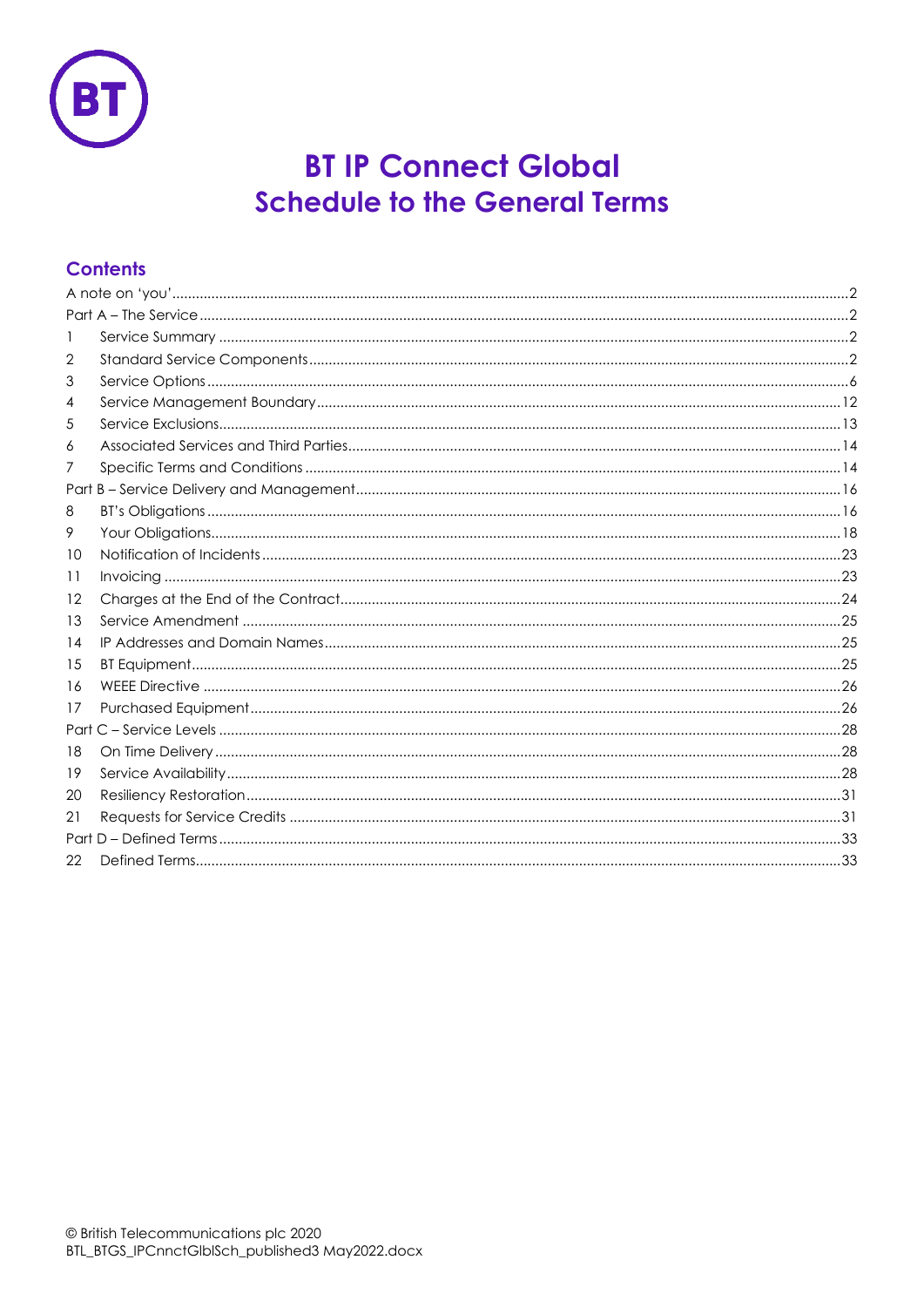

# **BT IP Connect Global Schedule to the General Terms**

# **Contents**

| 1  |  |
|----|--|
| 2  |  |
| 3  |  |
| 4  |  |
| 5  |  |
| 6  |  |
| 7  |  |
|    |  |
| 8  |  |
| 9  |  |
| 10 |  |
| 11 |  |
| 12 |  |
| 13 |  |
| 14 |  |
| 15 |  |
| 16 |  |
| 17 |  |
|    |  |
| 18 |  |
| 19 |  |
| 20 |  |
| 21 |  |
|    |  |
| 22 |  |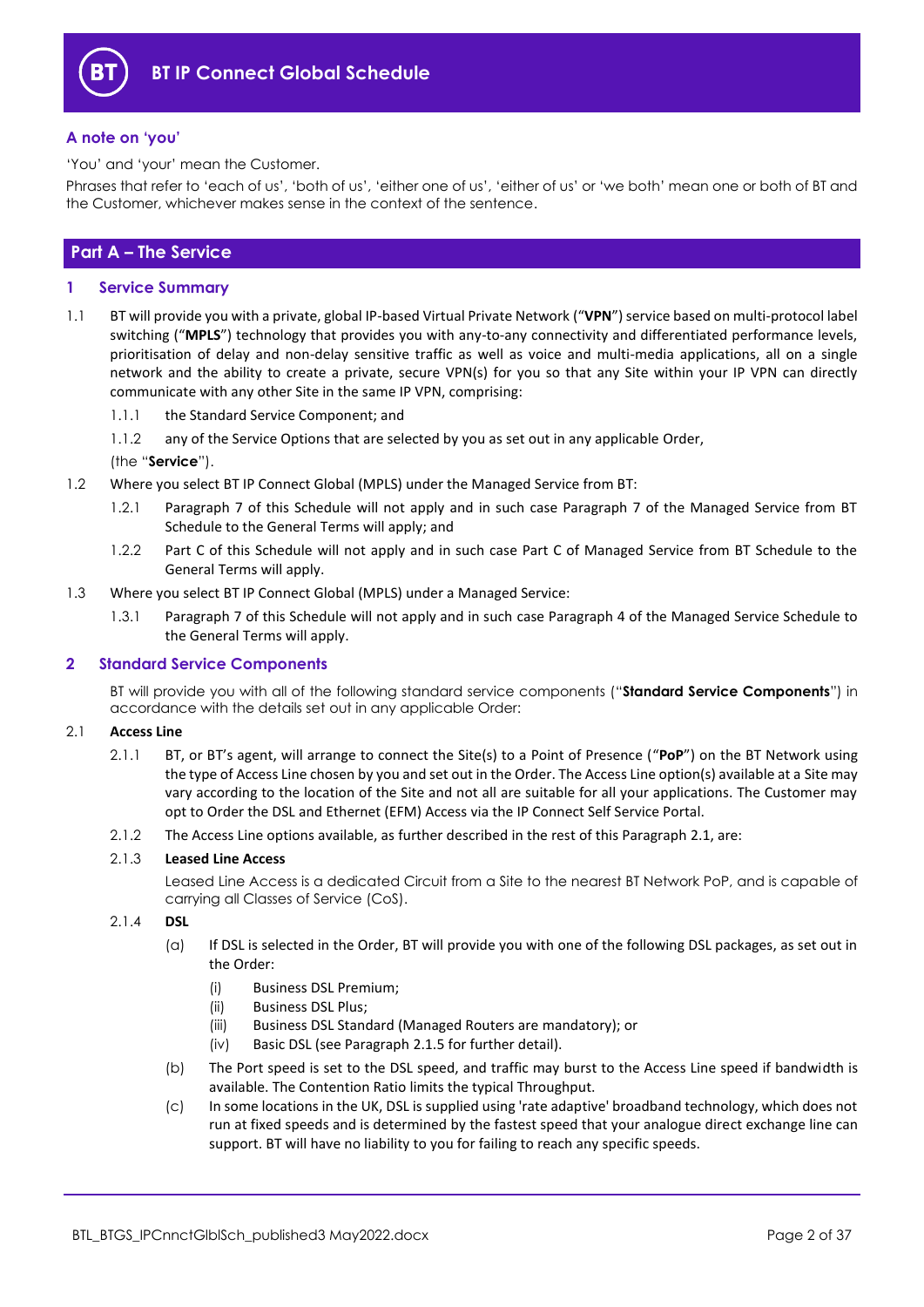

## <span id="page-1-0"></span>**A note on 'you'**

'You' and 'your' mean the Customer.

Phrases that refer to 'each of us', 'both of us', 'either one of us', 'either of us' or 'we both' mean one or both of BT and the Customer, whichever makes sense in the context of the sentence.

## <span id="page-1-1"></span>**Part A – The Service**

## <span id="page-1-2"></span>**1 Service Summary**

- 1.1 BT will provide you with a private, global IP-based Virtual Private Network ("**VPN**") service based on multi-protocol label switching ("**MPLS**") technology that provides you with any-to-any connectivity and differentiated performance levels, prioritisation of delay and non-delay sensitive traffic as well as voice and multi-media applications, all on a single network and the ability to create a private, secure VPN(s) for you so that any Site within your IP VPN can directly communicate with any other Site in the same IP VPN, comprising:
	- 1.1.1 the Standard Service Component; and
	- 1.1.2 any of the Service Options that are selected by you as set out in any applicable Order,
	- (the "**Service**").
- 1.2 Where you select BT IP Connect Global (MPLS) under the Managed Service from BT:
	- 1.2.1 Paragraph 7 of this Schedule will not apply and in such case Paragraph 7 of the Managed Service from BT Schedule to the General Terms will apply; and
	- 1.2.2 Part C of this Schedule will not apply and in such case Part C of Managed Service from BT Schedule to the General Terms will apply.
- 1.3 Where you select BT IP Connect Global (MPLS) under a Managed Service:
	- 1.3.1 Paragraph 7 of this Schedule will not apply and in such case Paragraph 4 of the Managed Service Schedule to the General Terms will apply.

## <span id="page-1-3"></span>**2 Standard Service Components**

BT will provide you with all of the following standard service components ("**Standard Service Components**") in accordance with the details set out in any applicable Order:

#### <span id="page-1-4"></span>2.1 **Access Line**

- 2.1.1 BT, or BT's agent, will arrange to connect the Site(s) to a Point of Presence ("**PoP**") on the BT Network using the type of Access Line chosen by you and set out in the Order. The Access Line option(s) available at a Site may vary according to the location of the Site and not all are suitable for all your applications. The Customer may opt to Order the DSL and Ethernet (EFM) Access via the IP Connect Self Service Portal.
- 2.1.2 The Access Line options available, as further described in the rest of this Paragraph [2.1,](#page-1-4) are:

#### 2.1.3 **Leased Line Access**

Leased Line Access is a dedicated Circuit from a Site to the nearest BT Network PoP, and is capable of carrying all Classes of Service (CoS).

## <span id="page-1-6"></span><span id="page-1-5"></span>2.1.4 **DSL**

- (a) If DSL is selected in the Order, BT will provide you with one of the following DSL packages, as set out in the Order:
	- (i) Business DSL Premium;
	- (ii) Business DSL Plus;
	- (iii) Business DSL Standard (Managed Routers are mandatory); or
	- (iv) Basic DSL (see Paragraph [2.1.5](#page-2-0) for further detail).
- <span id="page-1-8"></span><span id="page-1-7"></span>(b) The Port speed is set to the DSL speed, and traffic may burst to the Access Line speed if bandwidth is available. The Contention Ratio limits the typical Throughput.
- (c) In some locations in the UK, DSL is supplied using 'rate adaptive' broadband technology, which does not run at fixed speeds and is determined by the fastest speed that your analogue direct exchange line can support. BT will have no liability to you for failing to reach any specific speeds.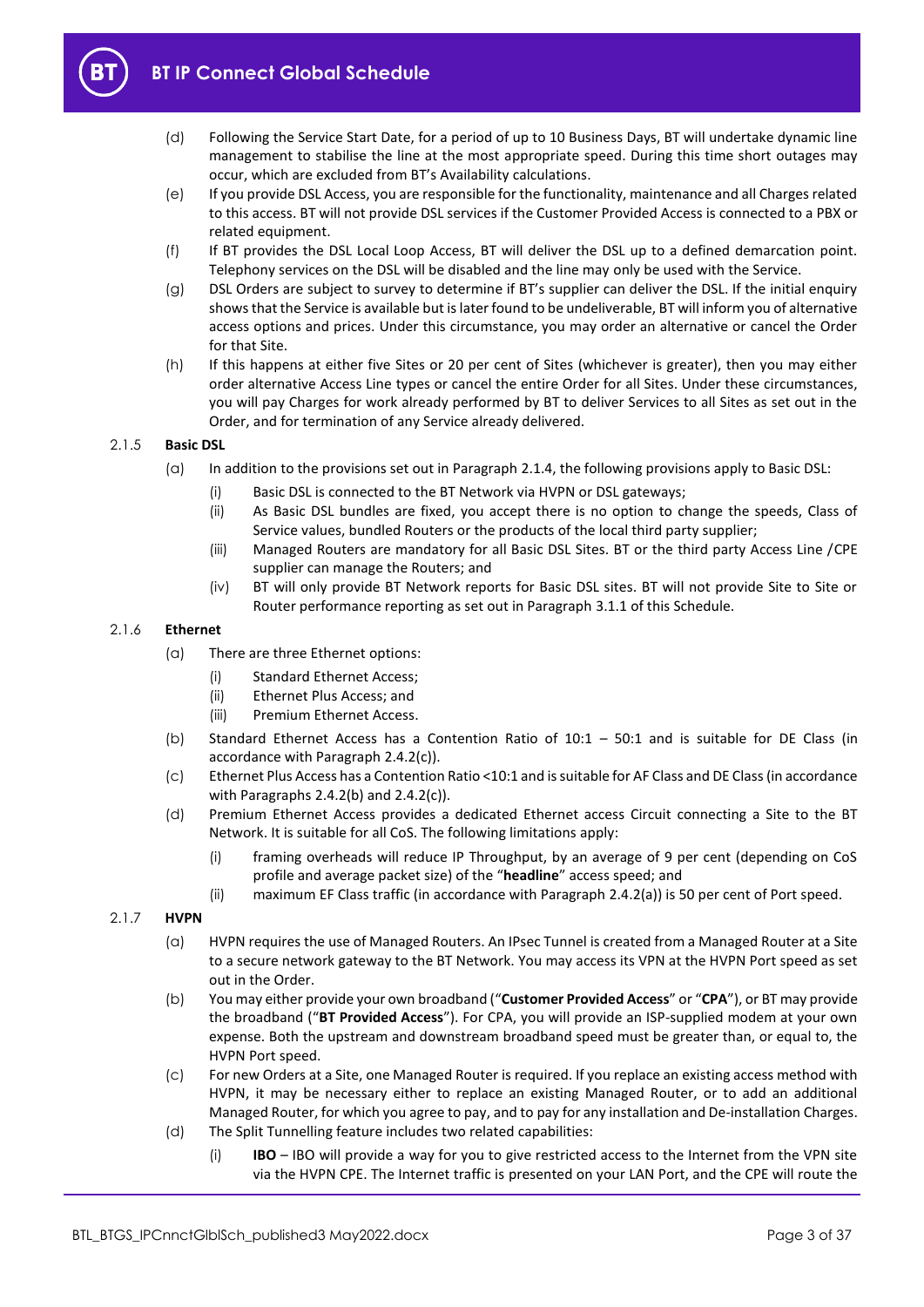

- (d) Following the Service Start Date, for a period of up to 10 Business Days, BT will undertake dynamic line management to stabilise the line at the most appropriate speed. During this time short outages may occur, which are excluded from BT's Availability calculations.
- (e) If you provide DSL Access, you are responsible for the functionality, maintenance and all Charges related to this access. BT will not provide DSL services if the Customer Provided Access is connected to a PBX or related equipment.
- (f) If BT provides the DSL Local Loop Access, BT will deliver the DSL up to a defined demarcation point. Telephony services on the DSL will be disabled and the line may only be used with the Service.
- (g) DSL Orders are subject to survey to determine if BT's supplier can deliver the DSL. If the initial enquiry shows that the Service is available but is later found to be undeliverable, BT will inform you of alternative access options and prices. Under this circumstance, you may order an alternative or cancel the Order for that Site.
- (h) If this happens at either five Sites or 20 per cent of Sites (whichever is greater), then you may either order alternative Access Line types or cancel the entire Order for all Sites. Under these circumstances, you will pay Charges for work already performed by BT to deliver Services to all Sites as set out in the Order, and for termination of any Service already delivered.

## <span id="page-2-0"></span>2.1.5 **Basic DSL**

- (a) In addition to the provisions set out in Paragrap[h 2.1.4,](#page-1-5) the following provisions apply to Basic DSL:
	- (i) Basic DSL is connected to the BT Network via HVPN or DSL gateways;
	- (ii) As Basic DSL bundles are fixed, you accept there is no option to change the speeds, Class of Service values, bundled Routers or the products of the local third party supplier;
	- (iii) Managed Routers are mandatory for all Basic DSL Sites. BT or the third party Access Line /CPE supplier can manage the Routers; and
	- (iv) BT will only provide BT Network reports for Basic DSL sites. BT will not provide Site to Site or Router performance reporting as set out in Paragraph [3.1.1](#page-5-1) of this Schedule.

## 2.1.6 **Ethernet**

- (a) There are three Ethernet options:
	- (i) Standard Ethernet Access;
	- (ii) Ethernet Plus Access; and
	- (iii) Premium Ethernet Access.
- (b) Standard Ethernet Access has a Contention Ratio of 10:1 50:1 and is suitable for DE Class (in accordance with Paragraph [2.4.2\(c\)\)](#page-4-0).
- (c) Ethernet Plus Access has a Contention Ratio <10:1 and is suitable for AF Class and DE Class (in accordance with Paragraphs [2.4.2\(b\)](#page-4-1) an[d 2.4.2\(c\)\)](#page-4-0).
- (d) Premium Ethernet Access provides a dedicated Ethernet access Circuit connecting a Site to the BT Network. It is suitable for all CoS. The following limitations apply:
	- (i) framing overheads will reduce IP Throughput, by an average of 9 per cent (depending on CoS profile and average packet size) of the "**headline**" access speed; and
	- (ii) maximum EF Class traffic (in accordance with Paragrap[h 2.4.2\(a\)\)](#page-4-2) is 50 per cent of Port speed.

## <span id="page-2-1"></span>2.1.7 **HVPN**

- (a) HVPN requires the use of Managed Routers. An IPsec Tunnel is created from a Managed Router at a Site to a secure network gateway to the BT Network. You may access its VPN at the HVPN Port speed as set out in the Order.
- (b) You may either provide your own broadband ("**Customer Provided Access**" or "**CPA**"), or BT may provide the broadband ("**BT Provided Access**"). For CPA, you will provide an ISP-supplied modem at your own expense. Both the upstream and downstream broadband speed must be greater than, or equal to, the HVPN Port speed.
- (c) For new Orders at a Site, one Managed Router is required. If you replace an existing access method with HVPN, it may be necessary either to replace an existing Managed Router, or to add an additional Managed Router, for which you agree to pay, and to pay for any installation and De-installation Charges.
- <span id="page-2-2"></span>(d) The Split Tunnelling feature includes two related capabilities:
	- (i) **IBO** IBO will provide a way for you to give restricted access to the Internet from the VPN site via the HVPN CPE. The Internet traffic is presented on your LAN Port, and the CPE will route the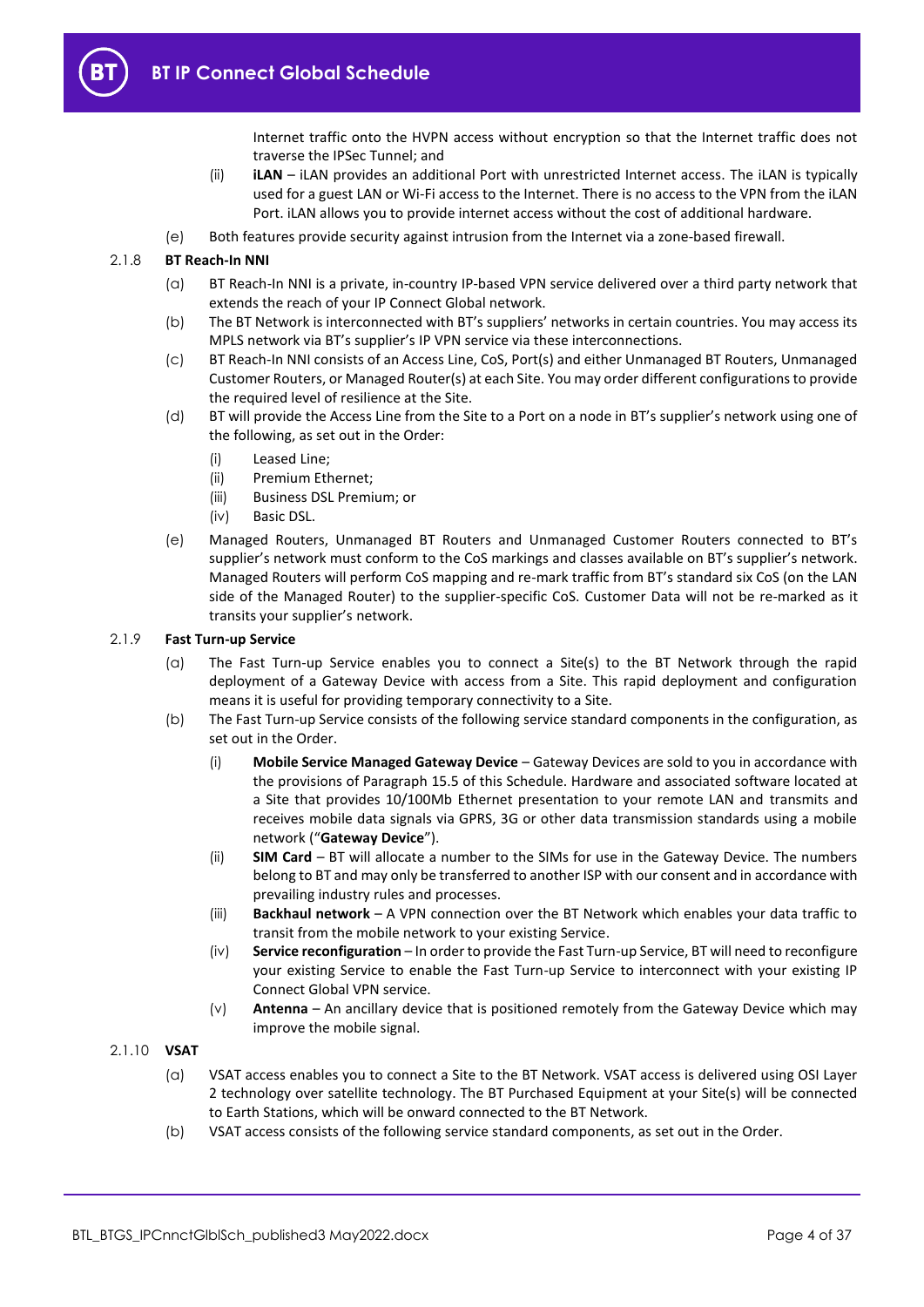Internet traffic onto the HVPN access without encryption so that the Internet traffic does not traverse the IPSec Tunnel; and

- (ii) **iLAN** iLAN provides an additional Port with unrestricted Internet access. The iLAN is typically used for a guest LAN or Wi-Fi access to the Internet. There is no access to the VPN from the iLAN Port. iLAN allows you to provide internet access without the cost of additional hardware.
- (e) Both features provide security against intrusion from the Internet via a zone-based firewall.

## 2.1.8 **BT Reach-In NNI**

- (a) BT Reach-In NNI is a private, in-country IP-based VPN service delivered over a third party network that extends the reach of your IP Connect Global network.
- (b) The BT Network is interconnected with BT's suppliers' networks in certain countries. You may access its MPLS network via BT's supplier's IP VPN service via these interconnections.
- (c) BT Reach-In NNI consists of an Access Line, CoS, Port(s) and either Unmanaged BT Routers, Unmanaged Customer Routers, or Managed Router(s) at each Site. You may order different configurations to provide the required level of resilience at the Site.
- (d) BT will provide the Access Line from the Site to a Port on a node in BT's supplier's network using one of the following, as set out in the Order:
	- (i) Leased Line;
	- (ii) Premium Ethernet;
	- (iii) Business DSL Premium; or
	- (iv) Basic DSL.
- (e) Managed Routers, Unmanaged BT Routers and Unmanaged Customer Routers connected to BT's supplier's network must conform to the CoS markings and classes available on BT's supplier's network. Managed Routers will perform CoS mapping and re-mark traffic from BT's standard six CoS (on the LAN side of the Managed Router) to the supplier-specific CoS. Customer Data will not be re-marked as it transits your supplier's network.

## <span id="page-3-0"></span>2.1.9 **Fast Turn-up Service**

- (a) The Fast Turn-up Service enables you to connect a Site(s) to the BT Network through the rapid deployment of a Gateway Device with access from a Site. This rapid deployment and configuration means it is useful for providing temporary connectivity to a Site.
- (b) The Fast Turn-up Service consists of the following service standard components in the configuration, as set out in the Order.
	- (i) **Mobile Service Managed Gateway Device** Gateway Devices are sold to you in accordance with the provisions of Paragraph [15.5](#page-24-3) of this Schedule. Hardware and associated software located at a Site that provides 10/100Mb Ethernet presentation to your remote LAN and transmits and receives mobile data signals via GPRS, 3G or other data transmission standards using a mobile network ("**Gateway Device**").
	- (ii) **SIM Card** BT will allocate a number to the SIMs for use in the Gateway Device. The numbers belong to BT and may only be transferred to another ISP with our consent and in accordance with prevailing industry rules and processes.
	- (iii) **Backhaul network** A VPN connection over the BT Network which enables your data traffic to transit from the mobile network to your existing Service.
	- (iv) **Service reconfiguration** In order to provide the Fast Turn-up Service, BT will need to reconfigure your existing Service to enable the Fast Turn-up Service to interconnect with your existing IP Connect Global VPN service.
	- (v) **Antenna** An ancillary device that is positioned remotely from the Gateway Device which may improve the mobile signal.
- 2.1.10 **VSAT**
	- (a) VSAT access enables you to connect a Site to the BT Network. VSAT access is delivered using OSI Layer 2 technology over satellite technology. The BT Purchased Equipment at your Site(s) will be connected to Earth Stations, which will be onward connected to the BT Network.
	- (b) VSAT access consists of the following service standard components, as set out in the Order.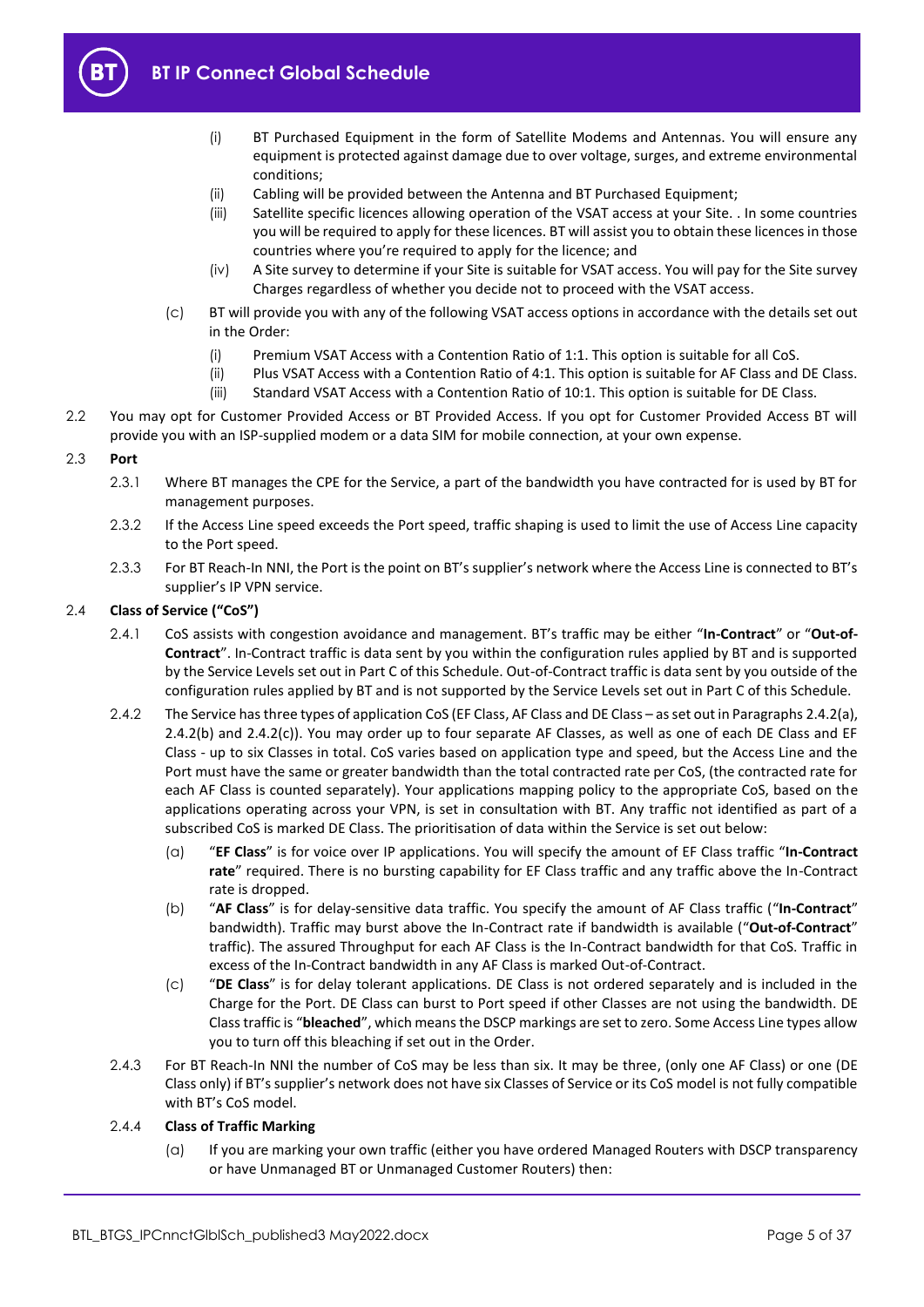

- (i) BT Purchased Equipment in the form of Satellite Modems and Antennas. You will ensure any equipment is protected against damage due to over voltage, surges, and extreme environmental conditions;
- (ii) Cabling will be provided between the Antenna and BT Purchased Equipment;
- (iii) Satellite specific licences allowing operation of the VSAT access at your Site. . In some countries you will be required to apply for these licences. BT will assist you to obtain these licences in those countries where you're required to apply for the licence; and
- (iv) A Site survey to determine if your Site is suitable for VSAT access. You will pay for the Site survey Charges regardless of whether you decide not to proceed with the VSAT access.
- (c) BT will provide you with any of the following VSAT access options in accordance with the details set out in the Order:
	- (i) Premium VSAT Access with a Contention Ratio of 1:1. This option is suitable for all CoS.
	- (ii) Plus VSAT Access with a Contention Ratio of 4:1. This option is suitable for AF Class and DE Class. (iii) Standard VSAT Access with a Contention Ratio of 10:1. This option is suitable for DE Class.
- 2.2 You may opt for Customer Provided Access or BT Provided Access. If you opt for Customer Provided Access BT will provide you with an ISP-supplied modem or a data SIM for mobile connection, at your own expense.

## 2.3 **Port**

- 2.3.1 Where BT manages the CPE for the Service, a part of the bandwidth you have contracted for is used by BT for management purposes.
- 2.3.2 If the Access Line speed exceeds the Port speed, traffic shaping is used to limit the use of Access Line capacity to the Port speed.
- 2.3.3 For BT Reach-In NNI, the Port is the point on BT's supplier's network where the Access Line is connected to BT's supplier's IP VPN service.

## 2.4 **Class of Service ("CoS")**

- 2.4.1 CoS assists with congestion avoidance and management. BT's traffic may be either "**In-Contract**" or "**Out-of-Contract**". In-Contract traffic is data sent by you within the configuration rules applied by BT and is supported by the Service Levels set out in Part C of this Schedule. Out-of-Contract traffic is data sent by you outside of the configuration rules applied by BT and is not supported by the Service Levels set out in Part C of this Schedule.
- <span id="page-4-2"></span>2.4.2 The Service has three types of application CoS (EF Class, AF Class and DE Class – as set out in Paragraph[s 2.4.2\(a\),](#page-4-2)  [2.4.2\(b\)](#page-4-1) and [2.4.2\(c\)\)](#page-4-0). You may order up to four separate AF Classes, as well as one of each DE Class and EF Class - up to six Classes in total. CoS varies based on application type and speed, but the Access Line and the Port must have the same or greater bandwidth than the total contracted rate per CoS, (the contracted rate for each AF Class is counted separately). Your applications mapping policy to the appropriate CoS, based on the applications operating across your VPN, is set in consultation with BT. Any traffic not identified as part of a subscribed CoS is marked DE Class. The prioritisation of data within the Service is set out below:
	- (a) "**EF Class**" is for voice over IP applications. You will specify the amount of EF Class traffic "**In-Contract rate**" required. There is no bursting capability for EF Class traffic and any traffic above the In-Contract rate is dropped.
	- (b) "**AF Class**" is for delay-sensitive data traffic. You specify the amount of AF Class traffic ("**In-Contract**" bandwidth). Traffic may burst above the In-Contract rate if bandwidth is available ("**Out-of-Contract**" traffic). The assured Throughput for each AF Class is the In-Contract bandwidth for that CoS. Traffic in excess of the In-Contract bandwidth in any AF Class is marked Out-of-Contract.
	- (c) "**DE Class**" is for delay tolerant applications. DE Class is not ordered separately and is included in the Charge for the Port. DE Class can burst to Port speed if other Classes are not using the bandwidth. DE Class traffic is "**bleached**", which means the DSCP markings are set to zero. Some Access Line types allow you to turn off this bleaching if set out in the Order.
- <span id="page-4-1"></span><span id="page-4-0"></span>2.4.3 For BT Reach-In NNI the number of CoS may be less than six. It may be three, (only one AF Class) or one (DE Class only) if BT's supplier's network does not have six Classes of Service or its CoS model is not fully compatible with BT's CoS model.

## 2.4.4 **Class of Traffic Marking**

(a) If you are marking your own traffic (either you have ordered Managed Routers with DSCP transparency or have Unmanaged BT or Unmanaged Customer Routers) then: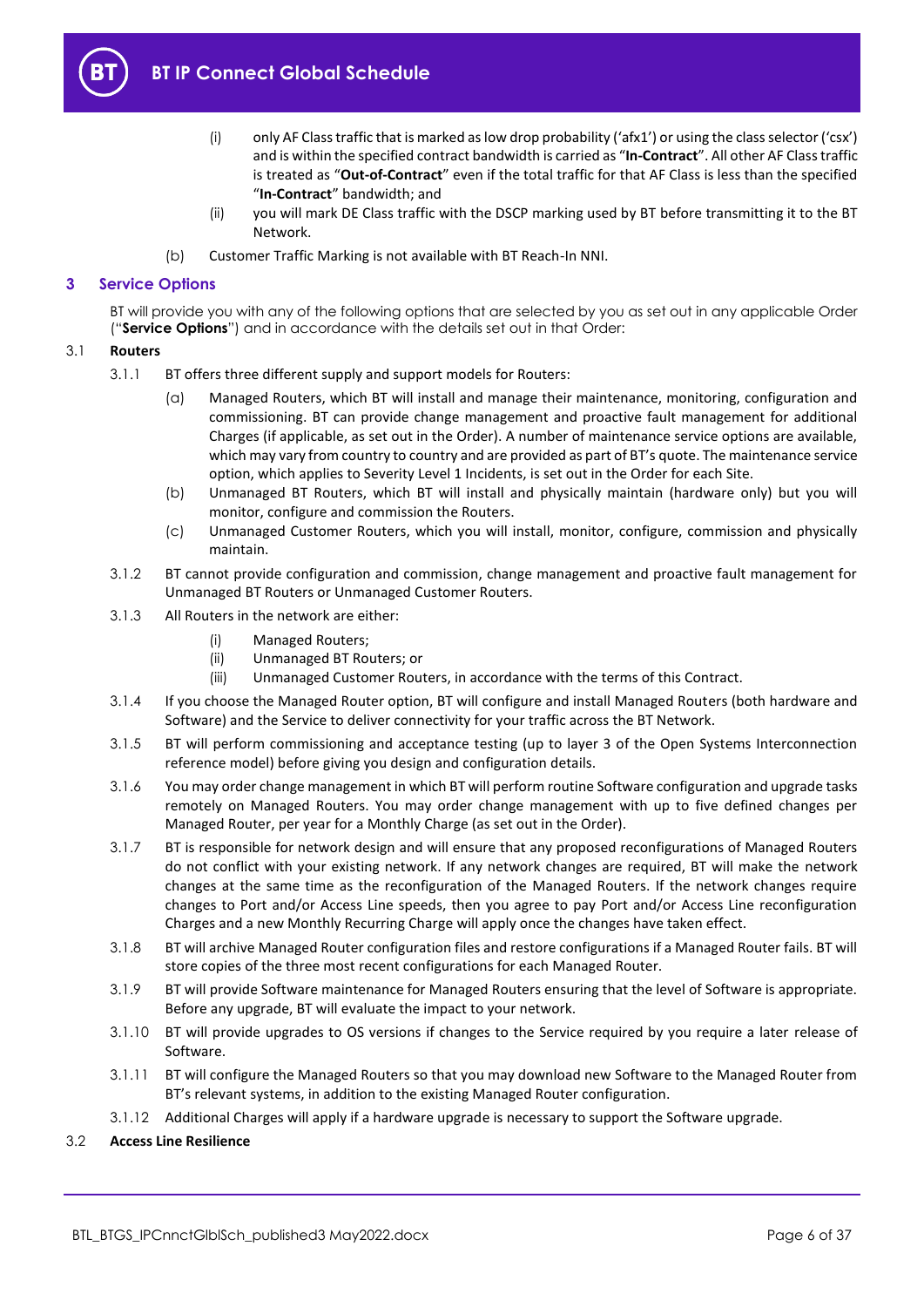

- (i) only AF Class traffic that is marked as low drop probability ('afx1') or using the class selector ('csx') and is within the specified contract bandwidth is carried as "**In-Contract**". All other AF Class traffic is treated as "**Out-of-Contract**" even if the total traffic for that AF Class is less than the specified "**In-Contract**" bandwidth; and
- (ii) you will mark DE Class traffic with the DSCP marking used by BT before transmitting it to the BT Network.
- (b) Customer Traffic Marking is not available with BT Reach-In NNI.

## <span id="page-5-0"></span>**3 Service Options**

BT will provide you with any of the following options that are selected by you as set out in any applicable Order ("**Service Options**") and in accordance with the details set out in that Order:

## <span id="page-5-2"></span><span id="page-5-1"></span>3.1 **Routers**

- 3.1.1 BT offers three different supply and support models for Routers:
	- (a) Managed Routers, which BT will install and manage their maintenance, monitoring, configuration and commissioning. BT can provide change management and proactive fault management for additional Charges (if applicable, as set out in the Order). A number of maintenance service options are available, which may vary from country to country and are provided as part of BT's quote. The maintenance service option, which applies to Severity Level 1 Incidents, is set out in the Order for each Site.
	- (b) Unmanaged BT Routers, which BT will install and physically maintain (hardware only) but you will monitor, configure and commission the Routers.
	- (c) Unmanaged Customer Routers, which you will install, monitor, configure, commission and physically maintain.
- <span id="page-5-4"></span><span id="page-5-3"></span>3.1.2 BT cannot provide configuration and commission, change management and proactive fault management for Unmanaged BT Routers or Unmanaged Customer Routers.
- 3.1.3 All Routers in the network are either:
	- (i) Managed Routers;
	- (ii) Unmanaged BT Routers; or
	- (iii) Unmanaged Customer Routers, in accordance with the terms of this Contract.
- 3.1.4 If you choose the Managed Router option, BT will configure and install Managed Routers (both hardware and Software) and the Service to deliver connectivity for your traffic across the BT Network.
- 3.1.5 BT will perform commissioning and acceptance testing (up to layer 3 of the Open Systems Interconnection reference model) before giving you design and configuration details.
- 3.1.6 You may order change management in which BT will perform routine Software configuration and upgrade tasks remotely on Managed Routers. You may order change management with up to five defined changes per Managed Router, per year for a Monthly Charge (as set out in the Order).
- 3.1.7 BT is responsible for network design and will ensure that any proposed reconfigurations of Managed Routers do not conflict with your existing network. If any network changes are required, BT will make the network changes at the same time as the reconfiguration of the Managed Routers. If the network changes require changes to Port and/or Access Line speeds, then you agree to pay Port and/or Access Line reconfiguration Charges and a new Monthly Recurring Charge will apply once the changes have taken effect.
- 3.1.8 BT will archive Managed Router configuration files and restore configurations if a Managed Router fails. BT will store copies of the three most recent configurations for each Managed Router.
- 3.1.9 BT will provide Software maintenance for Managed Routers ensuring that the level of Software is appropriate. Before any upgrade, BT will evaluate the impact to your network.
- 3.1.10 BT will provide upgrades to OS versions if changes to the Service required by you require a later release of Software.
- 3.1.11 BT will configure the Managed Routers so that you may download new Software to the Managed Router from BT's relevant systems, in addition to the existing Managed Router configuration.
- 3.1.12 Additional Charges will apply if a hardware upgrade is necessary to support the Software upgrade.
- 3.2 **Access Line Resilience**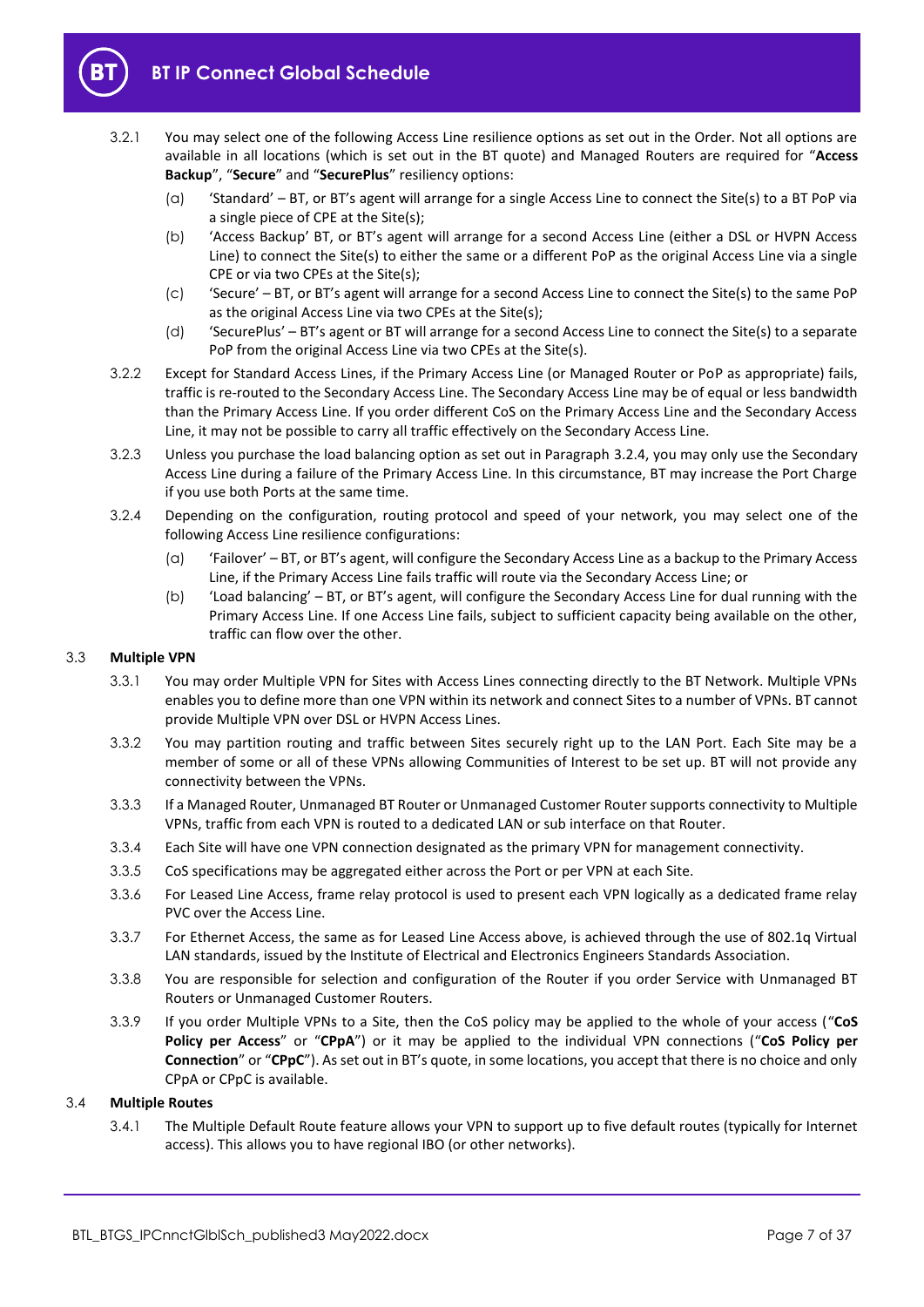

- 3.2.1 You may select one of the following Access Line resilience options as set out in the Order. Not all options are available in all locations (which is set out in the BT quote) and Managed Routers are required for "**Access Backup**", "**Secure**" and "**SecurePlus**" resiliency options:
	- (a) 'Standard' BT, or BT's agent will arrange for a single Access Line to connect the Site(s) to a BT PoP via a single piece of CPE at the Site(s);
	- (b) 'Access Backup' BT, or BT's agent will arrange for a second Access Line (either a DSL or HVPN Access Line) to connect the Site(s) to either the same or a different PoP as the original Access Line via a single CPE or via two CPEs at the Site(s);
	- (c) 'Secure' BT, or BT's agent will arrange for a second Access Line to connect the Site(s) to the same PoP as the original Access Line via two CPEs at the Site(s);
	- (d) 'SecurePlus' BT's agent or BT will arrange for a second Access Line to connect the Site(s) to a separate PoP from the original Access Line via two CPEs at the Site(s).
- 3.2.2 Except for Standard Access Lines, if the Primary Access Line (or Managed Router or PoP as appropriate) fails, traffic is re-routed to the Secondary Access Line. The Secondary Access Line may be of equal or less bandwidth than the Primary Access Line. If you order different CoS on the Primary Access Line and the Secondary Access Line, it may not be possible to carry all traffic effectively on the Secondary Access Line.
- 3.2.3 Unless you purchase the load balancing option as set out in Paragraph [3.2.4,](#page-6-0) you may only use the Secondary Access Line during a failure of the Primary Access Line. In this circumstance, BT may increase the Port Charge if you use both Ports at the same time.
- <span id="page-6-2"></span><span id="page-6-0"></span>3.2.4 Depending on the configuration, routing protocol and speed of your network, you may select one of the following Access Line resilience configurations:
	- (a) 'Failover' BT, or BT's agent, will configure the Secondary Access Line as a backup to the Primary Access Line, if the Primary Access Line fails traffic will route via the Secondary Access Line; or
	- (b) 'Load balancing' BT, or BT's agent, will configure the Secondary Access Line for dual running with the Primary Access Line. If one Access Line fails, subject to sufficient capacity being available on the other, traffic can flow over the other.

## 3.3 **Multiple VPN**

- 3.3.1 You may order Multiple VPN for Sites with Access Lines connecting directly to the BT Network. Multiple VPNs enables you to define more than one VPN within its network and connect Sites to a number of VPNs. BT cannot provide Multiple VPN over DSL or HVPN Access Lines.
- 3.3.2 You may partition routing and traffic between Sites securely right up to the LAN Port. Each Site may be a member of some or all of these VPNs allowing Communities of Interest to be set up. BT will not provide any connectivity between the VPNs.
- 3.3.3 If a Managed Router, Unmanaged BT Router or Unmanaged Customer Router supports connectivity to Multiple VPNs, traffic from each VPN is routed to a dedicated LAN or sub interface on that Router.
- 3.3.4 Each Site will have one VPN connection designated as the primary VPN for management connectivity.
- 3.3.5 CoS specifications may be aggregated either across the Port or per VPN at each Site.
- 3.3.6 For Leased Line Access, frame relay protocol is used to present each VPN logically as a dedicated frame relay PVC over the Access Line.
- 3.3.7 For Ethernet Access, the same as for Leased Line Access above, is achieved through the use of 802.1q Virtual LAN standards, issued by the Institute of Electrical and Electronics Engineers Standards Association.
- 3.3.8 You are responsible for selection and configuration of the Router if you order Service with Unmanaged BT Routers or Unmanaged Customer Routers.
- 3.3.9 If you order Multiple VPNs to a Site, then the CoS policy may be applied to the whole of your access ("**CoS Policy per Access**" or "**CPpA**") or it may be applied to the individual VPN connections ("**CoS Policy per Connection**" or "**CPpC**"). As set out in BT's quote, in some locations, you accept that there is no choice and only CPpA or CPpC is available.

## <span id="page-6-1"></span>3.4 **Multiple Routes**

3.4.1 The Multiple Default Route feature allows your VPN to support up to five default routes (typically for Internet access). This allows you to have regional IBO (or other networks).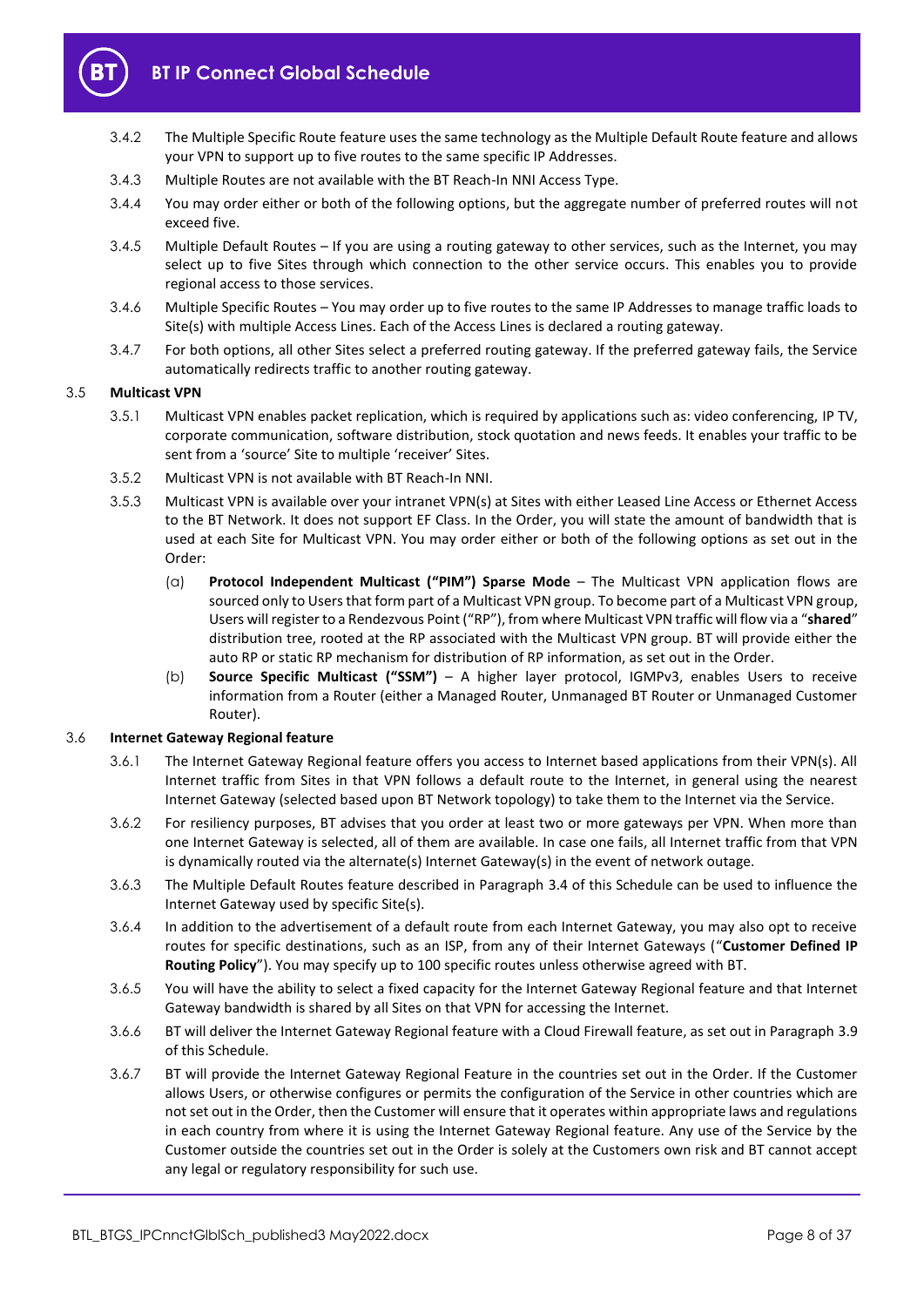

- 3.4.2 The Multiple Specific Route feature uses the same technology as the Multiple Default Route feature and allows your VPN to support up to five routes to the same specific IP Addresses.
- 3.4.3 Multiple Routes are not available with the BT Reach-In NNI Access Type.
- 3.4.4 You may order either or both of the following options, but the aggregate number of preferred routes will not exceed five.
- <span id="page-7-2"></span>3.4.5 Multiple Default Routes – If you are using a routing gateway to other services, such as the Internet, you may select up to five Sites through which connection to the other service occurs. This enables you to provide regional access to those services.
- <span id="page-7-3"></span>3.4.6 Multiple Specific Routes – You may order up to five routes to the same IP Addresses to manage traffic loads to Site(s) with multiple Access Lines. Each of the Access Lines is declared a routing gateway.
- 3.4.7 For both options, all other Sites select a preferred routing gateway. If the preferred gateway fails, the Service automatically redirects traffic to another routing gateway.

## 3.5 **Multicast VPN**

- 3.5.1 Multicast VPN enables packet replication, which is required by applications such as: video conferencing, IP TV, corporate communication, software distribution, stock quotation and news feeds. It enables your traffic to be sent from a 'source' Site to multiple 'receiver' Sites.
- 3.5.2 Multicast VPN is not available with BT Reach-In NNI.
- 3.5.3 Multicast VPN is available over your intranet VPN(s) at Sites with either Leased Line Access or Ethernet Access to the BT Network. It does not support EF Class. In the Order, you will state the amount of bandwidth that is used at each Site for Multicast VPN. You may order either or both of the following options as set out in the Order:
	- (a) **Protocol Independent Multicast ("PIM") Sparse Mode** The Multicast VPN application flows are sourced only to Users that form part of a Multicast VPN group. To become part of a Multicast VPN group, Users will register to a Rendezvous Point ("RP"), from where Multicast VPN traffic will flow via a "**shared**" distribution tree, rooted at the RP associated with the Multicast VPN group. BT will provide either the auto RP or static RP mechanism for distribution of RP information, as set out in the Order.
	- (b) **Source Specific Multicast ("SSM")** A higher layer protocol, IGMPv3, enables Users to receive information from a Router (either a Managed Router, Unmanaged BT Router or Unmanaged Customer Router).

## <span id="page-7-1"></span>3.6 **Internet Gateway Regional feature**

- 3.6.1 The Internet Gateway Regional feature offers you access to Internet based applications from their VPN(s). All Internet traffic from Sites in that VPN follows a default route to the Internet, in general using the nearest Internet Gateway (selected based upon BT Network topology) to take them to the Internet via the Service.
- 3.6.2 For resiliency purposes, BT advises that you order at least two or more gateways per VPN. When more than one Internet Gateway is selected, all of them are available. In case one fails, all Internet traffic from that VPN is dynamically routed via the alternate(s) Internet Gateway(s) in the event of network outage.
- 3.6.3 The Multiple Default Routes feature described in Paragraph [3.4](#page-6-1) of this Schedule can be used to influence the Internet Gateway used by specific Site(s).
- <span id="page-7-0"></span>3.6.4 In addition to the advertisement of a default route from each Internet Gateway, you may also opt to receive routes for specific destinations, such as an ISP, from any of their Internet Gateways ("**Customer Defined IP Routing Policy**"). You may specify up to 100 specific routes unless otherwise agreed with BT.
- 3.6.5 You will have the ability to select a fixed capacity for the Internet Gateway Regional feature and that Internet Gateway bandwidth is shared by all Sites on that VPN for accessing the Internet.
- 3.6.6 BT will deliver the Internet Gateway Regional feature with a Cloud Firewall feature, as set out in Paragraph [3.9](#page-8-0) of this Schedule.
- 3.6.7 BT will provide the Internet Gateway Regional Feature in the countries set out in the Order. If the Customer allows Users, or otherwise configures or permits the configuration of the Service in other countries which are not set out in the Order, then the Customer will ensure that it operates within appropriate laws and regulations in each country from where it is using the Internet Gateway Regional feature. Any use of the Service by the Customer outside the countries set out in the Order is solely at the Customers own risk and BT cannot accept any legal or regulatory responsibility for such use.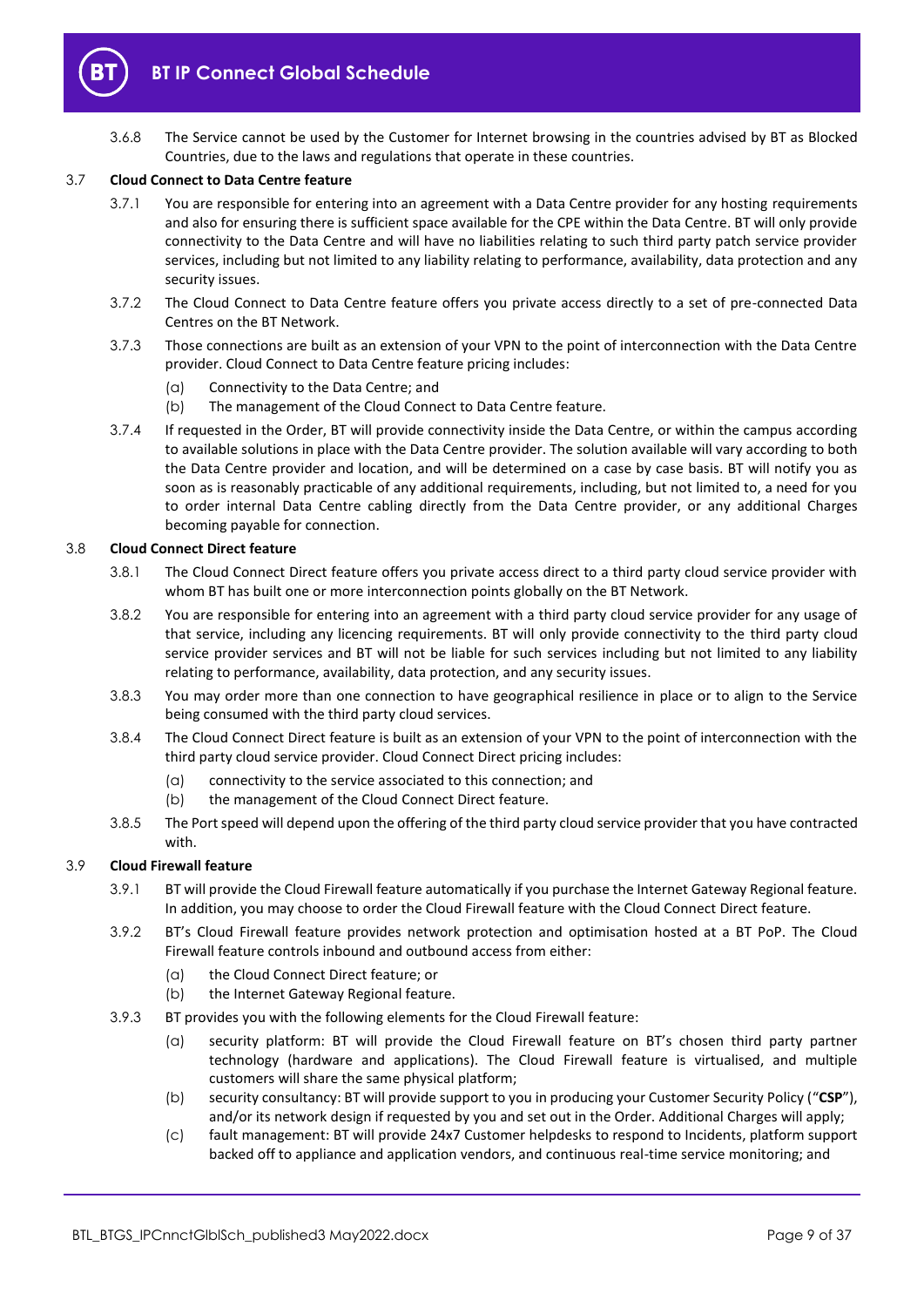

3.6.8 The Service cannot be used by the Customer for Internet browsing in the countries advised by BT as Blocked Countries, due to the laws and regulations that operate in these countries.

## <span id="page-8-2"></span>3.7 **Cloud Connect to Data Centre feature**

- 3.7.1 You are responsible for entering into an agreement with a Data Centre provider for any hosting requirements and also for ensuring there is sufficient space available for the CPE within the Data Centre. BT will only provide connectivity to the Data Centre and will have no liabilities relating to such third party patch service provider services, including but not limited to any liability relating to performance, availability, data protection and any security issues.
- 3.7.2 The Cloud Connect to Data Centre feature offers you private access directly to a set of pre-connected Data Centres on the BT Network.
- 3.7.3 Those connections are built as an extension of your VPN to the point of interconnection with the Data Centre provider. Cloud Connect to Data Centre feature pricing includes:
	- (a) Connectivity to the Data Centre; and
	- (b) The management of the Cloud Connect to Data Centre feature.
- 3.7.4 If requested in the Order, BT will provide connectivity inside the Data Centre, or within the campus according to available solutions in place with the Data Centre provider. The solution available will vary according to both the Data Centre provider and location, and will be determined on a case by case basis. BT will notify you as soon as is reasonably practicable of any additional requirements, including, but not limited to, a need for you to order internal Data Centre cabling directly from the Data Centre provider, or any additional Charges becoming payable for connection.

#### <span id="page-8-1"></span>3.8 **Cloud Connect Direct feature**

- 3.8.1 The Cloud Connect Direct feature offers you private access direct to a third party cloud service provider with whom BT has built one or more interconnection points globally on the BT Network.
- 3.8.2 You are responsible for entering into an agreement with a third party cloud service provider for any usage of that service, including any licencing requirements. BT will only provide connectivity to the third party cloud service provider services and BT will not be liable for such services including but not limited to any liability relating to performance, availability, data protection, and any security issues.
- 3.8.3 You may order more than one connection to have geographical resilience in place or to align to the Service being consumed with the third party cloud services.
- 3.8.4 The Cloud Connect Direct feature is built as an extension of your VPN to the point of interconnection with the third party cloud service provider. Cloud Connect Direct pricing includes:
	- (a) connectivity to the service associated to this connection; and
	- (b) the management of the Cloud Connect Direct feature.
- 3.8.5 The Port speed will depend upon the offering of the third party cloud service provider that you have contracted with.

#### <span id="page-8-0"></span>3.9 **Cloud Firewall feature**

- 3.9.1 BT will provide the Cloud Firewall feature automatically if you purchase the Internet Gateway Regional feature. In addition, you may choose to order the Cloud Firewall feature with the Cloud Connect Direct feature.
- 3.9.2 BT's Cloud Firewall feature provides network protection and optimisation hosted at a BT PoP. The Cloud Firewall feature controls inbound and outbound access from either:
	- (a) the Cloud Connect Direct feature; or
	- (b) the Internet Gateway Regional feature.
- 3.9.3 BT provides you with the following elements for the Cloud Firewall feature:
	- (a) security platform: BT will provide the Cloud Firewall feature on BT's chosen third party partner technology (hardware and applications). The Cloud Firewall feature is virtualised, and multiple customers will share the same physical platform;
	- (b) security consultancy: BT will provide support to you in producing your Customer Security Policy ("**CSP**"), and/or its network design if requested by you and set out in the Order. Additional Charges will apply;
	- (c) fault management: BT will provide 24x7 Customer helpdesks to respond to Incidents, platform support backed off to appliance and application vendors, and continuous real-time service monitoring; and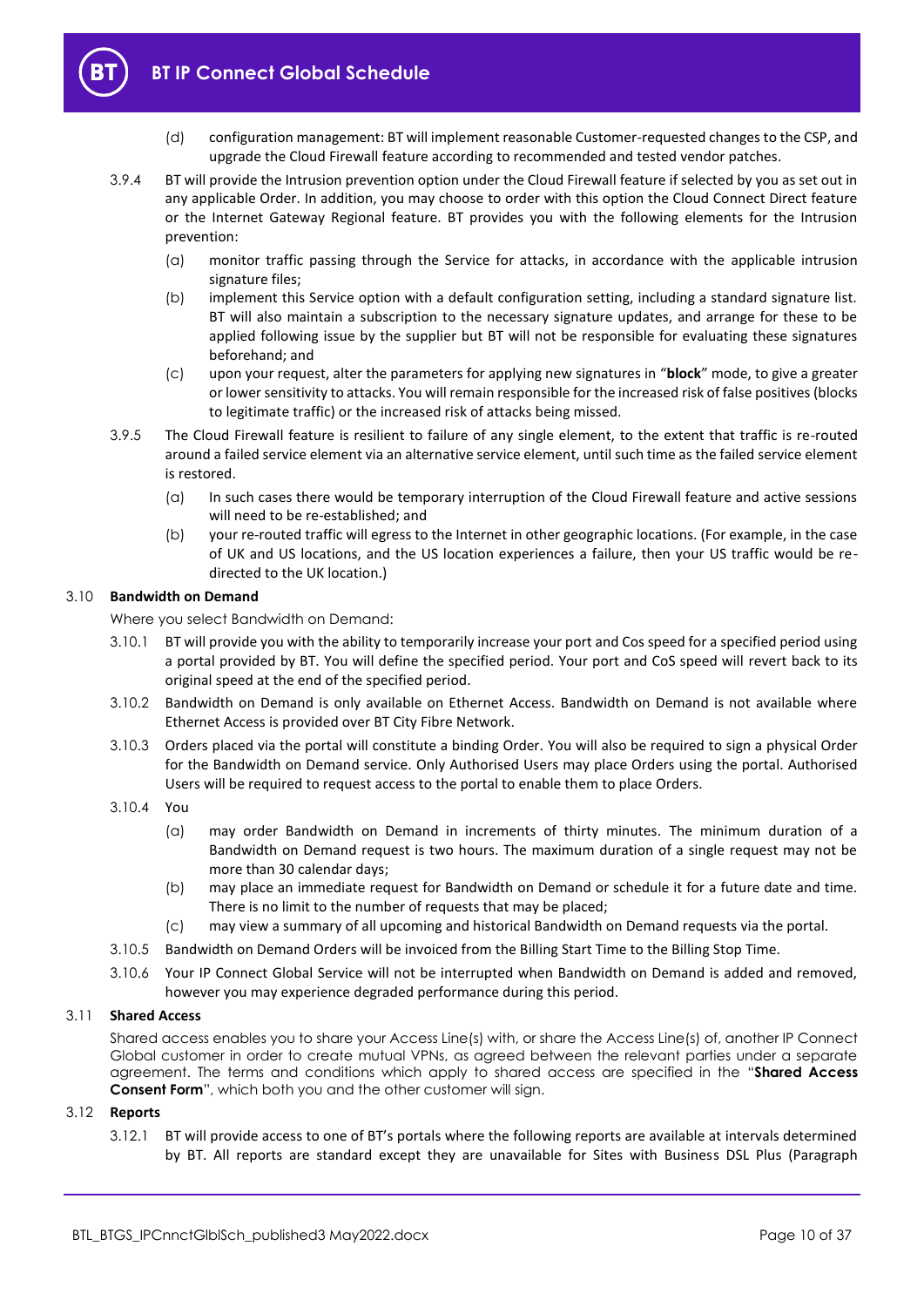

- (d) configuration management: BT will implement reasonable Customer-requested changes to the CSP, and upgrade the Cloud Firewall feature according to recommended and tested vendor patches.
- 3.9.4 BT will provide the Intrusion prevention option under the Cloud Firewall feature if selected by you as set out in any applicable Order. In addition, you may choose to order with this option the Cloud Connect Direct feature or the Internet Gateway Regional feature. BT provides you with the following elements for the Intrusion prevention:
	- (a) monitor traffic passing through the Service for attacks, in accordance with the applicable intrusion signature files;
	- (b) implement this Service option with a default configuration setting, including a standard signature list. BT will also maintain a subscription to the necessary signature updates, and arrange for these to be applied following issue by the supplier but BT will not be responsible for evaluating these signatures beforehand; and
	- (c) upon your request, alter the parameters for applying new signatures in "**block**" mode, to give a greater or lower sensitivity to attacks. You will remain responsible for the increased risk of false positives (blocks to legitimate traffic) or the increased risk of attacks being missed.
- 3.9.5 The Cloud Firewall feature is resilient to failure of any single element, to the extent that traffic is re-routed around a failed service element via an alternative service element, until such time as the failed service element is restored.
	- (a) In such cases there would be temporary interruption of the Cloud Firewall feature and active sessions will need to be re-established; and
	- (b) your re-routed traffic will egress to the Internet in other geographic locations. (For example, in the case of UK and US locations, and the US location experiences a failure, then your US traffic would be redirected to the UK location.)

## 3.10 **Bandwidth on Demand**

Where you select Bandwidth on Demand:

- 3.10.1 BT will provide you with the ability to temporarily increase your port and Cos speed for a specified period using a portal provided by BT. You will define the specified period. Your port and CoS speed will revert back to its original speed at the end of the specified period.
- 3.10.2 Bandwidth on Demand is only available on Ethernet Access. Bandwidth on Demand is not available where Ethernet Access is provided over BT City Fibre Network.
- 3.10.3 Orders placed via the portal will constitute a binding Order. You will also be required to sign a physical Order for the Bandwidth on Demand service. Only Authorised Users may place Orders using the portal. Authorised Users will be required to request access to the portal to enable them to place Orders.
- 3.10.4 You
	- (a) may order Bandwidth on Demand in increments of thirty minutes. The minimum duration of a Bandwidth on Demand request is two hours. The maximum duration of a single request may not be more than 30 calendar days;
	- (b) may place an immediate request for Bandwidth on Demand or schedule it for a future date and time. There is no limit to the number of requests that may be placed;
	- (c) may view a summary of all upcoming and historical Bandwidth on Demand requests via the portal.
- 3.10.5 Bandwidth on Demand Orders will be invoiced from the Billing Start Time to the Billing Stop Time.
- 3.10.6 Your IP Connect Global Service will not be interrupted when Bandwidth on Demand is added and removed, however you may experience degraded performance during this period.

## 3.11 **Shared Access**

Shared access enables you to share your Access Line(s) with, or share the Access Line(s) of, another IP Connect Global customer in order to create mutual VPNs, as agreed between the relevant parties under a separate agreement. The terms and conditions which apply to shared access are specified in the "**Shared Access Consent Form**", which both you and the other customer will sign.

## 3.12 **Reports**

3.12.1 BT will provide access to one of BT's portals where the following reports are available at intervals determined by BT. All reports are standard except they are unavailable for Sites with Business DSL Plus (Paragraph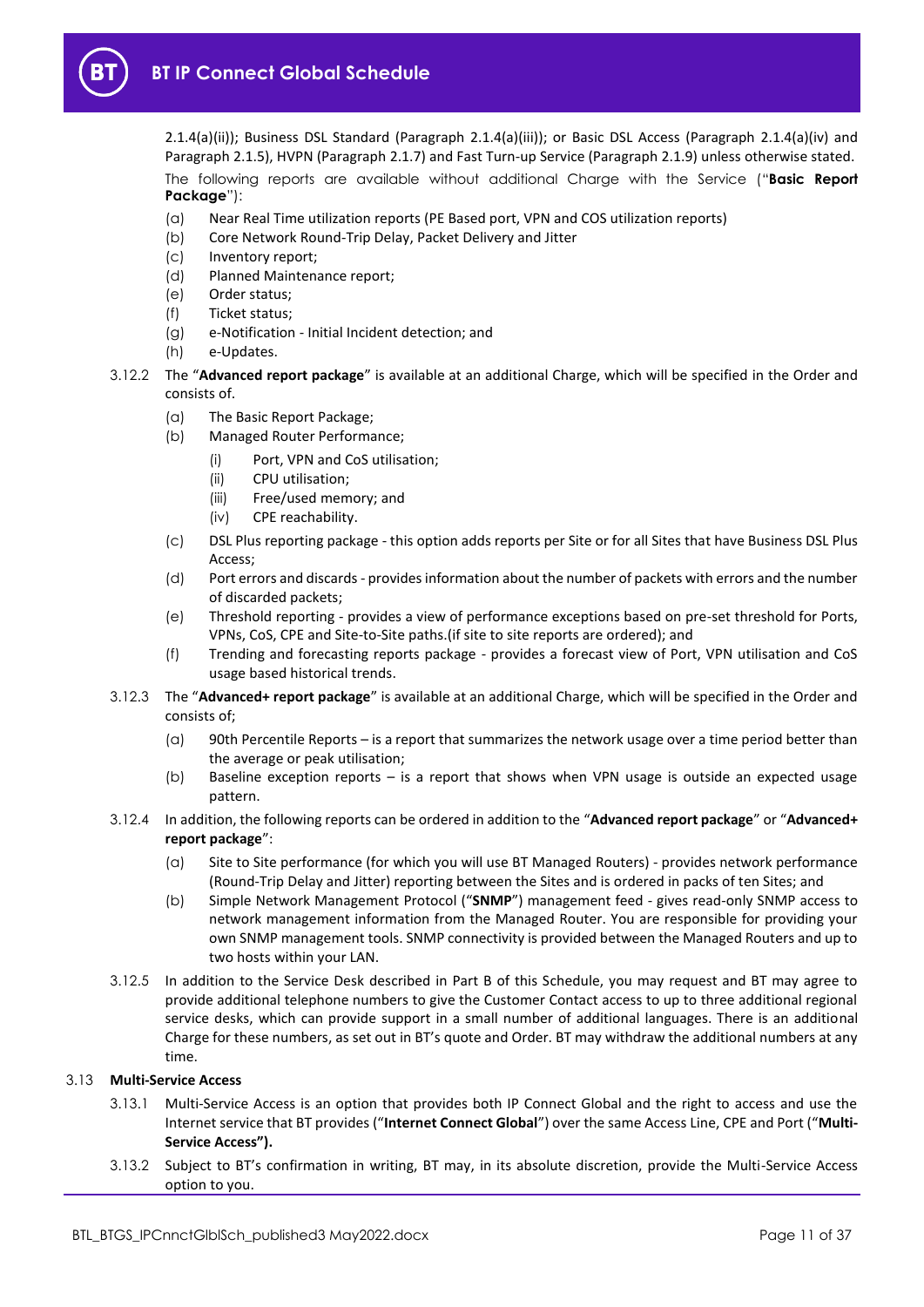

[2.1.4\(a\)\(ii\)\)](#page-1-6); Business DSL Standard (Paragraph [2.1.4\(a\)\(iii\)\)](#page-1-7); or Basic DSL Access (Paragraph [2.1.4\(a\)\(iv\)](#page-1-8) and Paragrap[h 2.1.5\)](#page-2-0), HVPN (Paragraph [2.1.7\)](#page-2-1) and Fast Turn-up Service (Paragrap[h 2.1.9\)](#page-3-0) unless otherwise stated. The following reports are available without additional Charge with the Service ("**Basic Report Package**"):

- (a) Near Real Time utilization reports (PE Based port, VPN and COS utilization reports)
- (b) Core Network Round-Trip Delay, Packet Delivery and Jitter
- (c) Inventory report;
- (d) Planned Maintenance report;
- (e) Order status;
- (f) Ticket status;
- (g) e-Notification Initial Incident detection; and
- (h) e-Updates.
- 3.12.2 The "**Advanced report package**" is available at an additional Charge, which will be specified in the Order and consists of.
	- (a) The Basic Report Package;
	- (b) Managed Router Performance;
		- (i) Port, VPN and CoS utilisation;
		- (ii) CPU utilisation;
		- (iii) Free/used memory; and
		- (iv) CPE reachability.
	- (c) DSL Plus reporting package this option adds reports per Site or for all Sites that have Business DSL Plus Access;
	- (d) Port errors and discards provides information about the number of packets with errors and the number of discarded packets;
	- (e) Threshold reporting provides a view of performance exceptions based on pre-set threshold for Ports, VPNs, CoS, CPE and Site-to-Site paths.(if site to site reports are ordered); and
	- (f) Trending and forecasting reports package provides a forecast view of Port, VPN utilisation and CoS usage based historical trends.
- 3.12.3 The "**Advanced+ report package**" is available at an additional Charge, which will be specified in the Order and consists of;
	- (a) 90th Percentile Reports is a report that summarizes the network usage over a time period better than the average or peak utilisation;
	- (b) Baseline exception reports is a report that shows when VPN usage is outside an expected usage pattern.
- 3.12.4 In addition, the following reports can be ordered in addition to the "**Advanced report package**" or "**Advanced+ report package**":
	- (a) Site to Site performance (for which you will use BT Managed Routers) provides network performance (Round-Trip Delay and Jitter) reporting between the Sites and is ordered in packs of ten Sites; and
	- (b) Simple Network Management Protocol ("**SNMP**") management feed gives read-only SNMP access to network management information from the Managed Router. You are responsible for providing your own SNMP management tools. SNMP connectivity is provided between the Managed Routers and up to two hosts within your LAN.
- 3.12.5 In addition to the Service Desk described in Part B of this Schedule, you may request and BT may agree to provide additional telephone numbers to give the Customer Contact access to up to three additional regional service desks, which can provide support in a small number of additional languages. There is an additional Charge for these numbers, as set out in BT's quote and Order. BT may withdraw the additional numbers at any time.

## <span id="page-10-1"></span><span id="page-10-0"></span>3.13 **Multi-Service Access**

- 3.13.1 Multi-Service Access is an option that provides both IP Connect Global and the right to access and use the Internet service that BT provides ("**Internet Connect Global**") over the same Access Line, CPE and Port ("**Multi-Service Access").**
- 3.13.2 Subject to BT's confirmation in writing, BT may, in its absolute discretion, provide the Multi-Service Access option to you.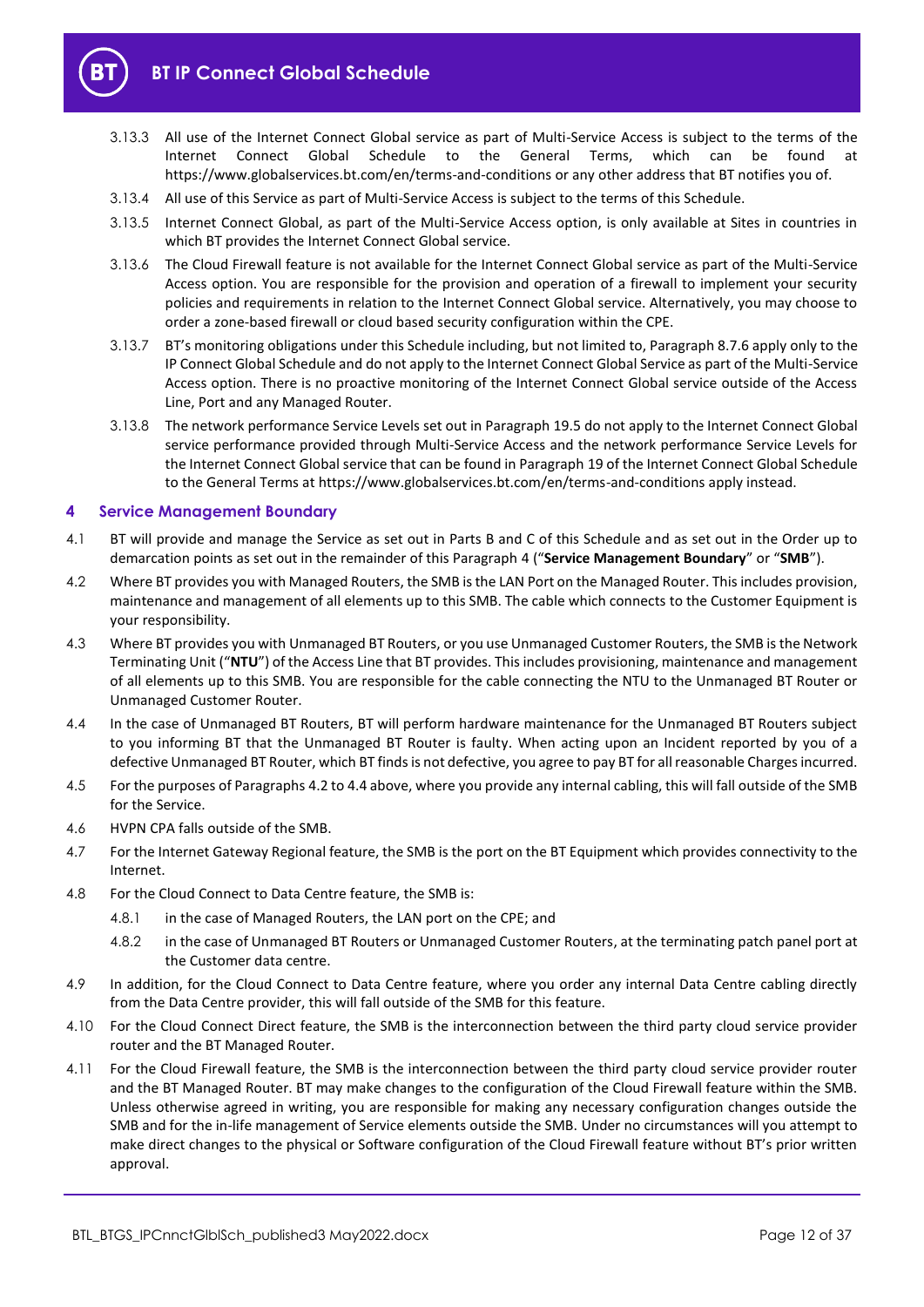

- 3.13.3 All use of the Internet Connect Global service as part of Multi-Service Access is subject to the terms of the Internet Connect Global Schedule to the General Terms, which can be found at https://www.globalservices.bt.com/en/terms-and-conditions or any other address that BT notifies you of.
- 3.13.4 All use of this Service as part of Multi-Service Access is subject to the terms of this Schedule.
- 3.13.5 Internet Connect Global, as part of the Multi-Service Access option, is only available at Sites in countries in which BT provides the Internet Connect Global service.
- 3.13.6 The Cloud Firewall feature is not available for the Internet Connect Global service as part of the Multi-Service Access option. You are responsible for the provision and operation of a firewall to implement your security policies and requirements in relation to the Internet Connect Global service. Alternatively, you may choose to order a zone-based firewall or cloud based security configuration within the CPE.
- 3.13.7 BT's monitoring obligations under this Schedule including, but not limited to, Paragrap[h 8.7.6](#page-16-0) apply only to the IP Connect Global Schedule and do not apply to the Internet Connect Global Service as part of the Multi-Service Access option. There is no proactive monitoring of the Internet Connect Global service outside of the Access Line, Port and any Managed Router.
- 3.13.8 The network performance Service Levels set out in Paragrap[h 19.5](#page-29-0) do not apply to the Internet Connect Global service performance provided through Multi-Service Access and the network performance Service Levels for the Internet Connect Global service that can be found in Paragraph 19 of the Internet Connect Global Schedule to the General Terms at https://www.globalservices.bt.com/en/terms-and-conditions apply instead.

## <span id="page-11-0"></span>**4 Service Management Boundary**

- <span id="page-11-3"></span>4.1 BT will provide and manage the Service as set out in Parts B and C of this Schedule and as set out in the Order up to demarcation points as set out in the remainder of this Paragraph [4](#page-11-0) ("**Service Management Boundary**" or "**SMB**").
- <span id="page-11-1"></span>4.2 Where BT provides you with Managed Routers, the SMB is the LAN Port on the Managed Router. This includes provision, maintenance and management of all elements up to this SMB. The cable which connects to the Customer Equipment is your responsibility.
- 4.3 Where BT provides you with Unmanaged BT Routers, or you use Unmanaged Customer Routers, the SMB is the Network Terminating Unit ("**NTU**") of the Access Line that BT provides. This includes provisioning, maintenance and management of all elements up to this SMB. You are responsible for the cable connecting the NTU to the Unmanaged BT Router or Unmanaged Customer Router.
- <span id="page-11-2"></span>4.4 In the case of Unmanaged BT Routers, BT will perform hardware maintenance for the Unmanaged BT Routers subject to you informing BT that the Unmanaged BT Router is faulty. When acting upon an Incident reported by you of a defective Unmanaged BT Router, which BT finds is not defective, you agree to pay BT for all reasonable Charges incurred.
- 4.5 For the purposes of Paragraphs [4.2](#page-11-1) t[o 4.4](#page-11-2) above, where you provide any internal cabling, this will fall outside of the SMB for the Service.
- 4.6 HVPN CPA falls outside of the SMB.
- 4.7 For the Internet Gateway Regional feature, the SMB is the port on the BT Equipment which provides connectivity to the Internet.
- 4.8 For the Cloud Connect to Data Centre feature, the SMB is:
	- 4.8.1 in the case of Managed Routers, the LAN port on the CPE; and
	- 4.8.2 in the case of Unmanaged BT Routers or Unmanaged Customer Routers, at the terminating patch panel port at the Customer data centre.
- 4.9 In addition, for the Cloud Connect to Data Centre feature, where you order any internal Data Centre cabling directly from the Data Centre provider, this will fall outside of the SMB for this feature.
- 4.10 For the Cloud Connect Direct feature, the SMB is the interconnection between the third party cloud service provider router and the BT Managed Router.
- 4.11 For the Cloud Firewall feature, the SMB is the interconnection between the third party cloud service provider router and the BT Managed Router. BT may make changes to the configuration of the Cloud Firewall feature within the SMB. Unless otherwise agreed in writing, you are responsible for making any necessary configuration changes outside the SMB and for the in-life management of Service elements outside the SMB. Under no circumstances will you attempt to make direct changes to the physical or Software configuration of the Cloud Firewall feature without BT's prior written approval.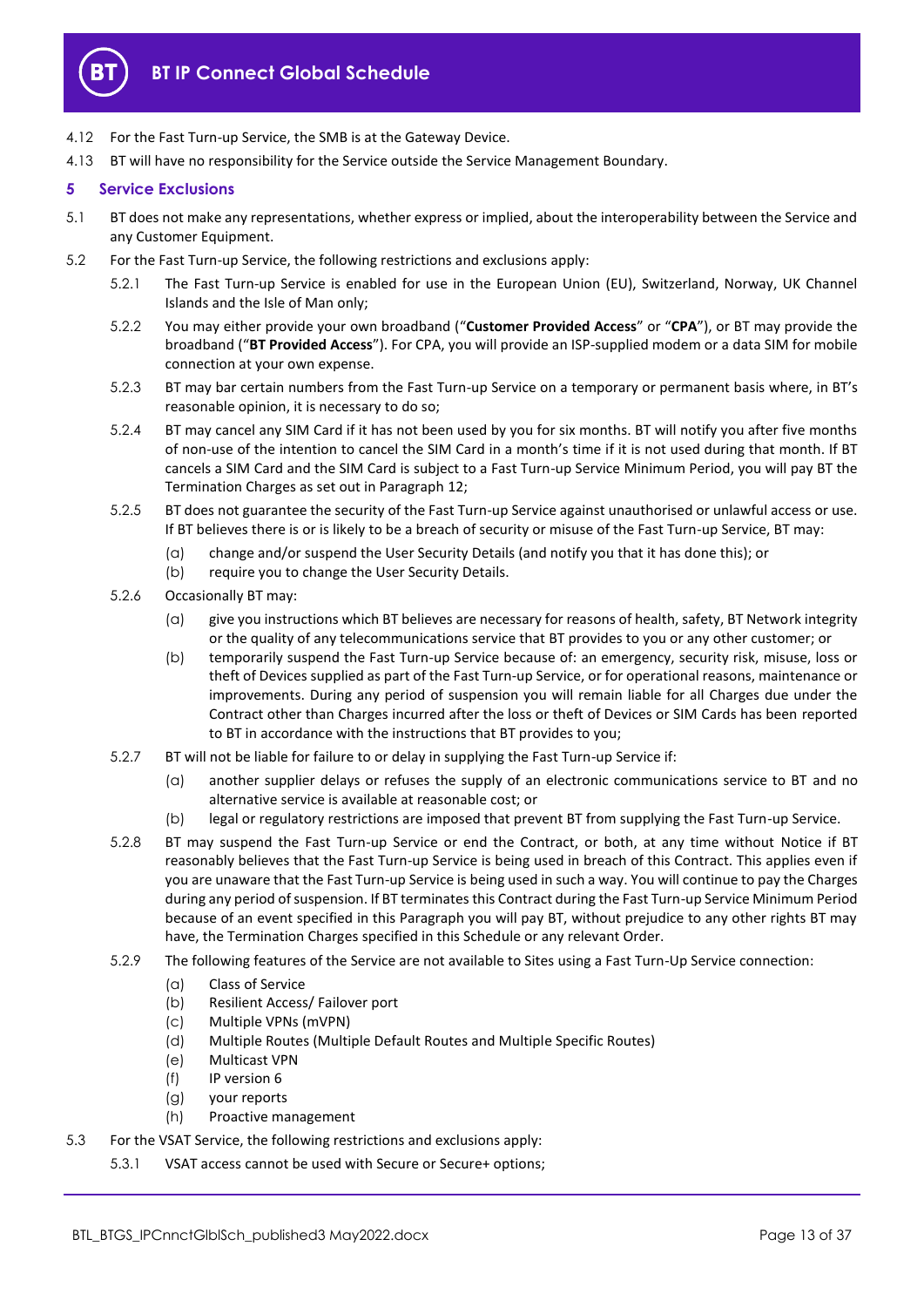

- 4.12 For the Fast Turn-up Service, the SMB is at the Gateway Device.
- 4.13 BT will have no responsibility for the Service outside the Service Management Boundary.

## <span id="page-12-0"></span>**5 Service Exclusions**

- 5.1 BT does not make any representations, whether express or implied, about the interoperability between the Service and any Customer Equipment.
- 5.2 For the Fast Turn-up Service, the following restrictions and exclusions apply:
	- 5.2.1 The Fast Turn-up Service is enabled for use in the European Union (EU), Switzerland, Norway, UK Channel Islands and the Isle of Man only;
	- 5.2.2 You may either provide your own broadband ("**Customer Provided Access**" or "**CPA**"), or BT may provide the broadband ("**BT Provided Access**"). For CPA, you will provide an ISP-supplied modem or a data SIM for mobile connection at your own expense.
	- 5.2.3 BT may bar certain numbers from the Fast Turn-up Service on a temporary or permanent basis where, in BT's reasonable opinion, it is necessary to do so;
	- 5.2.4 BT may cancel any SIM Card if it has not been used by you for six months. BT will notify you after five months of non-use of the intention to cancel the SIM Card in a month's time if it is not used during that month. If BT cancels a SIM Card and the SIM Card is subject to a Fast Turn-up Service Minimum Period, you will pay BT the Termination Charges as set out in Paragrap[h 12;](#page-23-0)
	- 5.2.5 BT does not guarantee the security of the Fast Turn-up Service against unauthorised or unlawful access or use. If BT believes there is or is likely to be a breach of security or misuse of the Fast Turn-up Service, BT may:
		- (a) change and/or suspend the User Security Details (and notify you that it has done this); or
		- (b) require you to change the User Security Details.
	- 5.2.6 Occasionally BT may:
		- (a) give you instructions which BT believes are necessary for reasons of health, safety, BT Network integrity or the quality of any telecommunications service that BT provides to you or any other customer; or
		- (b) temporarily suspend the Fast Turn-up Service because of: an emergency, security risk, misuse, loss or theft of Devices supplied as part of the Fast Turn-up Service, or for operational reasons, maintenance or improvements. During any period of suspension you will remain liable for all Charges due under the Contract other than Charges incurred after the loss or theft of Devices or SIM Cards has been reported to BT in accordance with the instructions that BT provides to you;
	- 5.2.7 BT will not be liable for failure to or delay in supplying the Fast Turn-up Service if:
		- (a) another supplier delays or refuses the supply of an electronic communications service to BT and no alternative service is available at reasonable cost; or
		- (b) legal or regulatory restrictions are imposed that prevent BT from supplying the Fast Turn-up Service.
	- 5.2.8 BT may suspend the Fast Turn-up Service or end the Contract, or both, at any time without Notice if BT reasonably believes that the Fast Turn-up Service is being used in breach of this Contract. This applies even if you are unaware that the Fast Turn-up Service is being used in such a way. You will continue to pay the Charges during any period of suspension. If BT terminates this Contract during the Fast Turn-up Service Minimum Period because of an event specified in this Paragraph you will pay BT, without prejudice to any other rights BT may have, the Termination Charges specified in this Schedule or any relevant Order.
	- 5.2.9 The following features of the Service are not available to Sites using a Fast Turn-Up Service connection:
		- (a) Class of Service
		- (b) Resilient Access/ Failover port
		- (c) Multiple VPNs (mVPN)
		- (d) Multiple Routes (Multiple Default Routes and Multiple Specific Routes)
		- (e) Multicast VPN
		- (f) IP version 6
		- (g) your reports
		- (h) Proactive management
- 5.3 For the VSAT Service, the following restrictions and exclusions apply:
	- 5.3.1 VSAT access cannot be used with Secure or Secure+ options;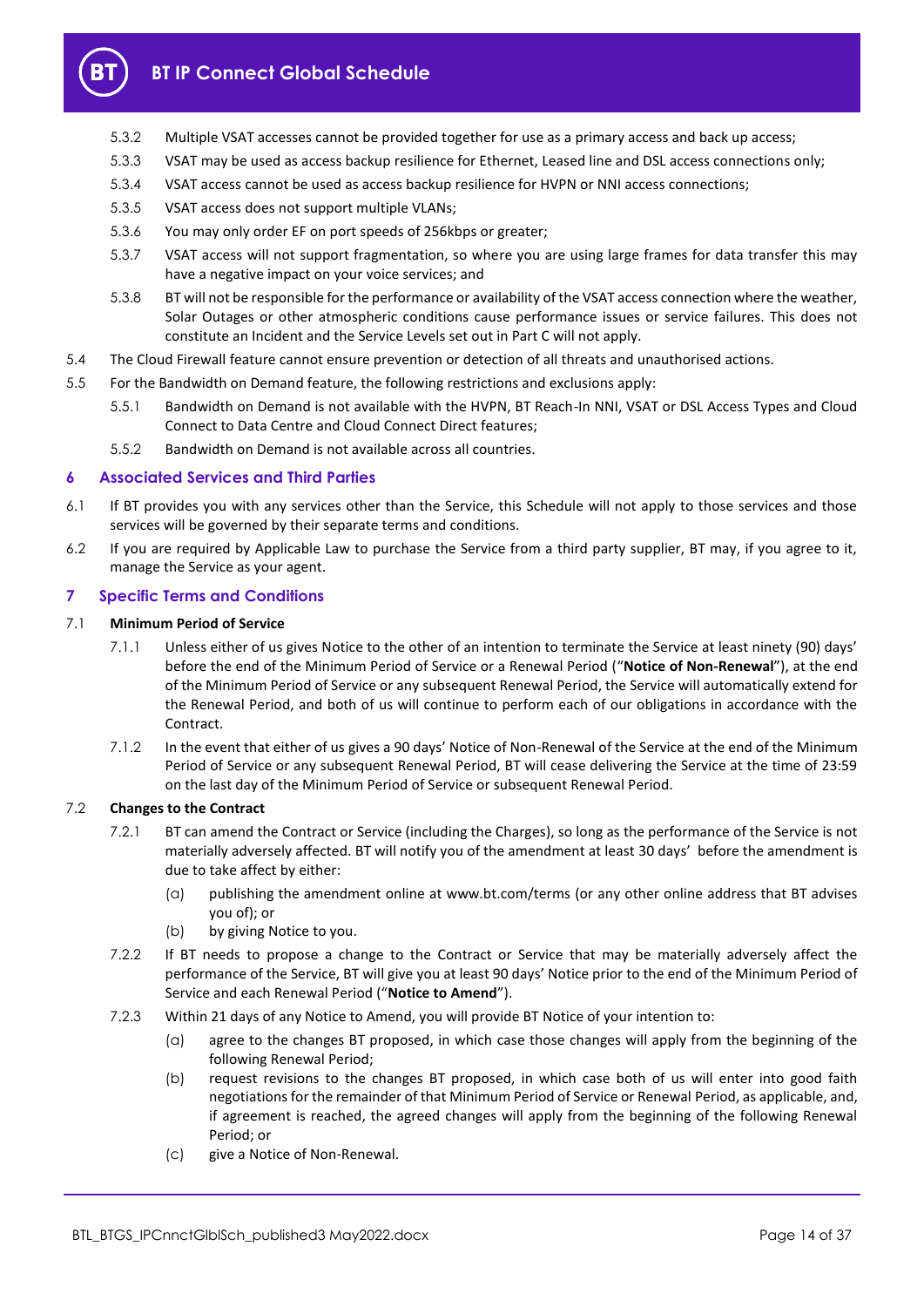

- 5.3.2 Multiple VSAT accesses cannot be provided together for use as a primary access and back up access;
- 5.3.3 VSAT may be used as access backup resilience for Ethernet, Leased line and DSL access connections only;
- 5.3.4 VSAT access cannot be used as access backup resilience for HVPN or NNI access connections;
- 5.3.5 VSAT access does not support multiple VLANs;
- 5.3.6 You may only order EF on port speeds of 256kbps or greater;
- 5.3.7 VSAT access will not support fragmentation, so where you are using large frames for data transfer this may have a negative impact on your voice services; and
- 5.3.8 BT will not be responsible for the performance or availability of the VSAT access connection where the weather, Solar Outages or other atmospheric conditions cause performance issues or service failures. This does not constitute an Incident and the Service Levels set out in Part C will not apply.
- 5.4 The Cloud Firewall feature cannot ensure prevention or detection of all threats and unauthorised actions.
- 5.5 For the Bandwidth on Demand feature, the following restrictions and exclusions apply:
	- 5.5.1 Bandwidth on Demand is not available with the HVPN, BT Reach-In NNI, VSAT or DSL Access Types and Cloud Connect to Data Centre and Cloud Connect Direct features;
	- 5.5.2 Bandwidth on Demand is not available across all countries.

## <span id="page-13-0"></span>**6 Associated Services and Third Parties**

- 6.1 If BT provides you with any services other than the Service, this Schedule will not apply to those services and those services will be governed by their separate terms and conditions.
- 6.2 If you are required by Applicable Law to purchase the Service from a third party supplier, BT may, if you agree to it, manage the Service as your agent.

## <span id="page-13-1"></span>**7 Specific Terms and Conditions**

## <span id="page-13-3"></span>7.1 **Minimum Period of Service**

- 7.1.1 Unless either of us gives Notice to the other of an intention to terminate the Service at least ninety (90) days' before the end of the Minimum Period of Service or a Renewal Period ("**Notice of Non-Renewal**"), at the end of the Minimum Period of Service or any subsequent Renewal Period, the Service will automatically extend for the Renewal Period, and both of us will continue to perform each of our obligations in accordance with the Contract.
- 7.1.2 In the event that either of us gives a 90 days' Notice of Non-Renewal of the Service at the end of the Minimum Period of Service or any subsequent Renewal Period, BT will cease delivering the Service at the time of 23:59 on the last day of the Minimum Period of Service or subsequent Renewal Period.

## 7.2 **Changes to the Contract**

- 7.2.1 BT can amend the Contract or Service (including the Charges), so long as the performance of the Service is not materially adversely affected. BT will notify you of the amendment at least 30 days' before the amendment is due to take affect by either:
	- (a) publishing the amendment online at www.bt.com/terms (or any other online address that BT advises you of); or
	- (b) by giving Notice to you.
- 7.2.2 If BT needs to propose a change to the Contract or Service that may be materially adversely affect the performance of the Service, BT will give you at least 90 days' Notice prior to the end of the Minimum Period of Service and each Renewal Period ("**Notice to Amend**").
- <span id="page-13-2"></span>7.2.3 Within 21 days of any Notice to Amend, you will provide BT Notice of your intention to:
	- (a) agree to the changes BT proposed, in which case those changes will apply from the beginning of the following Renewal Period;
	- (b) request revisions to the changes BT proposed, in which case both of us will enter into good faith negotiations for the remainder of that Minimum Period of Service or Renewal Period, as applicable, and, if agreement is reached, the agreed changes will apply from the beginning of the following Renewal Period; or
	- (c) give a Notice of Non-Renewal.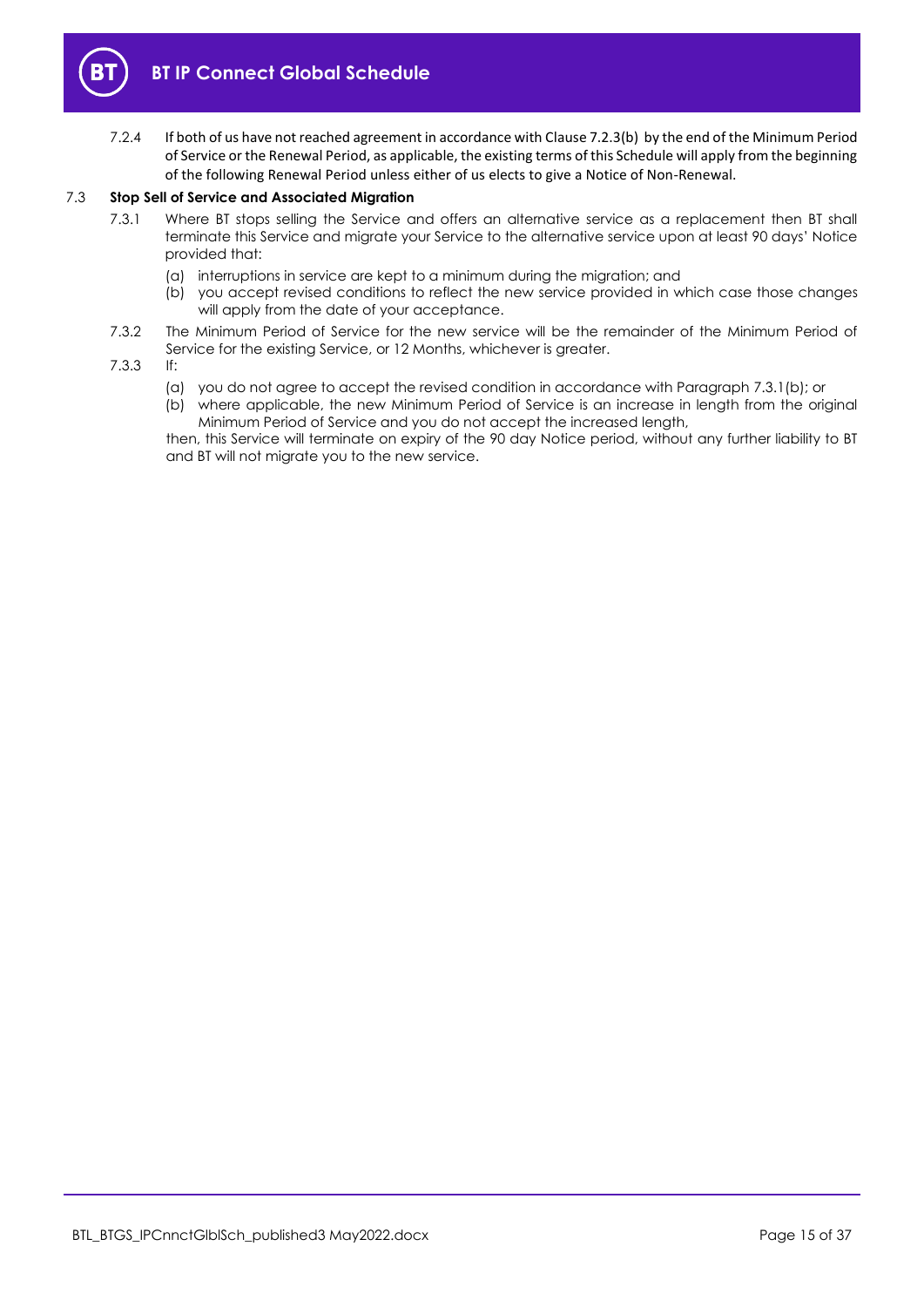

7.2.4 If both of us have not reached agreement in accordance with Claus[e 7.2.3\(b\)](#page-13-2) by the end of the Minimum Period of Service or the Renewal Period, as applicable, the existing terms of this Schedule will apply from the beginning of the following Renewal Period unless either of us elects to give a Notice of Non-Renewal.

## 7.3 **Stop Sell of Service and Associated Migration**

- 7.3.1 Where BT stops selling the Service and offers an alternative service as a replacement then BT shall terminate this Service and migrate your Service to the alternative service upon at least 90 days' Notice provided that:
	- (a) interruptions in service are kept to a minimum during the migration; and
	- (b) you accept revised conditions to reflect the new service provided in which case those changes will apply from the date of your acceptance.
- 7.3.2 The Minimum Period of Service for the new service will be the remainder of the Minimum Period of Service for the existing Service, or 12 Months, whichever is greater.
- 7.3.3 If:
	- (a) you do not agree to accept the revised condition in accordance with Paragraph 7.3.1(b); or
	- (b) where applicable, the new Minimum Period of Service is an increase in length from the original Minimum Period of Service and you do not accept the increased length,

then, this Service will terminate on expiry of the 90 day Notice period, without any further liability to BT and BT will not migrate you to the new service.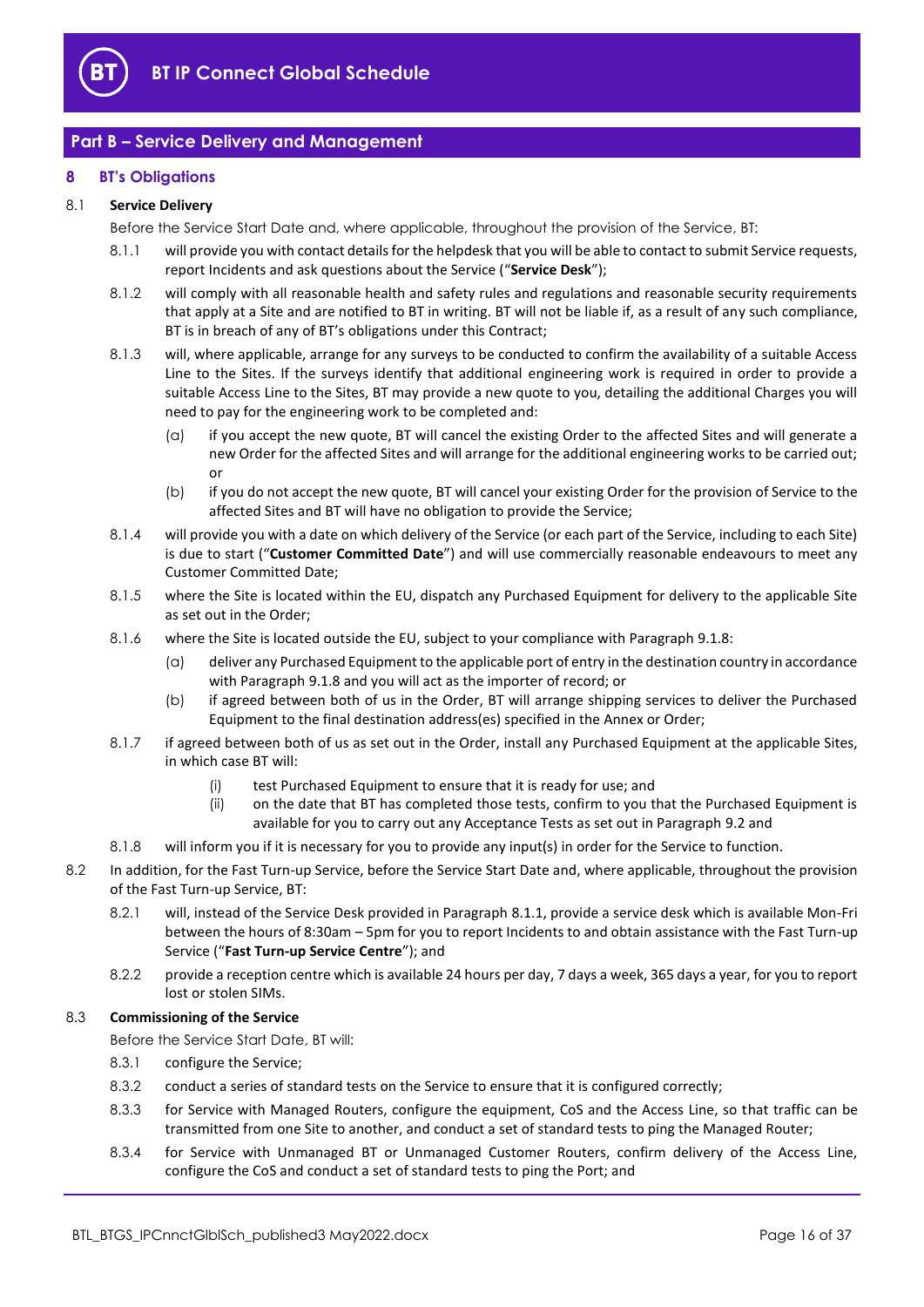

# <span id="page-15-0"></span>**Part B – Service Delivery and Management**

## <span id="page-15-1"></span>**8 BT's Obligations**

## <span id="page-15-2"></span>8.1 **Service Delivery**

Before the Service Start Date and, where applicable, throughout the provision of the Service, BT:

- 8.1.1 will provide you with contact details for the helpdesk that you will be able to contact to submit Service requests, report Incidents and ask questions about the Service ("**Service Desk**");
- 8.1.2 will comply with all reasonable health and safety rules and regulations and reasonable security requirements that apply at a Site and are notified to BT in writing. BT will not be liable if, as a result of any such compliance, BT is in breach of any of BT's obligations under this Contract;
- 8.1.3 will, where applicable, arrange for any surveys to be conducted to confirm the availability of a suitable Access Line to the Sites. If the surveys identify that additional engineering work is required in order to provide a suitable Access Line to the Sites, BT may provide a new quote to you, detailing the additional Charges you will need to pay for the engineering work to be completed and:
	- (a) if you accept the new quote, BT will cancel the existing Order to the affected Sites and will generate a new Order for the affected Sites and will arrange for the additional engineering works to be carried out; or
	- (b) if you do not accept the new quote, BT will cancel your existing Order for the provision of Service to the affected Sites and BT will have no obligation to provide the Service;
- <span id="page-15-7"></span>8.1.4 will provide you with a date on which delivery of the Service (or each part of the Service, including to each Site) is due to start ("**Customer Committed Date**") and will use commercially reasonable endeavours to meet any Customer Committed Date;
- 8.1.5 where the Site is located within the EU, dispatch any Purchased Equipment for delivery to the applicable Site as set out in the Order;
- 8.1.6 where the Site is located outside the EU, subject to your compliance with Paragrap[h 9.1.8:](#page-17-1)
	- (a) deliver any Purchased Equipment to the applicable port of entry in the destination country in accordance with Paragraph [9.1.8](#page-17-1) and you will act as the importer of record; or
	- (b) if agreed between both of us in the Order, BT will arrange shipping services to deliver the Purchased Equipment to the final destination address(es) specified in the Annex or Order;
- 8.1.7 if agreed between both of us as set out in the Order, install any Purchased Equipment at the applicable Sites, in which case BT will:
	- (i) test Purchased Equipment to ensure that it is ready for use; and
	- (ii) on the date that BT has completed those tests, confirm to you that the Purchased Equipment is available for you to carry out any Acceptance Tests as set out in Paragrap[h 9.2](#page-19-0) and
- <span id="page-15-5"></span>8.1.8 will inform you if it is necessary for you to provide any input(s) in order for the Service to function.
- <span id="page-15-8"></span>8.2 In addition, for the Fast Turn-up Service, before the Service Start Date and, where applicable, throughout the provision of the Fast Turn-up Service, BT:
	- 8.2.1 will, instead of the Service Desk provided in Paragrap[h 8.1.1,](#page-15-2) provide a service desk which is available Mon-Fri between the hours of 8:30am – 5pm for you to report Incidents to and obtain assistance with the Fast Turn-up Service ("**Fast Turn-up Service Centre**"); and
	- 8.2.2 provide a reception centre which is available 24 hours per day, 7 days a week, 365 days a year, for you to report lost or stolen SIMs.

## <span id="page-15-6"></span>8.3 **Commissioning of the Service**

Before the Service Start Date, BT will:

- 8.3.1 configure the Service;
- 8.3.2 conduct a series of standard tests on the Service to ensure that it is configured correctly;
- <span id="page-15-3"></span>8.3.3 for Service with Managed Routers, configure the equipment, CoS and the Access Line, so that traffic can be transmitted from one Site to another, and conduct a set of standard tests to ping the Managed Router;
- <span id="page-15-4"></span>8.3.4 for Service with Unmanaged BT or Unmanaged Customer Routers, confirm delivery of the Access Line, configure the CoS and conduct a set of standard tests to ping the Port; and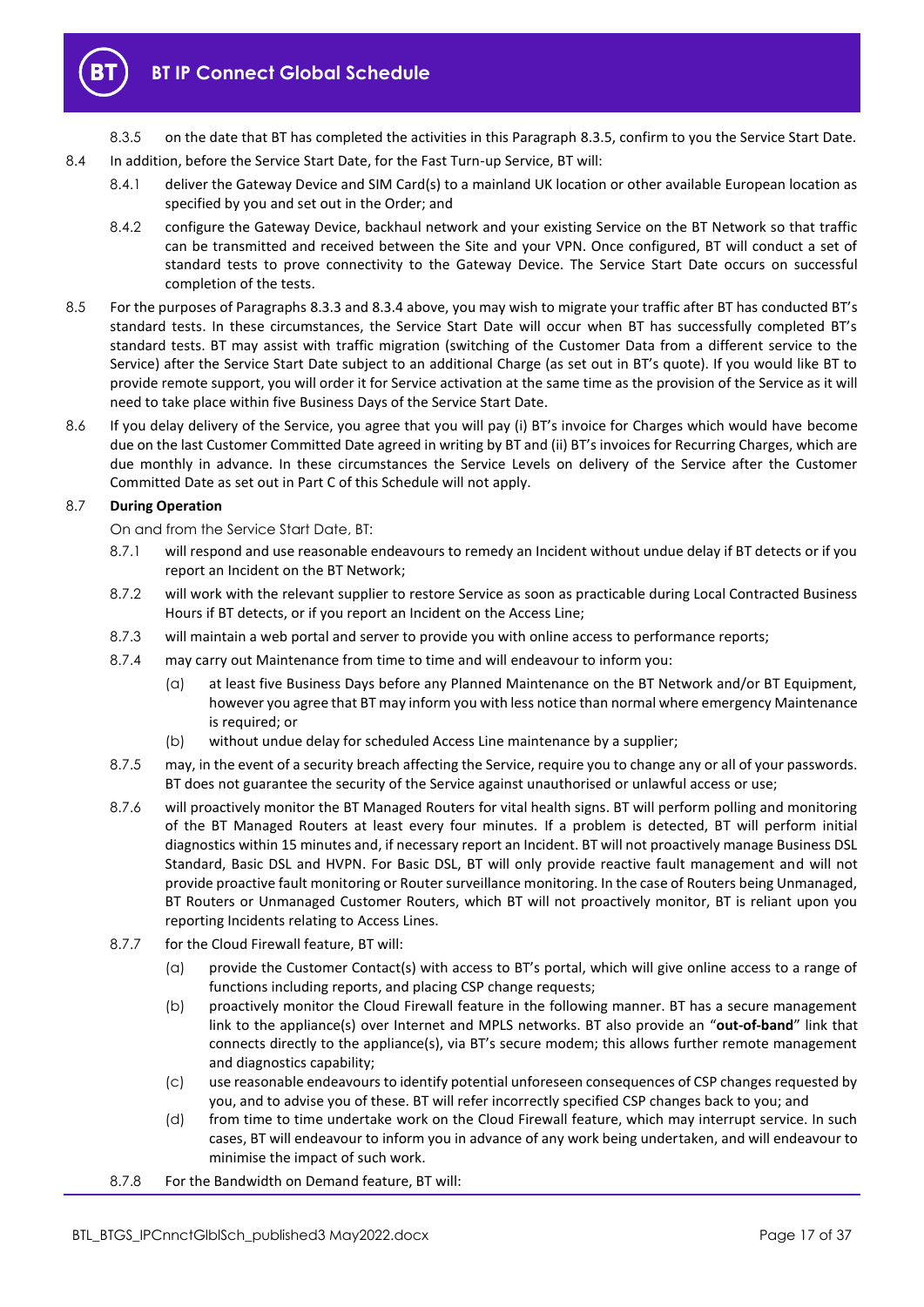

8.3.5 on the date that BT has completed the activities in this Paragraph [8.3.5,](#page-16-1) confirm to you the Service Start Date.

- <span id="page-16-1"></span>8.4 In addition, before the Service Start Date, for the Fast Turn-up Service, BT will:
	- 8.4.1 deliver the Gateway Device and SIM Card(s) to a mainland UK location or other available European location as specified by you and set out in the Order; and
	- 8.4.2 configure the Gateway Device, backhaul network and your existing Service on the BT Network so that traffic can be transmitted and received between the Site and your VPN. Once configured, BT will conduct a set of standard tests to prove connectivity to the Gateway Device. The Service Start Date occurs on successful completion of the tests.
- 8.5 For the purposes of Paragraphs [8.3.3](#page-15-3) an[d 8.3.4](#page-15-4) above, you may wish to migrate your traffic after BT has conducted BT's standard tests. In these circumstances, the Service Start Date will occur when BT has successfully completed BT's standard tests. BT may assist with traffic migration (switching of the Customer Data from a different service to the Service) after the Service Start Date subject to an additional Charge (as set out in BT's quote). If you would like BT to provide remote support, you will order it for Service activation at the same time as the provision of the Service as it will need to take place within five Business Days of the Service Start Date.
- 8.6 If you delay delivery of the Service, you agree that you will pay (i) BT's invoice for Charges which would have become due on the last Customer Committed Date agreed in writing by BT and (ii) BT's invoices for Recurring Charges, which are due monthly in advance. In these circumstances the Service Levels on delivery of the Service after the Customer Committed Date as set out in Part C of this Schedule will not apply.

## <span id="page-16-2"></span>8.7 **During Operation**

On and from the Service Start Date, BT:

- 8.7.1 will respond and use reasonable endeavours to remedy an Incident without undue delay if BT detects or if you report an Incident on the BT Network;
- <span id="page-16-3"></span>8.7.2 will work with the relevant supplier to restore Service as soon as practicable during Local Contracted Business Hours if BT detects, or if you report an Incident on the Access Line;
- 8.7.3 will maintain a web portal and server to provide you with online access to performance reports;
- 8.7.4 may carry out Maintenance from time to time and will endeavour to inform you:
	- (a) at least five Business Days before any Planned Maintenance on the BT Network and/or BT Equipment, however you agree that BT may inform you with less notice than normal where emergency Maintenance is required; or
	- (b) without undue delay for scheduled Access Line maintenance by a supplier;
- 8.7.5 may, in the event of a security breach affecting the Service, require you to change any or all of your passwords. BT does not guarantee the security of the Service against unauthorised or unlawful access or use;
- <span id="page-16-0"></span>8.7.6 will proactively monitor the BT Managed Routers for vital health signs. BT will perform polling and monitoring of the BT Managed Routers at least every four minutes. If a problem is detected, BT will perform initial diagnostics within 15 minutes and, if necessary report an Incident. BT will not proactively manage Business DSL Standard, Basic DSL and HVPN. For Basic DSL, BT will only provide reactive fault management and will not provide proactive fault monitoring or Router surveillance monitoring. In the case of Routers being Unmanaged, BT Routers or Unmanaged Customer Routers, which BT will not proactively monitor, BT is reliant upon you reporting Incidents relating to Access Lines.
- 8.7.7 for the Cloud Firewall feature, BT will:
	- (a) provide the Customer Contact(s) with access to BT's portal, which will give online access to a range of functions including reports, and placing CSP change requests;
	- (b) proactively monitor the Cloud Firewall feature in the following manner. BT has a secure management link to the appliance(s) over Internet and MPLS networks. BT also provide an "**out-of-band**" link that connects directly to the appliance(s), via BT's secure modem; this allows further remote management and diagnostics capability;
	- (c) use reasonable endeavours to identify potential unforeseen consequences of CSP changes requested by you, and to advise you of these. BT will refer incorrectly specified CSP changes back to you; and
	- (d) from time to time undertake work on the Cloud Firewall feature, which may interrupt service. In such cases, BT will endeavour to inform you in advance of any work being undertaken, and will endeavour to minimise the impact of such work.
- 8.7.8 For the Bandwidth on Demand feature, BT will: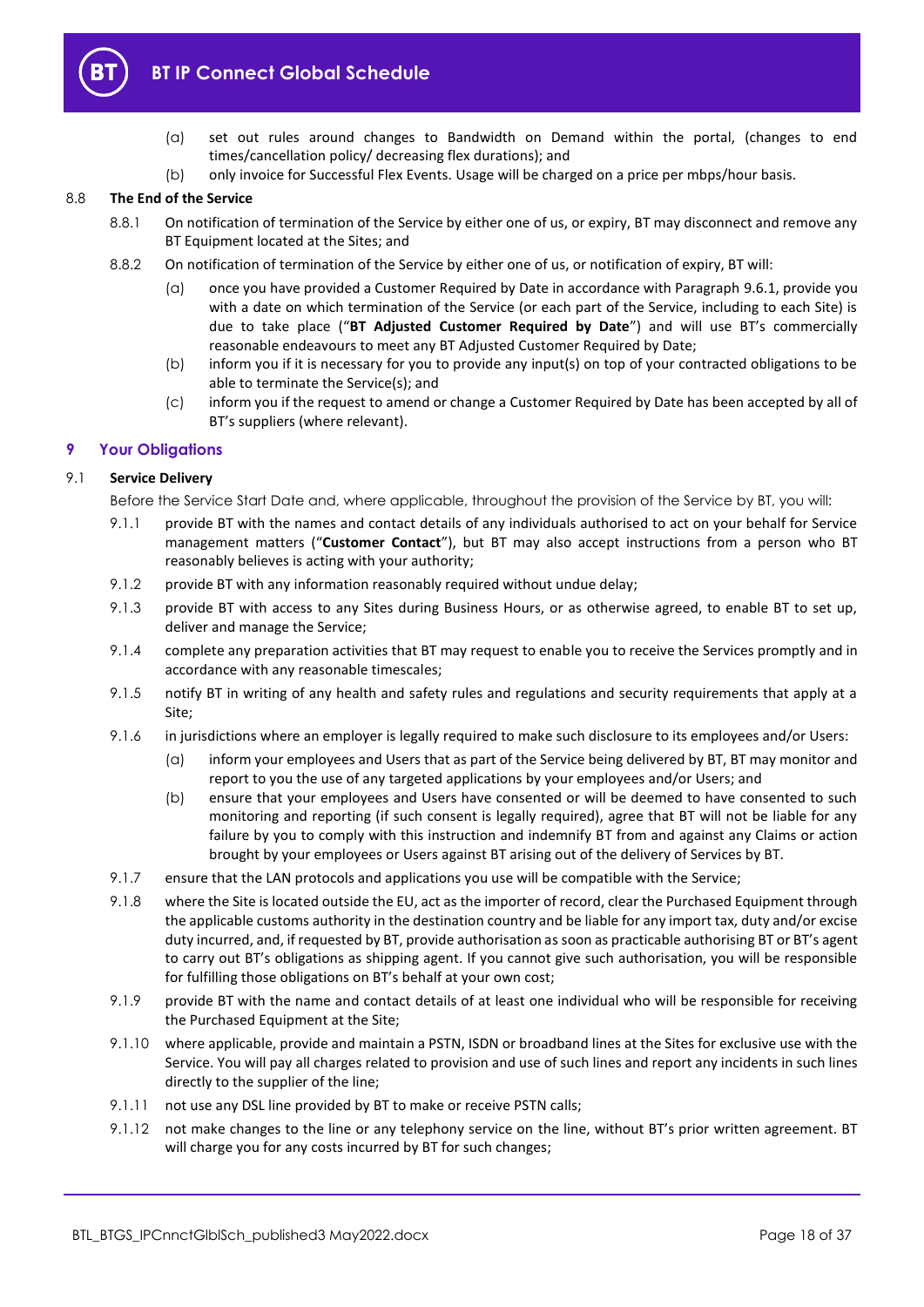

- (a) set out rules around changes to Bandwidth on Demand within the portal, (changes to end times/cancellation policy/ decreasing flex durations); and
- (b) only invoice for Successful Flex Events. Usage will be charged on a price per mbps/hour basis.

## 8.8 **The End of the Service**

- 8.8.1 On notification of termination of the Service by either one of us, or expiry, BT may disconnect and remove any BT Equipment located at the Sites; and
- 8.8.2 On notification of termination of the Service by either one of us, or notification of expiry, BT will:
	- (a) once you have provided a Customer Required by Date in accordance with Paragraph [9.6.1,](#page-21-0) provide you with a date on which termination of the Service (or each part of the Service, including to each Site) is due to take place ("**BT Adjusted Customer Required by Date**") and will use BT's commercially reasonable endeavours to meet any BT Adjusted Customer Required by Date;
	- (b) inform you if it is necessary for you to provide any input(s) on top of your contracted obligations to be able to terminate the Service(s); and
	- (c) inform you if the request to amend or change a Customer Required by Date has been accepted by all of BT's suppliers (where relevant).

## <span id="page-17-0"></span>**9 Your Obligations**

## <span id="page-17-2"></span>9.1 **Service Delivery**

Before the Service Start Date and, where applicable, throughout the provision of the Service by BT, you will:

- 9.1.1 provide BT with the names and contact details of any individuals authorised to act on your behalf for Service management matters ("**Customer Contact**"), but BT may also accept instructions from a person who BT reasonably believes is acting with your authority;
- 9.1.2 provide BT with any information reasonably required without undue delay;
- 9.1.3 provide BT with access to any Sites during Business Hours, or as otherwise agreed, to enable BT to set up, deliver and manage the Service;
- 9.1.4 complete any preparation activities that BT may request to enable you to receive the Services promptly and in accordance with any reasonable timescales;
- 9.1.5 notify BT in writing of any health and safety rules and regulations and security requirements that apply at a Site;
- 9.1.6 in jurisdictions where an employer is legally required to make such disclosure to its employees and/or Users:
	- (a) inform your employees and Users that as part of the Service being delivered by BT, BT may monitor and report to you the use of any targeted applications by your employees and/or Users; and
	- (b) ensure that your employees and Users have consented or will be deemed to have consented to such monitoring and reporting (if such consent is legally required), agree that BT will not be liable for any failure by you to comply with this instruction and indemnify BT from and against any Claims or action brought by your employees or Users against BT arising out of the delivery of Services by BT.
- 9.1.7 ensure that the LAN protocols and applications you use will be compatible with the Service;
- <span id="page-17-1"></span>9.1.8 where the Site is located outside the EU, act as the importer of record, clear the Purchased Equipment through the applicable customs authority in the destination country and be liable for any import tax, duty and/or excise duty incurred, and, if requested by BT, provide authorisation as soon as practicable authorising BT or BT's agent to carry out BT's obligations as shipping agent. If you cannot give such authorisation, you will be responsible for fulfilling those obligations on BT's behalf at your own cost;
- 9.1.9 provide BT with the name and contact details of at least one individual who will be responsible for receiving the Purchased Equipment at the Site;
- 9.1.10 where applicable, provide and maintain a PSTN, ISDN or broadband lines at the Sites for exclusive use with the Service. You will pay all charges related to provision and use of such lines and report any incidents in such lines directly to the supplier of the line;
- 9.1.11 not use any DSL line provided by BT to make or receive PSTN calls;
- 9.1.12 not make changes to the line or any telephony service on the line, without BT's prior written agreement. BT will charge you for any costs incurred by BT for such changes;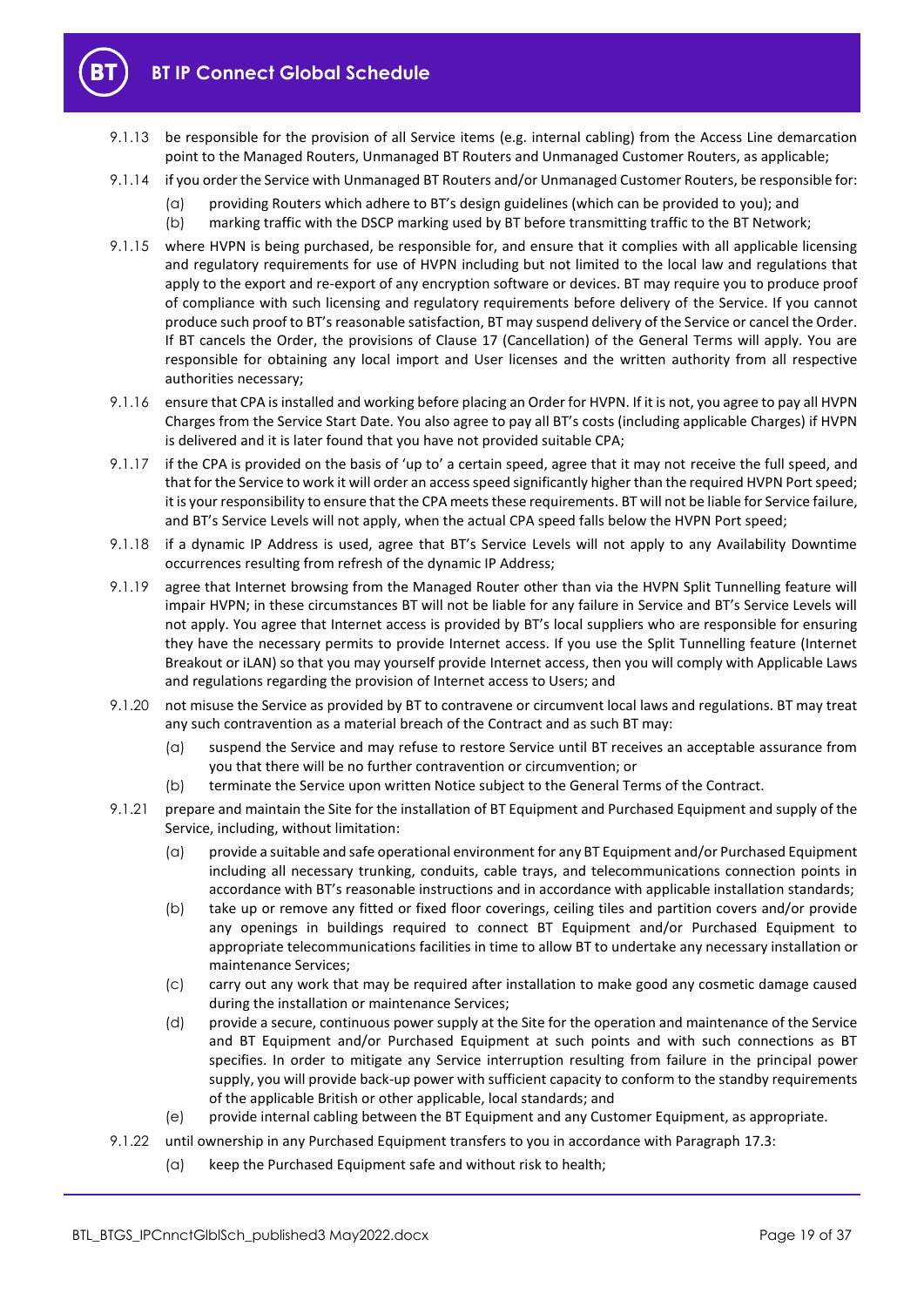

- 9.1.13 be responsible for the provision of all Service items (e.g. internal cabling) from the Access Line demarcation point to the Managed Routers, Unmanaged BT Routers and Unmanaged Customer Routers, as applicable;
- 9.1.14 if you order the Service with Unmanaged BT Routers and/or Unmanaged Customer Routers, be responsible for:
	- (a) providing Routers which adhere to BT's design guidelines (which can be provided to you); and
	- (b) marking traffic with the DSCP marking used by BT before transmitting traffic to the BT Network;
- 9.1.15 where HVPN is being purchased, be responsible for, and ensure that it complies with all applicable licensing and regulatory requirements for use of HVPN including but not limited to the local law and regulations that apply to the export and re-export of any encryption software or devices. BT may require you to produce proof of compliance with such licensing and regulatory requirements before delivery of the Service. If you cannot produce such proof to BT's reasonable satisfaction, BT may suspend delivery of the Service or cancel the Order. If BT cancels the Order, the provisions of Clause 17 (Cancellation) of the General Terms will apply. You are responsible for obtaining any local import and User licenses and the written authority from all respective authorities necessary;
- 9.1.16 ensure that CPA is installed and working before placing an Order for HVPN. If it is not, you agree to pay all HVPN Charges from the Service Start Date. You also agree to pay all BT's costs (including applicable Charges) if HVPN is delivered and it is later found that you have not provided suitable CPA;
- 9.1.17 if the CPA is provided on the basis of 'up to' a certain speed, agree that it may not receive the full speed, and that for the Service to work it will order an access speed significantly higher than the required HVPN Port speed; it is your responsibility to ensure that the CPA meets these requirements. BT will not be liable for Service failure, and BT's Service Levels will not apply, when the actual CPA speed falls below the HVPN Port speed;
- 9.1.18 if a dynamic IP Address is used, agree that BT's Service Levels will not apply to any Availability Downtime occurrences resulting from refresh of the dynamic IP Address;
- 9.1.19 agree that Internet browsing from the Managed Router other than via the HVPN Split Tunnelling feature will impair HVPN; in these circumstances BT will not be liable for any failure in Service and BT's Service Levels will not apply. You agree that Internet access is provided by BT's local suppliers who are responsible for ensuring they have the necessary permits to provide Internet access. If you use the Split Tunnelling feature (Internet Breakout or iLAN) so that you may yourself provide Internet access, then you will comply with Applicable Laws and regulations regarding the provision of Internet access to Users; and
- 9.1.20 not misuse the Service as provided by BT to contravene or circumvent local laws and regulations. BT may treat any such contravention as a material breach of the Contract and as such BT may:
	- (a) suspend the Service and may refuse to restore Service until BT receives an acceptable assurance from you that there will be no further contravention or circumvention; or
	- (b) terminate the Service upon written Notice subject to the General Terms of the Contract.
- 9.1.21 prepare and maintain the Site for the installation of BT Equipment and Purchased Equipment and supply of the Service, including, without limitation:
	- (a) provide a suitable and safe operational environment for any BT Equipment and/or Purchased Equipment including all necessary trunking, conduits, cable trays, and telecommunications connection points in accordance with BT's reasonable instructions and in accordance with applicable installation standards;
	- (b) take up or remove any fitted or fixed floor coverings, ceiling tiles and partition covers and/or provide any openings in buildings required to connect BT Equipment and/or Purchased Equipment to appropriate telecommunications facilities in time to allow BT to undertake any necessary installation or maintenance Services;
	- (c) carry out any work that may be required after installation to make good any cosmetic damage caused during the installation or maintenance Services;
	- (d) provide a secure, continuous power supply at the Site for the operation and maintenance of the Service and BT Equipment and/or Purchased Equipment at such points and with such connections as BT specifies. In order to mitigate any Service interruption resulting from failure in the principal power supply, you will provide back-up power with sufficient capacity to conform to the standby requirements of the applicable British or other applicable, local standards; and
	- (e) provide internal cabling between the BT Equipment and any Customer Equipment, as appropriate.
- 9.1.22 until ownership in any Purchased Equipment transfers to you in accordance with Paragrap[h 17.3:](#page-25-2)
	- (a) keep the Purchased Equipment safe and without risk to health;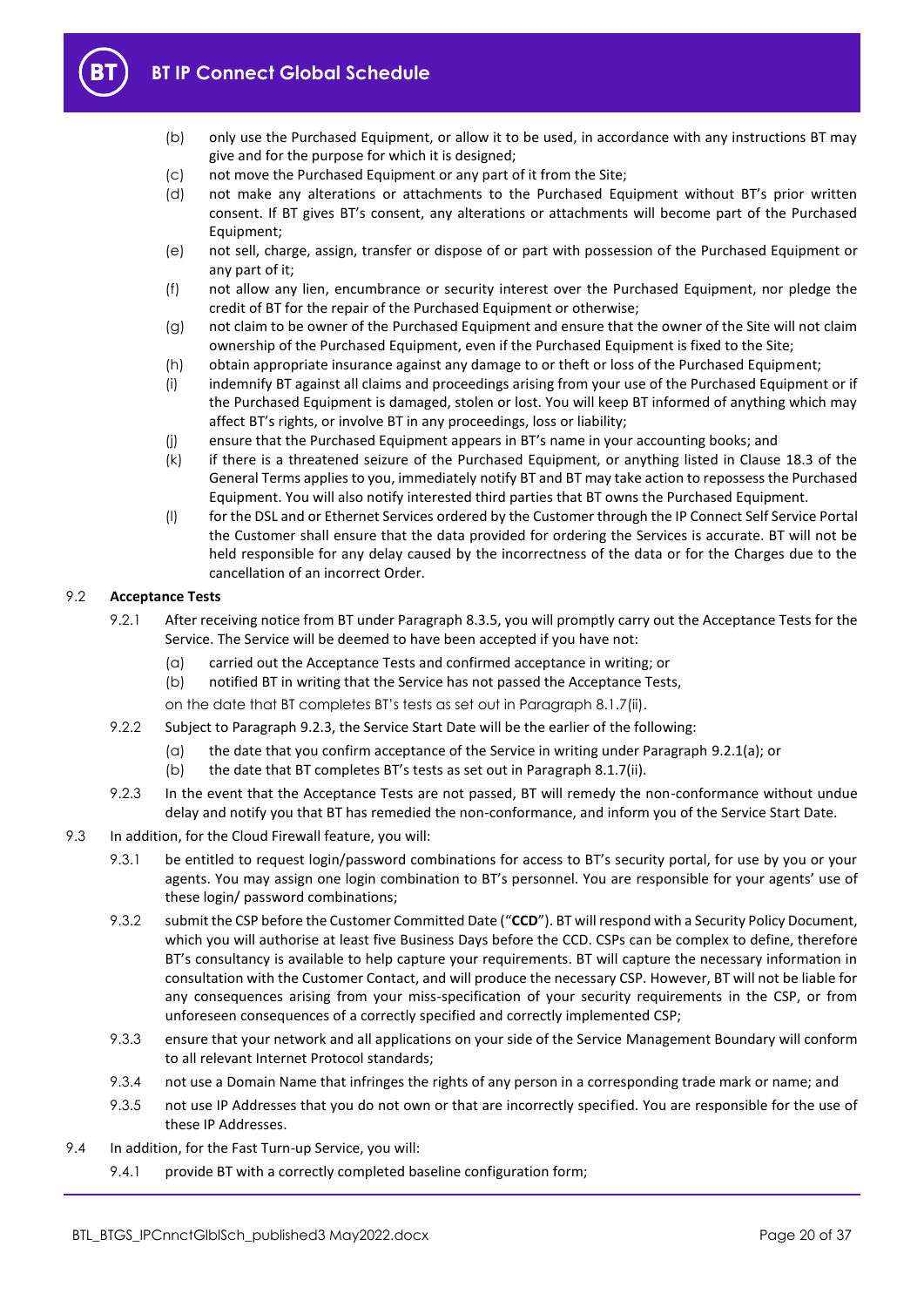

- (b) only use the Purchased Equipment, or allow it to be used, in accordance with any instructions BT may give and for the purpose for which it is designed;
- (c) not move the Purchased Equipment or any part of it from the Site;
- (d) not make any alterations or attachments to the Purchased Equipment without BT's prior written consent. If BT gives BT's consent, any alterations or attachments will become part of the Purchased Equipment;
- (e) not sell, charge, assign, transfer or dispose of or part with possession of the Purchased Equipment or any part of it;
- (f) not allow any lien, encumbrance or security interest over the Purchased Equipment, nor pledge the credit of BT for the repair of the Purchased Equipment or otherwise;
- (g) not claim to be owner of the Purchased Equipment and ensure that the owner of the Site will not claim ownership of the Purchased Equipment, even if the Purchased Equipment is fixed to the Site;
- (h) obtain appropriate insurance against any damage to or theft or loss of the Purchased Equipment;
- (i) indemnify BT against all claims and proceedings arising from your use of the Purchased Equipment or if the Purchased Equipment is damaged, stolen or lost. You will keep BT informed of anything which may affect BT's rights, or involve BT in any proceedings, loss or liability;
- (j) ensure that the Purchased Equipment appears in BT's name in your accounting books; and
- (k) if there is a threatened seizure of the Purchased Equipment, or anything listed in Clause 18.3 of the General Terms applies to you, immediately notify BT and BT may take action to repossess the Purchased Equipment. You will also notify interested third parties that BT owns the Purchased Equipment.
- (l) for the DSL and or Ethernet Services ordered by the Customer through the IP Connect Self Service Portal the Customer shall ensure that the data provided for ordering the Services is accurate. BT will not be held responsible for any delay caused by the incorrectness of the data or for the Charges due to the cancellation of an incorrect Order.

#### <span id="page-19-0"></span>9.2 **Acceptance Tests**

- <span id="page-19-2"></span>9.2.1 After receiving notice from BT under Paragrap[h 8.3.5,](#page-16-1) you will promptly carry out the Acceptance Tests for the Service. The Service will be deemed to have been accepted if you have not:
	- (a) carried out the Acceptance Tests and confirmed acceptance in writing; or
	- (b) notified BT in writing that the Service has not passed the Acceptance Tests,
	- on the date that BT completes BT's tests as set out in Paragraph [8.1.7\(ii\).](#page-15-5)
- <span id="page-19-4"></span>9.2.2 Subject to Paragrap[h 9.2.3,](#page-19-1) the Service Start Date will be the earlier of the following:
	- (a) the date that you confirm acceptance of the Service in writing under Paragraph [9.2.1\(a\);](#page-19-2) or
	- (b) the date that BT completes BT's tests as set out in Paragrap[h 8.1.7\(ii\).](#page-15-5)
- <span id="page-19-1"></span>9.2.3 In the event that the Acceptance Tests are not passed, BT will remedy the non-conformance without undue delay and notify you that BT has remedied the non-conformance, and inform you of the Service Start Date.
- 9.3 In addition, for the Cloud Firewall feature, you will:
	- 9.3.1 be entitled to request login/password combinations for access to BT's security portal, for use by you or your agents. You may assign one login combination to BT's personnel. You are responsible for your agents' use of these login/ password combinations;
	- 9.3.2 submit the CSP before the Customer Committed Date ("**CCD**"). BT will respond with a Security Policy Document, which you will authorise at least five Business Days before the CCD. CSPs can be complex to define, therefore BT's consultancy is available to help capture your requirements. BT will capture the necessary information in consultation with the Customer Contact, and will produce the necessary CSP. However, BT will not be liable for any consequences arising from your miss-specification of your security requirements in the CSP, or from unforeseen consequences of a correctly specified and correctly implemented CSP;
	- 9.3.3 ensure that your network and all applications on your side of the Service Management Boundary will conform to all relevant Internet Protocol standards;
	- 9.3.4 not use a Domain Name that infringes the rights of any person in a corresponding trade mark or name; and
	- 9.3.5 not use IP Addresses that you do not own or that are incorrectly specified. You are responsible for the use of these IP Addresses.
- <span id="page-19-3"></span>9.4 In addition, for the Fast Turn-up Service, you will:
	- 9.4.1 provide BT with a correctly completed baseline configuration form;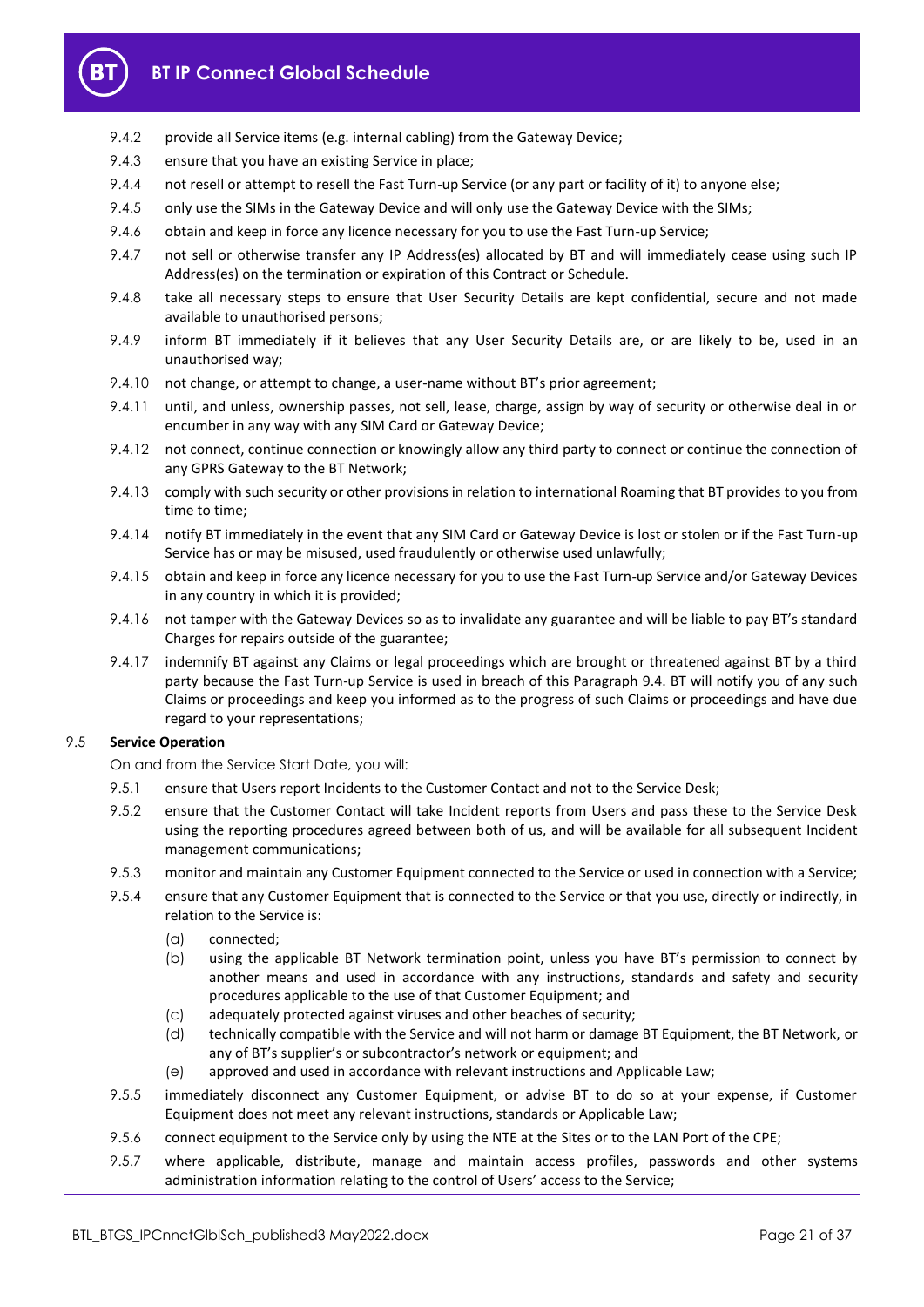

- 9.4.2 provide all Service items (e.g. internal cabling) from the Gateway Device;
- 9.4.3 ensure that you have an existing Service in place;
- 9.4.4 not resell or attempt to resell the Fast Turn-up Service (or any part or facility of it) to anyone else;
- 9.4.5 only use the SIMs in the Gateway Device and will only use the Gateway Device with the SIMs;
- 9.4.6 obtain and keep in force any licence necessary for you to use the Fast Turn-up Service;
- 9.4.7 not sell or otherwise transfer any IP Address(es) allocated by BT and will immediately cease using such IP Address(es) on the termination or expiration of this Contract or Schedule.
- 9.4.8 take all necessary steps to ensure that User Security Details are kept confidential, secure and not made available to unauthorised persons;
- 9.4.9 inform BT immediately if it believes that any User Security Details are, or are likely to be, used in an unauthorised way;
- 9.4.10 not change, or attempt to change, a user-name without BT's prior agreement;
- 9.4.11 until, and unless, ownership passes, not sell, lease, charge, assign by way of security or otherwise deal in or encumber in any way with any SIM Card or Gateway Device;
- 9.4.12 not connect, continue connection or knowingly allow any third party to connect or continue the connection of any GPRS Gateway to the BT Network;
- 9.4.13 comply with such security or other provisions in relation to international Roaming that BT provides to you from time to time;
- 9.4.14 notify BT immediately in the event that any SIM Card or Gateway Device is lost or stolen or if the Fast Turn-up Service has or may be misused, used fraudulently or otherwise used unlawfully;
- 9.4.15 obtain and keep in force any licence necessary for you to use the Fast Turn-up Service and/or Gateway Devices in any country in which it is provided;
- 9.4.16 not tamper with the Gateway Devices so as to invalidate any guarantee and will be liable to pay BT's standard Charges for repairs outside of the guarantee;
- 9.4.17 indemnify BT against any Claims or legal proceedings which are brought or threatened against BT by a third party because the Fast Turn-up Service is used in breach of this Paragraph [9.4.](#page-19-3) BT will notify you of any such Claims or proceedings and keep you informed as to the progress of such Claims or proceedings and have due regard to your representations;

## 9.5 **Service Operation**

On and from the Service Start Date, you will:

- 9.5.1 ensure that Users report Incidents to the Customer Contact and not to the Service Desk;
- 9.5.2 ensure that the Customer Contact will take Incident reports from Users and pass these to the Service Desk using the reporting procedures agreed between both of us, and will be available for all subsequent Incident management communications;
- 9.5.3 monitor and maintain any Customer Equipment connected to the Service or used in connection with a Service;
- 9.5.4 ensure that any Customer Equipment that is connected to the Service or that you use, directly or indirectly, in relation to the Service is:
	- (a) connected;
	- (b) using the applicable BT Network termination point, unless you have BT's permission to connect by another means and used in accordance with any instructions, standards and safety and security procedures applicable to the use of that Customer Equipment; and
	- (c) adequately protected against viruses and other beaches of security;
	- (d) technically compatible with the Service and will not harm or damage BT Equipment, the BT Network, or any of BT's supplier's or subcontractor's network or equipment; and
	- (e) approved and used in accordance with relevant instructions and Applicable Law;
- 9.5.5 immediately disconnect any Customer Equipment, or advise BT to do so at your expense, if Customer Equipment does not meet any relevant instructions, standards or Applicable Law;
- 9.5.6 connect equipment to the Service only by using the NTE at the Sites or to the LAN Port of the CPE;
- 9.5.7 where applicable, distribute, manage and maintain access profiles, passwords and other systems administration information relating to the control of Users' access to the Service;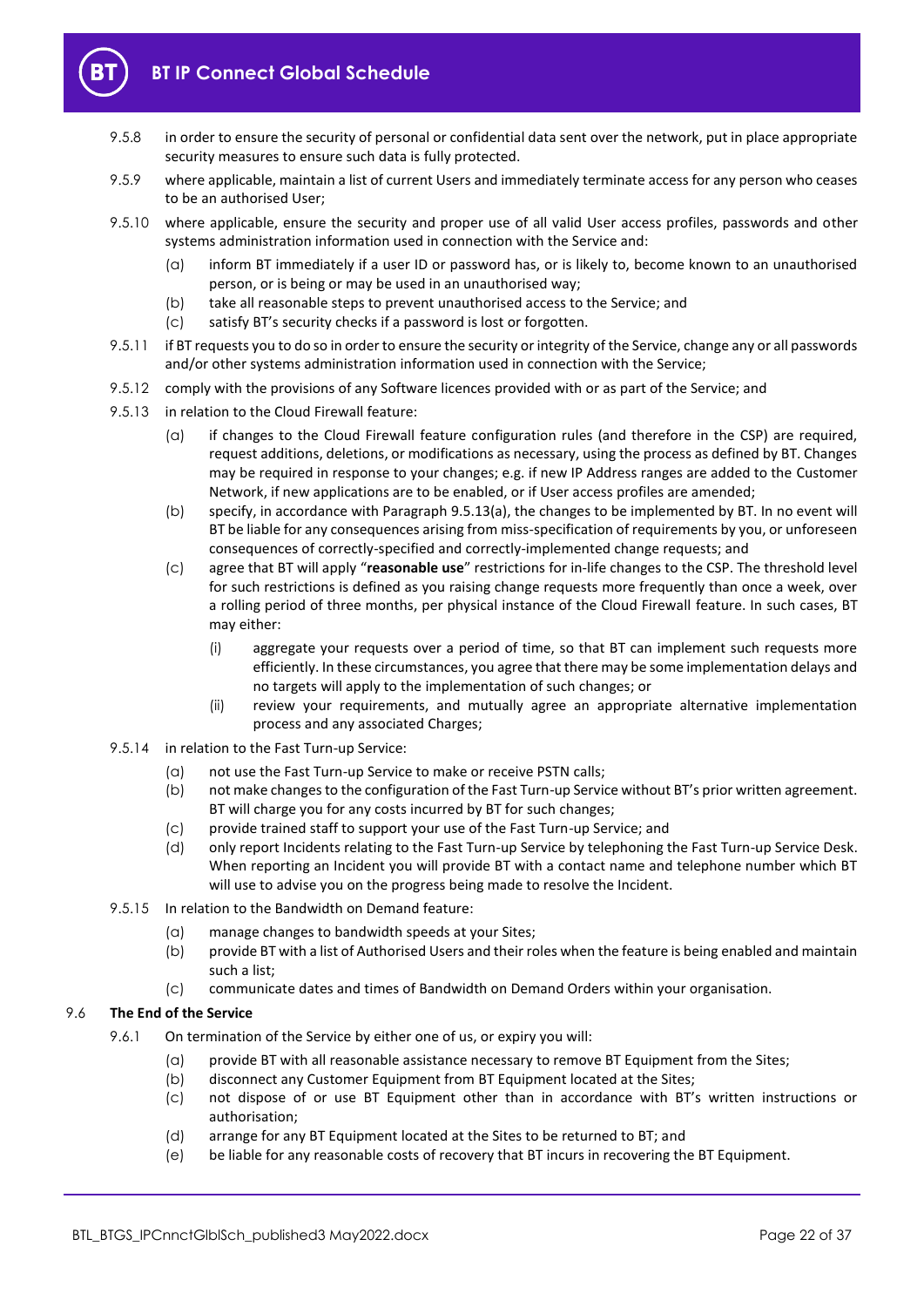

- 9.5.8 in order to ensure the security of personal or confidential data sent over the network, put in place appropriate security measures to ensure such data is fully protected.
- 9.5.9 where applicable, maintain a list of current Users and immediately terminate access for any person who ceases to be an authorised User;
- 9.5.10 where applicable, ensure the security and proper use of all valid User access profiles, passwords and other systems administration information used in connection with the Service and:
	- (a) inform BT immediately if a user ID or password has, or is likely to, become known to an unauthorised person, or is being or may be used in an unauthorised way;
	- (b) take all reasonable steps to prevent unauthorised access to the Service; and
	- (c) satisfy BT's security checks if a password is lost or forgotten.
- 9.5.11 if BT requests you to do so in order to ensure the security or integrity of the Service, change any or all passwords and/or other systems administration information used in connection with the Service;
- 9.5.12 comply with the provisions of any Software licences provided with or as part of the Service; and
- <span id="page-21-1"></span>9.5.13 in relation to the Cloud Firewall feature:
	- (a) if changes to the Cloud Firewall feature configuration rules (and therefore in the CSP) are required, request additions, deletions, or modifications as necessary, using the process as defined by BT. Changes may be required in response to your changes; e.g. if new IP Address ranges are added to the Customer Network, if new applications are to be enabled, or if User access profiles are amended;
	- (b) specify, in accordance with Paragrap[h 9.5.13\(a\),](#page-21-1) the changes to be implemented by BT. In no event will BT be liable for any consequences arising from miss-specification of requirements by you, or unforeseen consequences of correctly-specified and correctly-implemented change requests; and
	- (c) agree that BT will apply "**reasonable use**" restrictions for in-life changes to the CSP. The threshold level for such restrictions is defined as you raising change requests more frequently than once a week, over a rolling period of three months, per physical instance of the Cloud Firewall feature. In such cases, BT may either:
		- (i) aggregate your requests over a period of time, so that BT can implement such requests more efficiently. In these circumstances, you agree that there may be some implementation delays and no targets will apply to the implementation of such changes; or
		- (ii) review your requirements, and mutually agree an appropriate alternative implementation process and any associated Charges;
- 9.5.14 in relation to the Fast Turn-up Service:
	- (a) not use the Fast Turn-up Service to make or receive PSTN calls;
	- (b) not make changes to the configuration of the Fast Turn-up Service without BT's prior written agreement. BT will charge you for any costs incurred by BT for such changes;
	- (c) provide trained staff to support your use of the Fast Turn-up Service; and
	- (d) only report Incidents relating to the Fast Turn-up Service by telephoning the Fast Turn-up Service Desk. When reporting an Incident you will provide BT with a contact name and telephone number which BT will use to advise you on the progress being made to resolve the Incident.
- 9.5.15 In relation to the Bandwidth on Demand feature:
	- (a) manage changes to bandwidth speeds at your Sites;
	- (b) provide BT with a list of Authorised Users and their roles when the feature is being enabled and maintain such a list;
	- (c) communicate dates and times of Bandwidth on Demand Orders within your organisation.

## <span id="page-21-0"></span>9.6 **The End of the Service**

- 9.6.1 On termination of the Service by either one of us, or expiry you will:
	- (a) provide BT with all reasonable assistance necessary to remove BT Equipment from the Sites;
	- (b) disconnect any Customer Equipment from BT Equipment located at the Sites;
	- (c) not dispose of or use BT Equipment other than in accordance with BT's written instructions or authorisation;
	- (d) arrange for any BT Equipment located at the Sites to be returned to BT; and
	- (e) be liable for any reasonable costs of recovery that BT incurs in recovering the BT Equipment.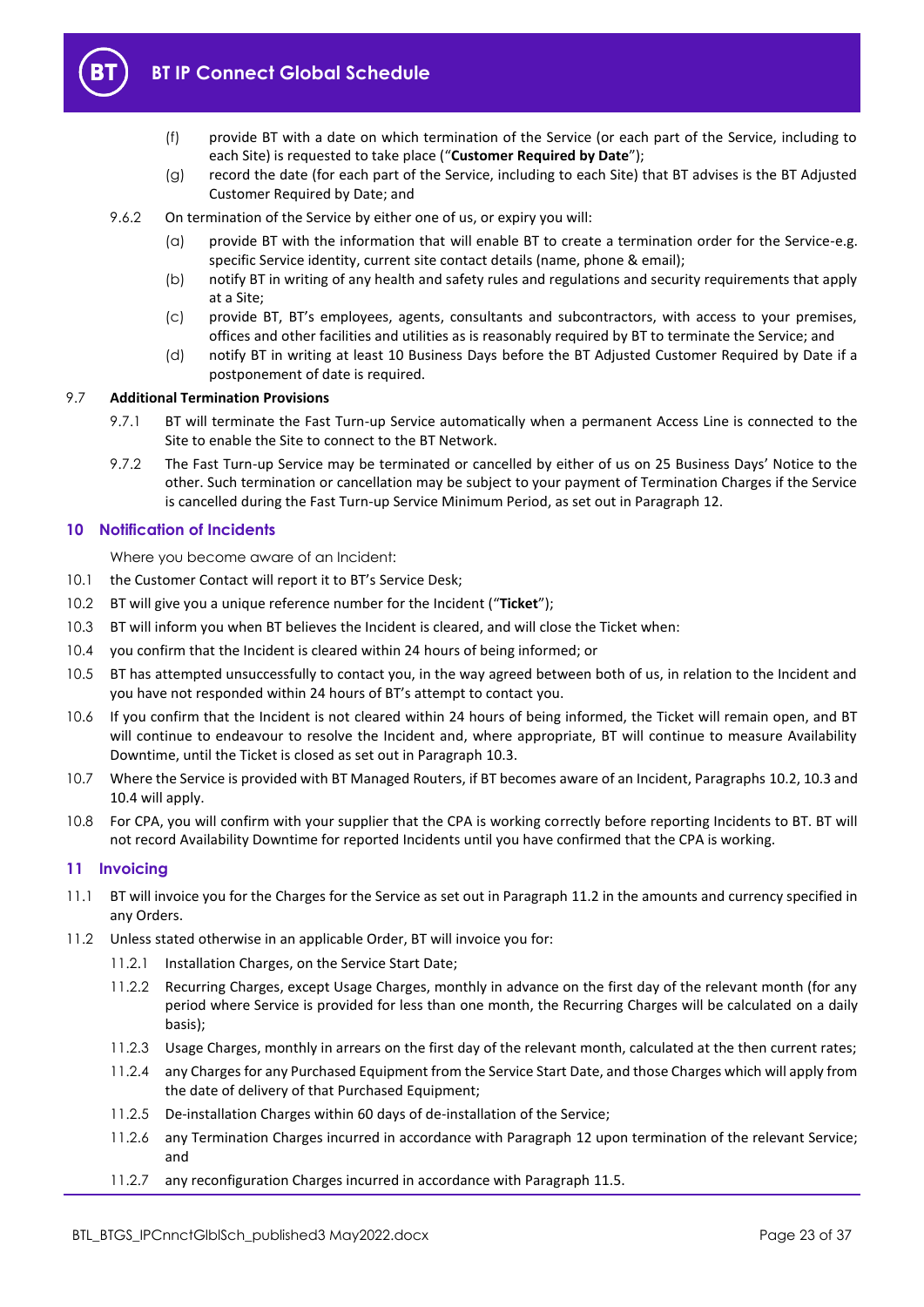<span id="page-22-5"></span>

- (f) provide BT with a date on which termination of the Service (or each part of the Service, including to each Site) is requested to take place ("**Customer Required by Date**");
- (g) record the date (for each part of the Service, including to each Site) that BT advises is the BT Adjusted Customer Required by Date; and
- 9.6.2 On termination of the Service by either one of us, or expiry you will:
	- (a) provide BT with the information that will enable BT to create a termination order for the Service-e.g. specific Service identity, current site contact details (name, phone & email);
	- (b) notify BT in writing of any health and safety rules and regulations and security requirements that apply at a Site;
	- (c) provide BT, BT's employees, agents, consultants and subcontractors, with access to your premises, offices and other facilities and utilities as is reasonably required by BT to terminate the Service; and
	- (d) notify BT in writing at least 10 Business Days before the BT Adjusted Customer Required by Date if a postponement of date is required.

## 9.7 **Additional Termination Provisions**

- 9.7.1 BT will terminate the Fast Turn-up Service automatically when a permanent Access Line is connected to the Site to enable the Site to connect to the BT Network.
- 9.7.2 The Fast Turn-up Service may be terminated or cancelled by either of us on 25 Business Days' Notice to the other. Such termination or cancellation may be subject to your payment of Termination Charges if the Service is cancelled during the Fast Turn-up Service Minimum Period, as set out in Paragraph [12.](#page-23-0)

## <span id="page-22-0"></span>**10 Notification of Incidents**

Where you become aware of an Incident:

- 10.1 the Customer Contact will report it to BT's Service Desk;
- <span id="page-22-3"></span>10.2 BT will give you a unique reference number for the Incident ("**Ticket**");
- <span id="page-22-2"></span>10.3 BT will inform you when BT believes the Incident is cleared, and will close the Ticket when:
- 10.4 you confirm that the Incident is cleared within 24 hours of being informed; or
- 10.5 BT has attempted unsuccessfully to contact you, in the way agreed between both of us, in relation to the Incident and you have not responded within 24 hours of BT's attempt to contact you.
- 10.6 If you confirm that the Incident is not cleared within 24 hours of being informed, the Ticket will remain open, and BT will continue to endeavour to resolve the Incident and, where appropriate, BT will continue to measure Availability Downtime, until the Ticket is closed as set out in Paragraph [10.3.](#page-22-2)
- 10.7 Where the Service is provided with BT Managed Routers, if BT becomes aware of an Incident, Paragraph[s 10.2,](#page-22-3) [10.3](#page-22-2) and 10.4 will apply.
- 10.8 For CPA, you will confirm with your supplier that the CPA is working correctly before reporting Incidents to BT. BT will not record Availability Downtime for reported Incidents until you have confirmed that the CPA is working.

#### <span id="page-22-1"></span>**11 Invoicing**

- 11.1 BT will invoice you for the Charges for the Service as set out in Paragraph [11.2](#page-22-4) in the amounts and currency specified in any Orders.
- <span id="page-22-4"></span>11.2 Unless stated otherwise in an applicable Order, BT will invoice you for:
	- 11.2.1 Installation Charges, on the Service Start Date;
	- 11.2.2 Recurring Charges, except Usage Charges, monthly in advance on the first day of the relevant month (for any period where Service is provided for less than one month, the Recurring Charges will be calculated on a daily basis);
	- 11.2.3 Usage Charges, monthly in arrears on the first day of the relevant month, calculated at the then current rates;
	- 11.2.4 any Charges for any Purchased Equipment from the Service Start Date, and those Charges which will apply from the date of delivery of that Purchased Equipment;
	- 11.2.5 De-installation Charges within 60 days of de-installation of the Service;
	- 11.2.6 any Termination Charges incurred in accordance with Paragraph [12](#page-23-0) upon termination of the relevant Service; and
	- 11.2.7 any reconfiguration Charges incurred in accordance with Paragrap[h 11.5.](#page-23-1)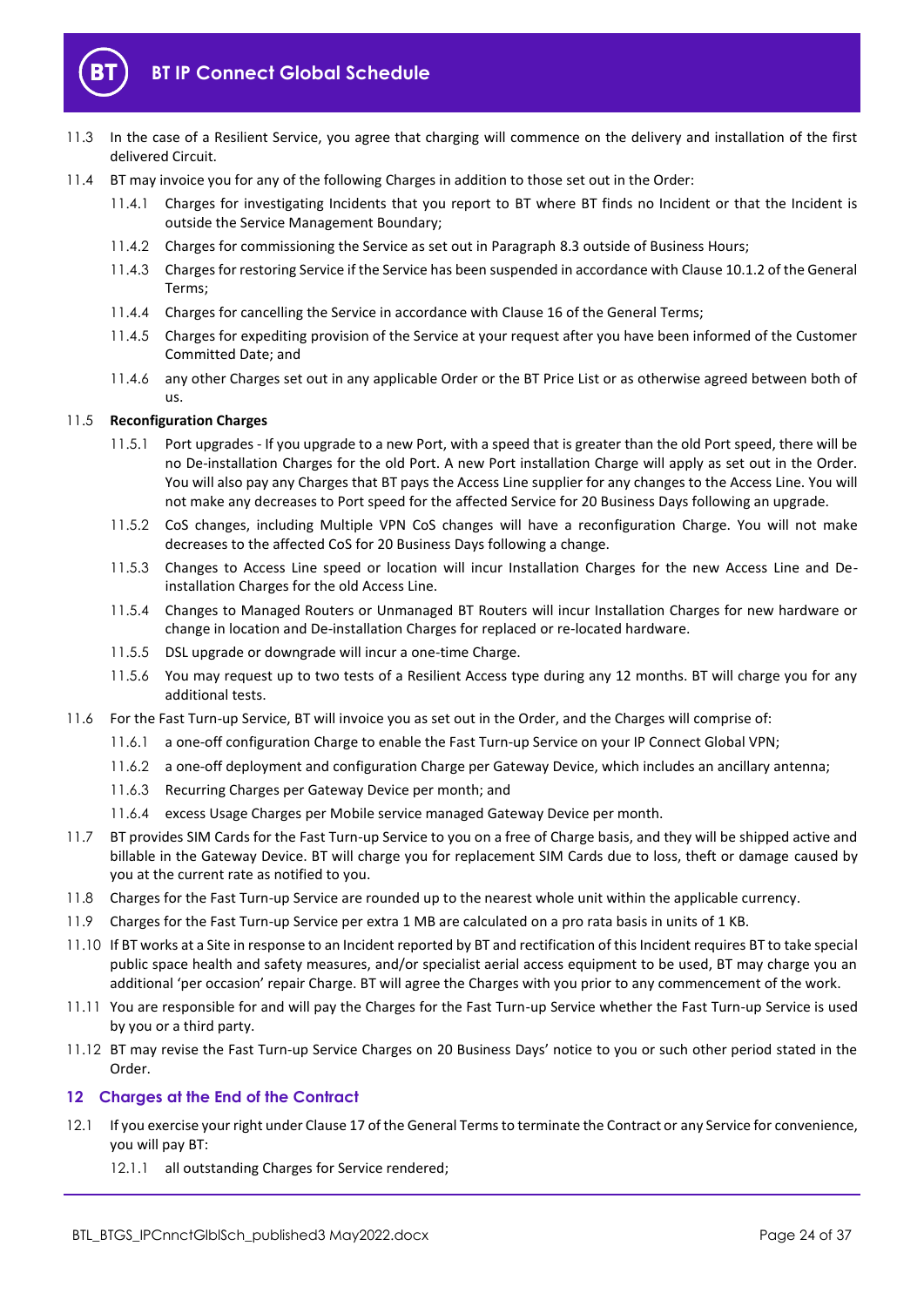

- 11.3 In the case of a Resilient Service, you agree that charging will commence on the delivery and installation of the first delivered Circuit.
- 11.4 BT may invoice you for any of the following Charges in addition to those set out in the Order:
	- 11.4.1 Charges for investigating Incidents that you report to BT where BT finds no Incident or that the Incident is outside the Service Management Boundary;
	- 11.4.2 Charges for commissioning the Service as set out in Paragrap[h 8.3](#page-15-6) outside of Business Hours;
	- 11.4.3 Charges for restoring Service if the Service has been suspended in accordance with Clause 10.1.2 of the General Terms;
	- 11.4.4 Charges for cancelling the Service in accordance with Clause 16 of the General Terms;
	- 11.4.5 Charges for expediting provision of the Service at your request after you have been informed of the Customer Committed Date; and
	- 11.4.6 any other Charges set out in any applicable Order or the BT Price List or as otherwise agreed between both of us.

## <span id="page-23-1"></span>11.5 **Reconfiguration Charges**

- 11.5.1 Port upgrades If you upgrade to a new Port, with a speed that is greater than the old Port speed, there will be no De-installation Charges for the old Port. A new Port installation Charge will apply as set out in the Order. You will also pay any Charges that BT pays the Access Line supplier for any changes to the Access Line. You will not make any decreases to Port speed for the affected Service for 20 Business Days following an upgrade.
- 11.5.2 CoS changes, including Multiple VPN CoS changes will have a reconfiguration Charge. You will not make decreases to the affected CoS for 20 Business Days following a change.
- 11.5.3 Changes to Access Line speed or location will incur Installation Charges for the new Access Line and Deinstallation Charges for the old Access Line.
- 11.5.4 Changes to Managed Routers or Unmanaged BT Routers will incur Installation Charges for new hardware or change in location and De-installation Charges for replaced or re-located hardware.
- 11.5.5 DSL upgrade or downgrade will incur a one-time Charge.
- 11.5.6 You may request up to two tests of a Resilient Access type during any 12 months. BT will charge you for any additional tests.
- 11.6 For the Fast Turn-up Service, BT will invoice you as set out in the Order, and the Charges will comprise of:
	- 11.6.1 a one-off configuration Charge to enable the Fast Turn-up Service on your IP Connect Global VPN;
	- 11.6.2 a one-off deployment and configuration Charge per Gateway Device, which includes an ancillary antenna;
	- 11.6.3 Recurring Charges per Gateway Device per month; and
	- 11.6.4 excess Usage Charges per Mobile service managed Gateway Device per month.
- 11.7 BT provides SIM Cards for the Fast Turn-up Service to you on a free of Charge basis, and they will be shipped active and billable in the Gateway Device. BT will charge you for replacement SIM Cards due to loss, theft or damage caused by you at the current rate as notified to you.
- 11.8 Charges for the Fast Turn-up Service are rounded up to the nearest whole unit within the applicable currency.
- 11.9 Charges for the Fast Turn-up Service per extra 1 MB are calculated on a pro rata basis in units of 1 KB.
- 11.10 If BT works at a Site in response to an Incident reported by BT and rectification of this Incident requires BT to take special public space health and safety measures, and/or specialist aerial access equipment to be used, BT may charge you an additional 'per occasion' repair Charge. BT will agree the Charges with you prior to any commencement of the work.
- 11.11 You are responsible for and will pay the Charges for the Fast Turn-up Service whether the Fast Turn-up Service is used by you or a third party.
- 11.12 BT may revise the Fast Turn-up Service Charges on 20 Business Days' notice to you or such other period stated in the Order.

## <span id="page-23-0"></span>**12 Charges at the End of the Contract**

- <span id="page-23-2"></span>12.1 If you exercise your right under Clause 17 of the General Terms to terminate the Contract or any Service for convenience, you will pay BT:
	- 12.1.1 all outstanding Charges for Service rendered;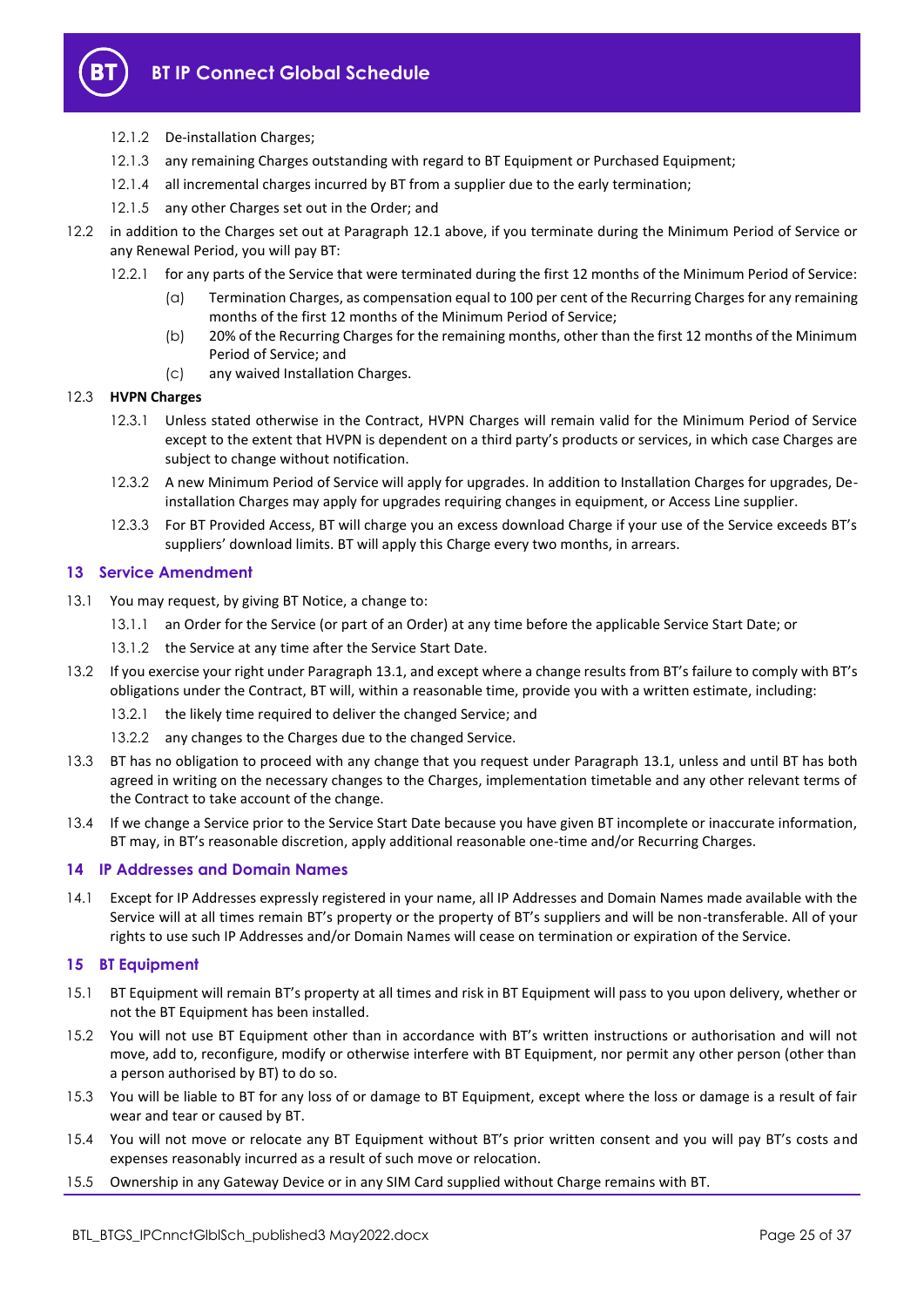

- 12.1.2 De-installation Charges;
- 12.1.3 any remaining Charges outstanding with regard to BT Equipment or Purchased Equipment;
- 12.1.4 all incremental charges incurred by BT from a supplier due to the early termination;
- 12.1.5 any other Charges set out in the Order; and
- 12.2 in addition to the Charges set out at Paragraph [12.1](#page-23-2) above, if you terminate during the Minimum Period of Service or any Renewal Period, you will pay BT:
	- 12.2.1 for any parts of the Service that were terminated during the first 12 months of the Minimum Period of Service:
		- (a) Termination Charges, as compensation equal to 100 per cent of the Recurring Charges for any remaining months of the first 12 months of the Minimum Period of Service;
		- (b) 20% of the Recurring Charges for the remaining months, other than the first 12 months of the Minimum Period of Service; and
		- (c) any waived Installation Charges.

## 12.3 **HVPN Charges**

- 12.3.1 Unless stated otherwise in the Contract, HVPN Charges will remain valid for the Minimum Period of Service except to the extent that HVPN is dependent on a third party's products or services, in which case Charges are subject to change without notification.
- 12.3.2 A new Minimum Period of Service will apply for upgrades. In addition to Installation Charges for upgrades, Deinstallation Charges may apply for upgrades requiring changes in equipment, or Access Line supplier.
- 12.3.3 For BT Provided Access, BT will charge you an excess download Charge if your use of the Service exceeds BT's suppliers' download limits. BT will apply this Charge every two months, in arrears.

## <span id="page-24-0"></span>**13 Service Amendment**

- <span id="page-24-4"></span>13.1 You may request, by giving BT Notice, a change to:
	- 13.1.1 an Order for the Service (or part of an Order) at any time before the applicable Service Start Date; or
	- 13.1.2 the Service at any time after the Service Start Date.
- 13.2 If you exercise your right under Paragrap[h 13.1](#page-24-4), and except where a change results from BT's failure to comply with BT's obligations under the Contract, BT will, within a reasonable time, provide you with a written estimate, including:
	- 13.2.1 the likely time required to deliver the changed Service; and
	- 13.2.2 any changes to the Charges due to the changed Service.
- 13.3 BT has no obligation to proceed with any change that you request under Paragraph [13.1,](#page-24-4) unless and until BT has both agreed in writing on the necessary changes to the Charges, implementation timetable and any other relevant terms of the Contract to take account of the change.
- 13.4 If we change a Service prior to the Service Start Date because you have given BT incomplete or inaccurate information, BT may, in BT's reasonable discretion, apply additional reasonable one-time and/or Recurring Charges.

## <span id="page-24-1"></span>**14 IP Addresses and Domain Names**

14.1 Except for IP Addresses expressly registered in your name, all IP Addresses and Domain Names made available with the Service will at all times remain BT's property or the property of BT's suppliers and will be non-transferable. All of your rights to use such IP Addresses and/or Domain Names will cease on termination or expiration of the Service.

## <span id="page-24-2"></span>**15 BT Equipment**

- 15.1 BT Equipment will remain BT's property at all times and risk in BT Equipment will pass to you upon delivery, whether or not the BT Equipment has been installed.
- 15.2 You will not use BT Equipment other than in accordance with BT's written instructions or authorisation and will not move, add to, reconfigure, modify or otherwise interfere with BT Equipment, nor permit any other person (other than a person authorised by BT) to do so.
- 15.3 You will be liable to BT for any loss of or damage to BT Equipment, except where the loss or damage is a result of fair wear and tear or caused by BT.
- 15.4 You will not move or relocate any BT Equipment without BT's prior written consent and you will pay BT's costs and expenses reasonably incurred as a result of such move or relocation.
- <span id="page-24-3"></span>15.5 Ownership in any Gateway Device or in any SIM Card supplied without Charge remains with BT.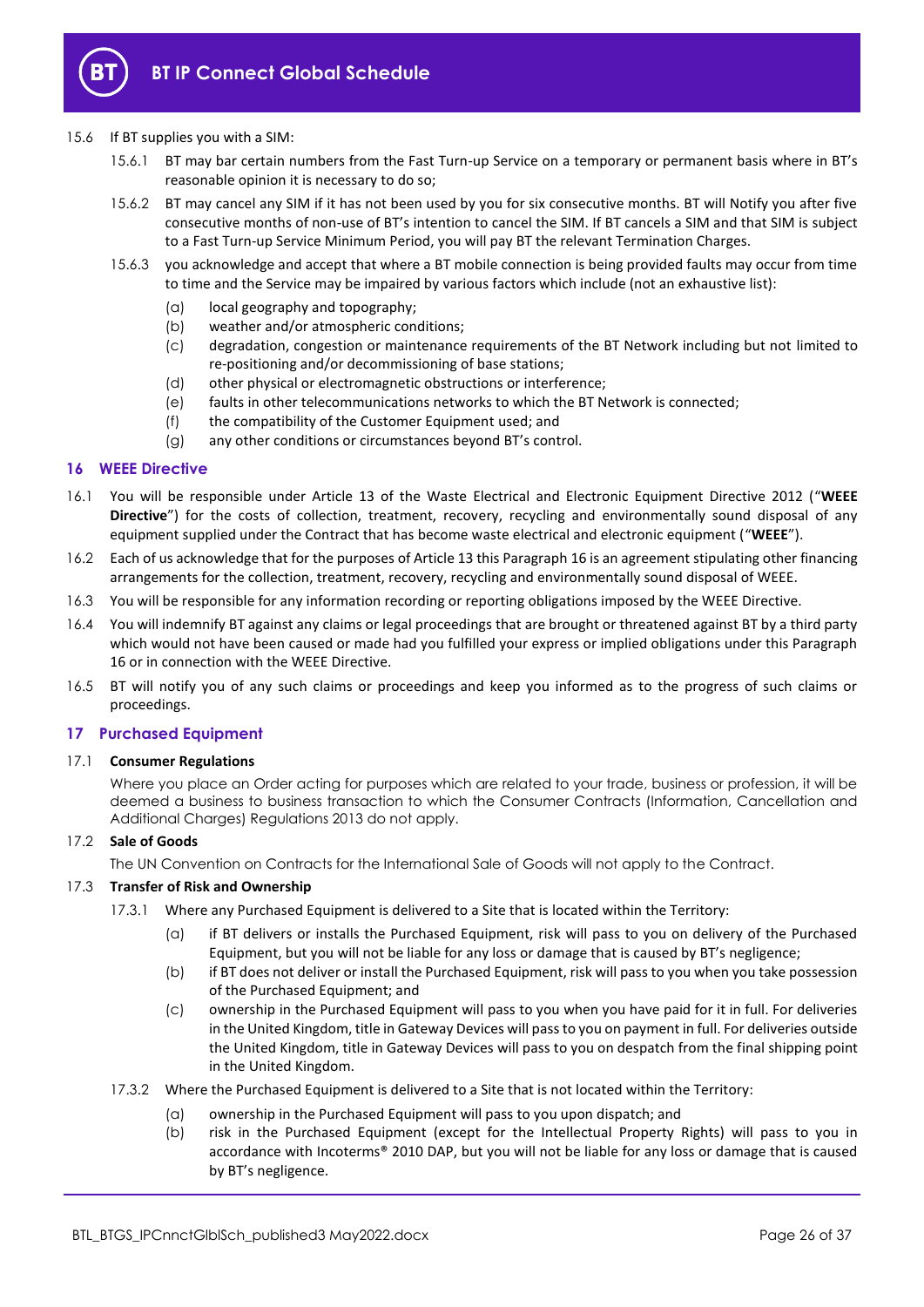

## 15.6 If BT supplies you with a SIM:

- 15.6.1 BT may bar certain numbers from the Fast Turn-up Service on a temporary or permanent basis where in BT's reasonable opinion it is necessary to do so;
- 15.6.2 BT may cancel any SIM if it has not been used by you for six consecutive months. BT will Notify you after five consecutive months of non-use of BT's intention to cancel the SIM. If BT cancels a SIM and that SIM is subject to a Fast Turn-up Service Minimum Period, you will pay BT the relevant Termination Charges.
- 15.6.3 you acknowledge and accept that where a BT mobile connection is being provided faults may occur from time to time and the Service may be impaired by various factors which include (not an exhaustive list):
	- (a) local geography and topography;
	- (b) weather and/or atmospheric conditions;
	- (c) degradation, congestion or maintenance requirements of the BT Network including but not limited to re-positioning and/or decommissioning of base stations;
	- (d) other physical or electromagnetic obstructions or interference;
	- (e) faults in other telecommunications networks to which the BT Network is connected;
	- (f) the compatibility of the Customer Equipment used; and
	- (g) any other conditions or circumstances beyond BT's control.

## <span id="page-25-0"></span>**16 WEEE Directive**

- 16.1 You will be responsible under Article 13 of the Waste Electrical and Electronic Equipment Directive 2012 ("**WEEE Directive**") for the costs of collection, treatment, recovery, recycling and environmentally sound disposal of any equipment supplied under the Contract that has become waste electrical and electronic equipment ("**WEEE**").
- 16.2 Each of us acknowledge that for the purposes of Article 13 this Paragrap[h 16](#page-25-0) is an agreement stipulating other financing arrangements for the collection, treatment, recovery, recycling and environmentally sound disposal of WEEE.
- 16.3 You will be responsible for any information recording or reporting obligations imposed by the WEEE Directive.
- 16.4 You will indemnify BT against any claims or legal proceedings that are brought or threatened against BT by a third party which would not have been caused or made had you fulfilled your express or implied obligations under this Paragraph [16](#page-25-0) or in connection with the WEEE Directive.
- 16.5 BT will notify you of any such claims or proceedings and keep you informed as to the progress of such claims or proceedings.

## <span id="page-25-1"></span>**17 Purchased Equipment**

## 17.1 **Consumer Regulations**

Where you place an Order acting for purposes which are related to your trade, business or profession, it will be deemed a business to business transaction to which the Consumer Contracts (Information, Cancellation and Additional Charges) Regulations 2013 do not apply.

## 17.2 **Sale of Goods**

The UN Convention on Contracts for the International Sale of Goods will not apply to the Contract.

## <span id="page-25-2"></span>17.3 **Transfer of Risk and Ownership**

- 17.3.1 Where any Purchased Equipment is delivered to a Site that is located within the Territory:
	- (a) if BT delivers or installs the Purchased Equipment, risk will pass to you on delivery of the Purchased Equipment, but you will not be liable for any loss or damage that is caused by BT's negligence;
	- (b) if BT does not deliver or install the Purchased Equipment, risk will pass to you when you take possession of the Purchased Equipment; and
	- (c) ownership in the Purchased Equipment will pass to you when you have paid for it in full. For deliveries in the United Kingdom, title in Gateway Devices will pass to you on payment in full. For deliveries outside the United Kingdom, title in Gateway Devices will pass to you on despatch from the final shipping point in the United Kingdom.
- 17.3.2 Where the Purchased Equipment is delivered to a Site that is not located within the Territory:
	- (a) ownership in the Purchased Equipment will pass to you upon dispatch; and
	- (b) risk in the Purchased Equipment (except for the Intellectual Property Rights) will pass to you in accordance with Incoterms® 2010 DAP, but you will not be liable for any loss or damage that is caused by BT's negligence.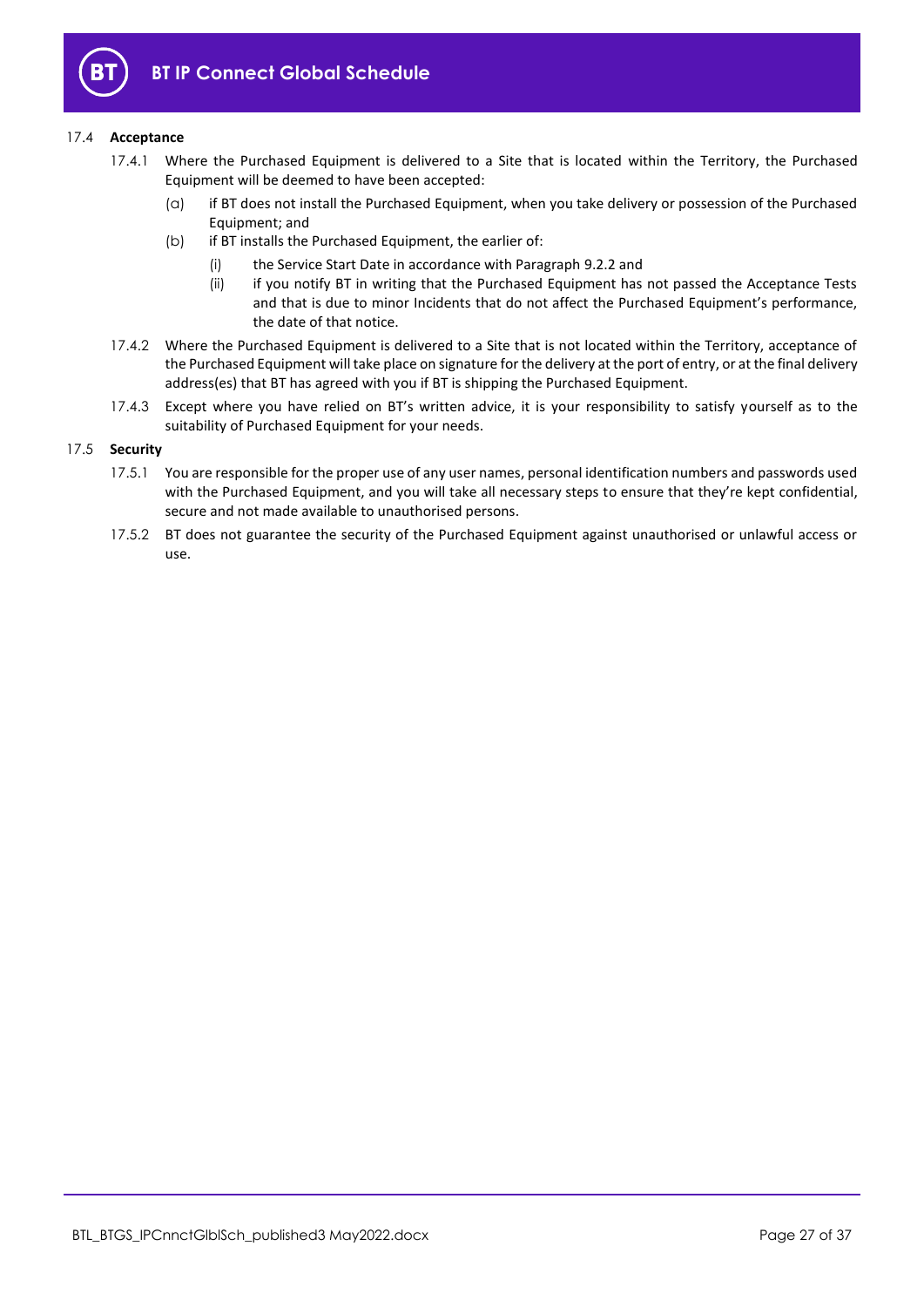

## 17.4 **Acceptance**

- 17.4.1 Where the Purchased Equipment is delivered to a Site that is located within the Territory, the Purchased Equipment will be deemed to have been accepted:
	- (a) if BT does not install the Purchased Equipment, when you take delivery or possession of the Purchased Equipment; and
	- (b) if BT installs the Purchased Equipment, the earlier of:
		- (i) the Service Start Date in accordance with Paragrap[h 9.2.2](#page-19-4) and
		- (ii) if you notify BT in writing that the Purchased Equipment has not passed the Acceptance Tests and that is due to minor Incidents that do not affect the Purchased Equipment's performance, the date of that notice.
- 17.4.2 Where the Purchased Equipment is delivered to a Site that is not located within the Territory, acceptance of the Purchased Equipment will take place on signature for the delivery at the port of entry, or at the final delivery address(es) that BT has agreed with you if BT is shipping the Purchased Equipment.
- 17.4.3 Except where you have relied on BT's written advice, it is your responsibility to satisfy yourself as to the suitability of Purchased Equipment for your needs.

## 17.5 **Security**

- 17.5.1 You are responsible for the proper use of any user names, personal identification numbers and passwords used with the Purchased Equipment, and you will take all necessary steps to ensure that they're kept confidential, secure and not made available to unauthorised persons.
- 17.5.2 BT does not guarantee the security of the Purchased Equipment against unauthorised or unlawful access or use.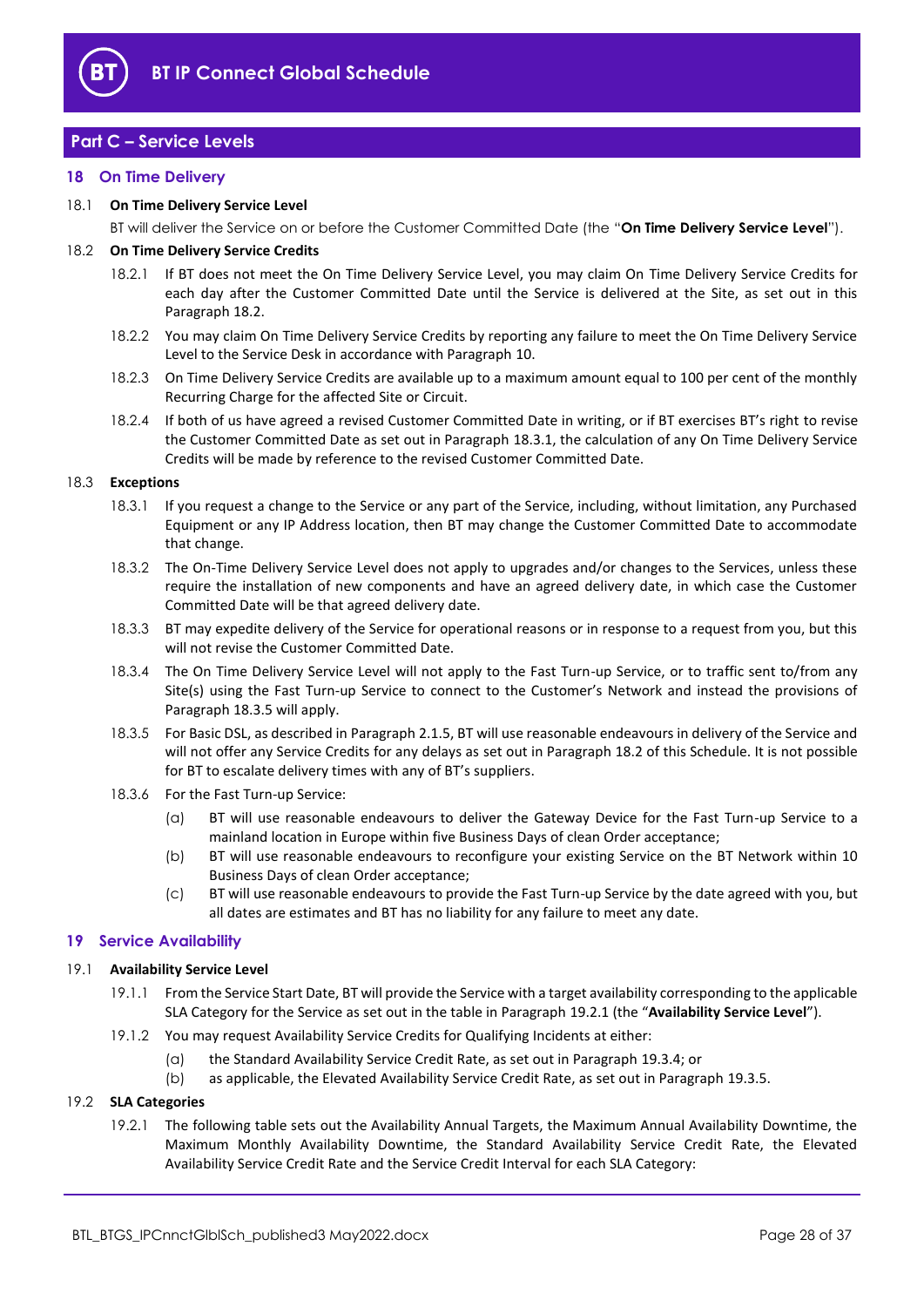

# <span id="page-27-0"></span>**Part C – Service Levels**

## <span id="page-27-1"></span>**18 On Time Delivery**

## 18.1 **On Time Delivery Service Level**

BT will deliver the Service on or before the Customer Committed Date (the "**On Time Delivery Service Level**").

#### <span id="page-27-3"></span>18.2 **On Time Delivery Service Credits**

- 18.2.1 If BT does not meet the On Time Delivery Service Level, you may claim On Time Delivery Service Credits for each day after the Customer Committed Date until the Service is delivered at the Site, as set out in this Paragrap[h 18.2.](#page-27-3)
- 18.2.2 You may claim On Time Delivery Service Credits by reporting any failure to meet the On Time Delivery Service Level to the Service Desk in accordance with Paragraph [10.](#page-22-0)
- 18.2.3 On Time Delivery Service Credits are available up to a maximum amount equal to 100 per cent of the monthly Recurring Charge for the affected Site or Circuit.
- 18.2.4 If both of us have agreed a revised Customer Committed Date in writing, or if BT exercises BT's right to revise the Customer Committed Date as set out in Paragrap[h 18.3.1,](#page-27-4) the calculation of any On Time Delivery Service Credits will be made by reference to the revised Customer Committed Date.

#### <span id="page-27-4"></span>18.3 **Exceptions**

- 18.3.1 If you request a change to the Service or any part of the Service, including, without limitation, any Purchased Equipment or any IP Address location, then BT may change the Customer Committed Date to accommodate that change.
- 18.3.2 The On-Time Delivery Service Level does not apply to upgrades and/or changes to the Services, unless these require the installation of new components and have an agreed delivery date, in which case the Customer Committed Date will be that agreed delivery date.
- 18.3.3 BT may expedite delivery of the Service for operational reasons or in response to a request from you, but this will not revise the Customer Committed Date.
- 18.3.4 The On Time Delivery Service Level will not apply to the Fast Turn-up Service, or to traffic sent to/from any Site(s) using the Fast Turn-up Service to connect to the Customer's Network and instead the provisions of Paragrap[h 18.3.5](#page-27-5) will apply.
- <span id="page-27-5"></span>18.3.5 For Basic DSL, as described in Paragraph [2.1.5,](#page-2-0) BT will use reasonable endeavours in delivery of the Service and will not offer any Service Credits for any delays as set out in Paragrap[h 18.2](#page-27-3) of this Schedule. It is not possible for BT to escalate delivery times with any of BT's suppliers.
- 18.3.6 For the Fast Turn-up Service:
	- (a) BT will use reasonable endeavours to deliver the Gateway Device for the Fast Turn-up Service to a mainland location in Europe within five Business Days of clean Order acceptance;
	- (b) BT will use reasonable endeavours to reconfigure your existing Service on the BT Network within 10 Business Days of clean Order acceptance;
	- (c) BT will use reasonable endeavours to provide the Fast Turn-up Service by the date agreed with you, but all dates are estimates and BT has no liability for any failure to meet any date.

## <span id="page-27-2"></span>**19 Service Availability**

#### <span id="page-27-9"></span><span id="page-27-7"></span>19.1 **Availability Service Level**

- 19.1.1 From the Service Start Date, BT will provide the Service with a target availability corresponding to the applicable SLA Category for the Service as set out in the table in Paragraph [19.2.1](#page-27-6) (the "**Availability Service Level**").
- 19.1.2 You may request Availability Service Credits for Qualifying Incidents at either:
	- (a) the Standard Availability Service Credit Rate, as set out in Paragraph [19.3.4;](#page-28-0) or
	- (b) as applicable, the Elevated Availability Service Credit Rate, as set out in Paragrap[h 19.3.5.](#page-28-1)

#### <span id="page-27-8"></span><span id="page-27-6"></span>19.2 **SLA Categories**

19.2.1 The following table sets out the Availability Annual Targets, the Maximum Annual Availability Downtime, the Maximum Monthly Availability Downtime, the Standard Availability Service Credit Rate, the Elevated Availability Service Credit Rate and the Service Credit Interval for each SLA Category: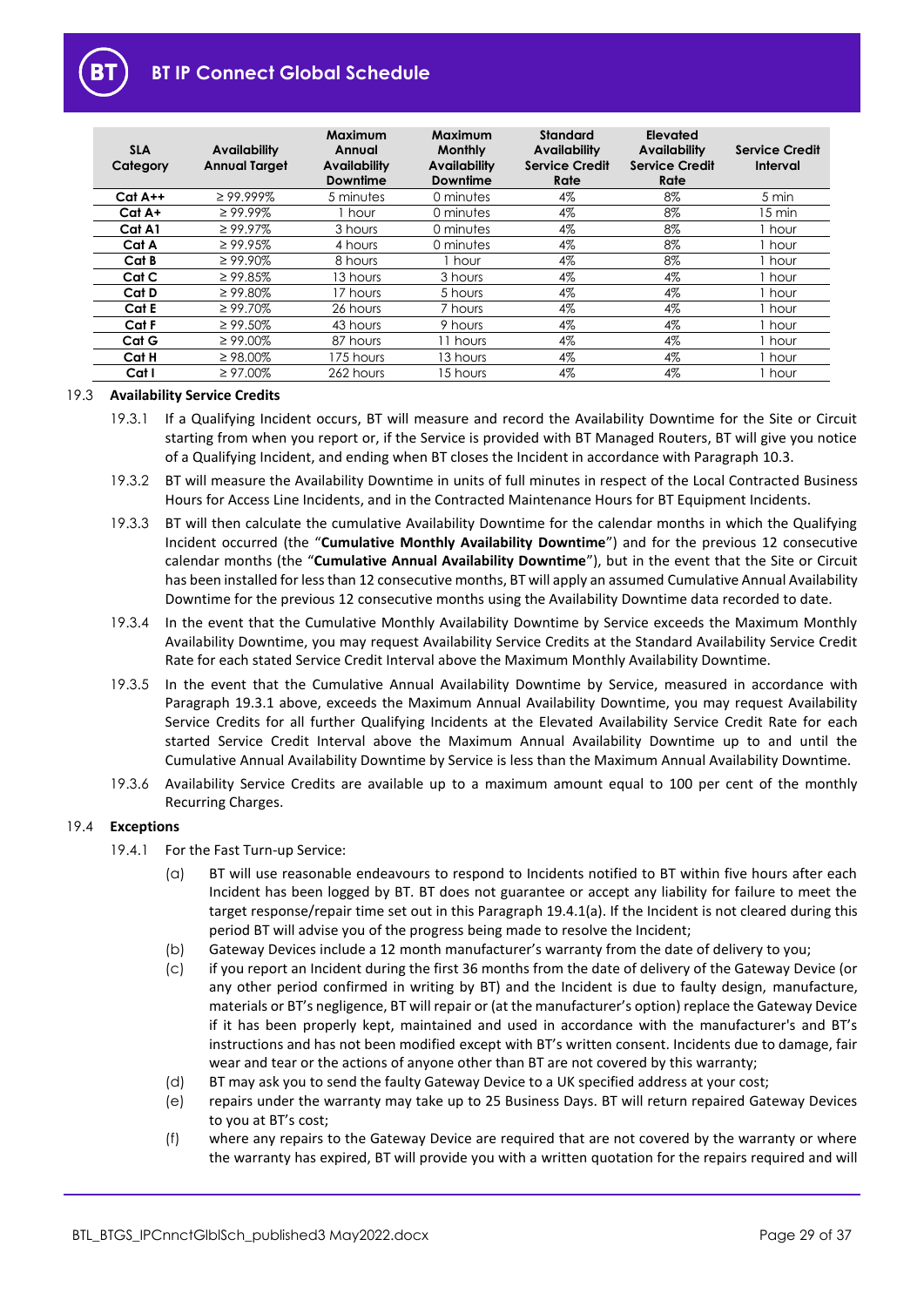

| <b>SLA</b><br>Category | <b>Availability</b><br><b>Annual Target</b> | Maximum<br>Annual<br><b>Availability</b><br><b>Downtime</b> | <b>Maximum</b><br><b>Monthly</b><br>Availability<br>Downtime | <b>Standard</b><br><b>Availability</b><br><b>Service Credit</b><br>Rate | Elevated<br><b>Availability</b><br><b>Service Credit</b><br>Rate | <b>Service Credit</b><br>Interval |
|------------------------|---------------------------------------------|-------------------------------------------------------------|--------------------------------------------------------------|-------------------------------------------------------------------------|------------------------------------------------------------------|-----------------------------------|
| $Cat A++$              | $\geq$ 99.999%                              | 5 minutes                                                   | 0 minutes                                                    | 4%                                                                      | 8%                                                               | 5 min                             |
| Cat A+                 | $\geq 99.99\%$                              | 1 hour                                                      | 0 minutes                                                    | 4%                                                                      | 8%                                                               | 15 min                            |
| Cat A1                 | $\geq 99.97\%$                              | 3 hours                                                     | 0 minutes                                                    | 4%                                                                      | 8%                                                               | 1 hour                            |
| Cat A                  | $\geq$ 99.95%                               | 4 hours                                                     | 0 minutes                                                    | 4%                                                                      | 8%                                                               | 1 hour                            |
| Cat B                  | $\geq 99.90\%$                              | 8 hours                                                     | 1 hour                                                       | 4%                                                                      | 8%                                                               | I hour                            |
| Cat C                  | $\geq$ 99.85%                               | 13 hours                                                    | 3 hours                                                      | 4%                                                                      | 4%                                                               | hour                              |
| Cat D                  | $\geq$ 99.80%                               | 17 hours                                                    | 5 hours                                                      | 4%                                                                      | 4%                                                               | I hour                            |
| Cat E                  | $\geq 99.70\%$                              | 26 hours                                                    | 7 hours                                                      | 4%                                                                      | 4%                                                               | 1 hour                            |
| Cat F                  | $\geq 99.50\%$                              | 43 hours                                                    | 9 hours                                                      | 4%                                                                      | 4%                                                               | 1 hour                            |
| Cat G                  | $\geq 99.00\%$                              | 87 hours                                                    | 11 hours                                                     | 4%                                                                      | 4%                                                               | 1 hour                            |
| Cat H                  | $\geq$ 98.00%                               | 175 hours                                                   | 13 hours                                                     | 4%                                                                      | 4%                                                               | 1 hour                            |
| Cat I                  | $\geq 97.00\%$                              | 262 hours                                                   | 15 hours                                                     | 4%                                                                      | 4%                                                               | , hour                            |

#### <span id="page-28-4"></span><span id="page-28-2"></span>19.3 **Availability Service Credits**

- 19.3.1 If a Qualifying Incident occurs, BT will measure and record the Availability Downtime for the Site or Circuit starting from when you report or, if the Service is provided with BT Managed Routers, BT will give you notice of a Qualifying Incident, and ending when BT closes the Incident in accordance with Paragrap[h 10.3.](#page-22-2)
- 19.3.2 BT will measure the Availability Downtime in units of full minutes in respect of the Local Contracted Business Hours for Access Line Incidents, and in the Contracted Maintenance Hours for BT Equipment Incidents.
- <span id="page-28-5"></span>19.3.3 BT will then calculate the cumulative Availability Downtime for the calendar months in which the Qualifying Incident occurred (the "**Cumulative Monthly Availability Downtime**") and for the previous 12 consecutive calendar months (the "**Cumulative Annual Availability Downtime**"), but in the event that the Site or Circuit has been installed for less than 12 consecutive months, BT will apply an assumed Cumulative Annual Availability Downtime for the previous 12 consecutive months using the Availability Downtime data recorded to date.
- <span id="page-28-0"></span>19.3.4 In the event that the Cumulative Monthly Availability Downtime by Service exceeds the Maximum Monthly Availability Downtime, you may request Availability Service Credits at the Standard Availability Service Credit Rate for each stated Service Credit Interval above the Maximum Monthly Availability Downtime.
- <span id="page-28-1"></span>19.3.5 In the event that the Cumulative Annual Availability Downtime by Service, measured in accordance with Paragraph [19.3.1](#page-28-2) above, exceeds the Maximum Annual Availability Downtime, you may request Availability Service Credits for all further Qualifying Incidents at the Elevated Availability Service Credit Rate for each started Service Credit Interval above the Maximum Annual Availability Downtime up to and until the Cumulative Annual Availability Downtime by Service is less than the Maximum Annual Availability Downtime.
- 19.3.6 Availability Service Credits are available up to a maximum amount equal to 100 per cent of the monthly Recurring Charges.

## <span id="page-28-3"></span>19.4 **Exceptions**

- 19.4.1 For the Fast Turn-up Service:
	- (a) BT will use reasonable endeavours to respond to Incidents notified to BT within five hours after each Incident has been logged by BT. BT does not guarantee or accept any liability for failure to meet the target response/repair time set out in this Paragraph [19.4.1\(a\).](#page-28-3) If the Incident is not cleared during this period BT will advise you of the progress being made to resolve the Incident;
	- (b) Gateway Devices include a 12 month manufacturer's warranty from the date of delivery to you;
	- (c) if you report an Incident during the first 36 months from the date of delivery of the Gateway Device (or any other period confirmed in writing by BT) and the Incident is due to faulty design, manufacture, materials or BT's negligence, BT will repair or (at the manufacturer's option) replace the Gateway Device if it has been properly kept, maintained and used in accordance with the manufacturer's and BT's instructions and has not been modified except with BT's written consent. Incidents due to damage, fair wear and tear or the actions of anyone other than BT are not covered by this warranty;
	- (d) BT may ask you to send the faulty Gateway Device to a UK specified address at your cost;
	- (e) repairs under the warranty may take up to 25 Business Days. BT will return repaired Gateway Devices to you at BT's cost;
	- (f) where any repairs to the Gateway Device are required that are not covered by the warranty or where the warranty has expired, BT will provide you with a written quotation for the repairs required and will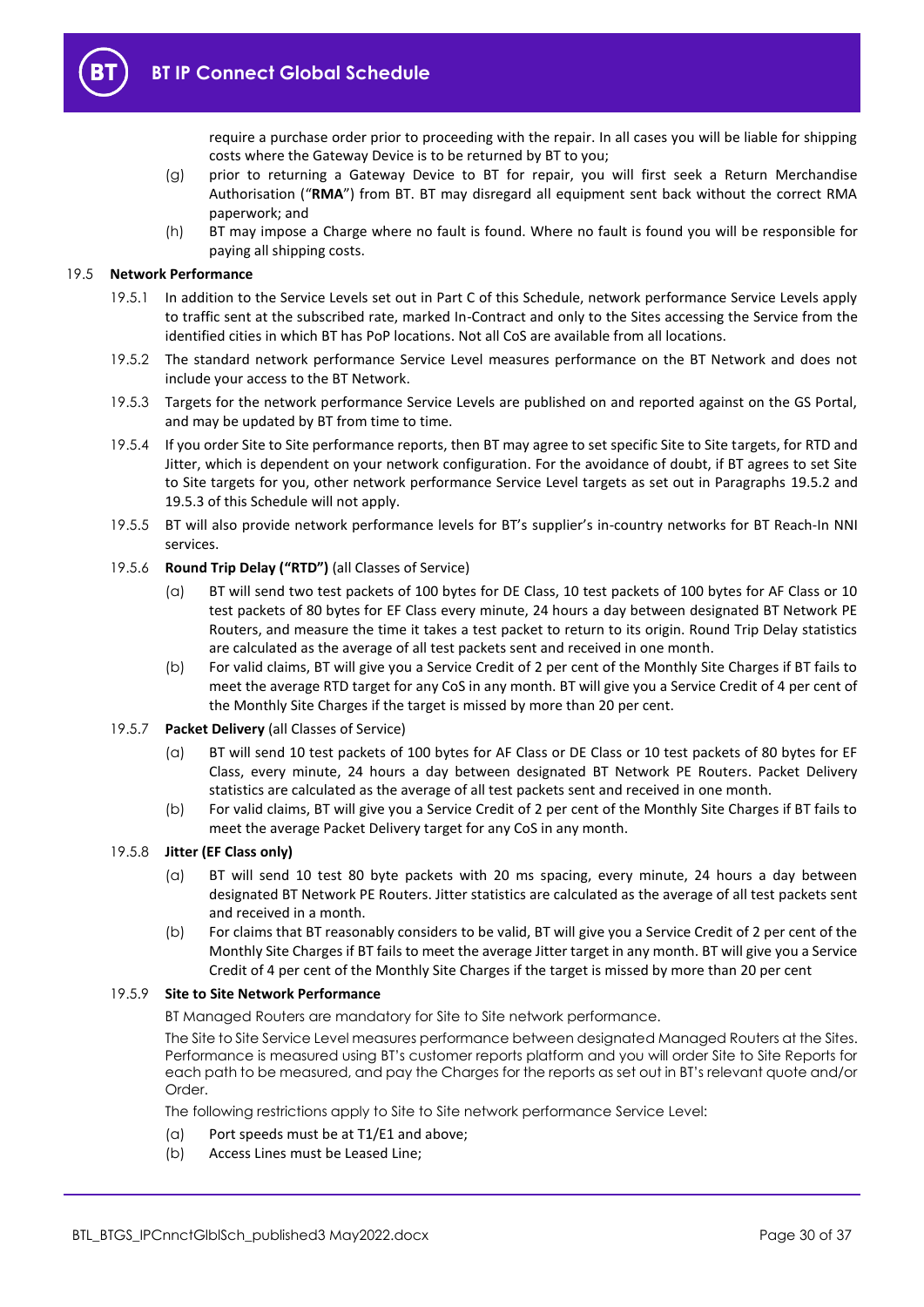

require a purchase order prior to proceeding with the repair. In all cases you will be liable for shipping costs where the Gateway Device is to be returned by BT to you;

- (g) prior to returning a Gateway Device to BT for repair, you will first seek a Return Merchandise Authorisation ("**RMA**") from BT. BT may disregard all equipment sent back without the correct RMA paperwork; and
- (h) BT may impose a Charge where no fault is found. Where no fault is found you will be responsible for paying all shipping costs.

#### <span id="page-29-0"></span>19.5 **Network Performance**

- 19.5.1 In addition to the Service Levels set out in Part C of this Schedule, network performance Service Levels apply to traffic sent at the subscribed rate, marked In-Contract and only to the Sites accessing the Service from the identified cities in which BT has PoP locations. Not all CoS are available from all locations.
- <span id="page-29-1"></span>19.5.2 The standard network performance Service Level measures performance on the BT Network and does not include your access to the BT Network.
- <span id="page-29-2"></span>19.5.3 Targets for the network performance Service Levels are published on and reported against on the GS Portal, and may be updated by BT from time to time.
- 19.5.4 If you order Site to Site performance reports, then BT may agree to set specific Site to Site targets, for RTD and Jitter, which is dependent on your network configuration. For the avoidance of doubt, if BT agrees to set Site to Site targets for you, other network performance Service Level targets as set out in Paragraphs [19.5.2](#page-29-1) and [19.5.3](#page-29-2) of this Schedule will not apply.
- 19.5.5 BT will also provide network performance levels for BT's supplier's in-country networks for BT Reach-In NNI services.

## 19.5.6 **Round Trip Delay ("RTD")** (all Classes of Service)

- (a) BT will send two test packets of 100 bytes for DE Class, 10 test packets of 100 bytes for AF Class or 10 test packets of 80 bytes for EF Class every minute, 24 hours a day between designated BT Network PE Routers, and measure the time it takes a test packet to return to its origin. Round Trip Delay statistics are calculated as the average of all test packets sent and received in one month.
- (b) For valid claims, BT will give you a Service Credit of 2 per cent of the Monthly Site Charges if BT fails to meet the average RTD target for any CoS in any month. BT will give you a Service Credit of 4 per cent of the Monthly Site Charges if the target is missed by more than 20 per cent.

#### 19.5.7 **Packet Delivery** (all Classes of Service)

- (a) BT will send 10 test packets of 100 bytes for AF Class or DE Class or 10 test packets of 80 bytes for EF Class, every minute, 24 hours a day between designated BT Network PE Routers. Packet Delivery statistics are calculated as the average of all test packets sent and received in one month.
- (b) For valid claims, BT will give you a Service Credit of 2 per cent of the Monthly Site Charges if BT fails to meet the average Packet Delivery target for any CoS in any month.

## 19.5.8 **Jitter (EF Class only)**

- (a) BT will send 10 test 80 byte packets with 20 ms spacing, every minute, 24 hours a day between designated BT Network PE Routers. Jitter statistics are calculated as the average of all test packets sent and received in a month.
- (b) For claims that BT reasonably considers to be valid, BT will give you a Service Credit of 2 per cent of the Monthly Site Charges if BT fails to meet the average Jitter target in any month. BT will give you a Service Credit of 4 per cent of the Monthly Site Charges if the target is missed by more than 20 per cent

#### 19.5.9 **Site to Site Network Performance**

BT Managed Routers are mandatory for Site to Site network performance.

The Site to Site Service Level measures performance between designated Managed Routers at the Sites. Performance is measured using BT's customer reports platform and you will order Site to Site Reports for each path to be measured, and pay the Charges for the reports as set out in BT's relevant quote and/or Order.

The following restrictions apply to Site to Site network performance Service Level:

- (a) Port speeds must be at T1/E1 and above;
- (b) Access Lines must be Leased Line;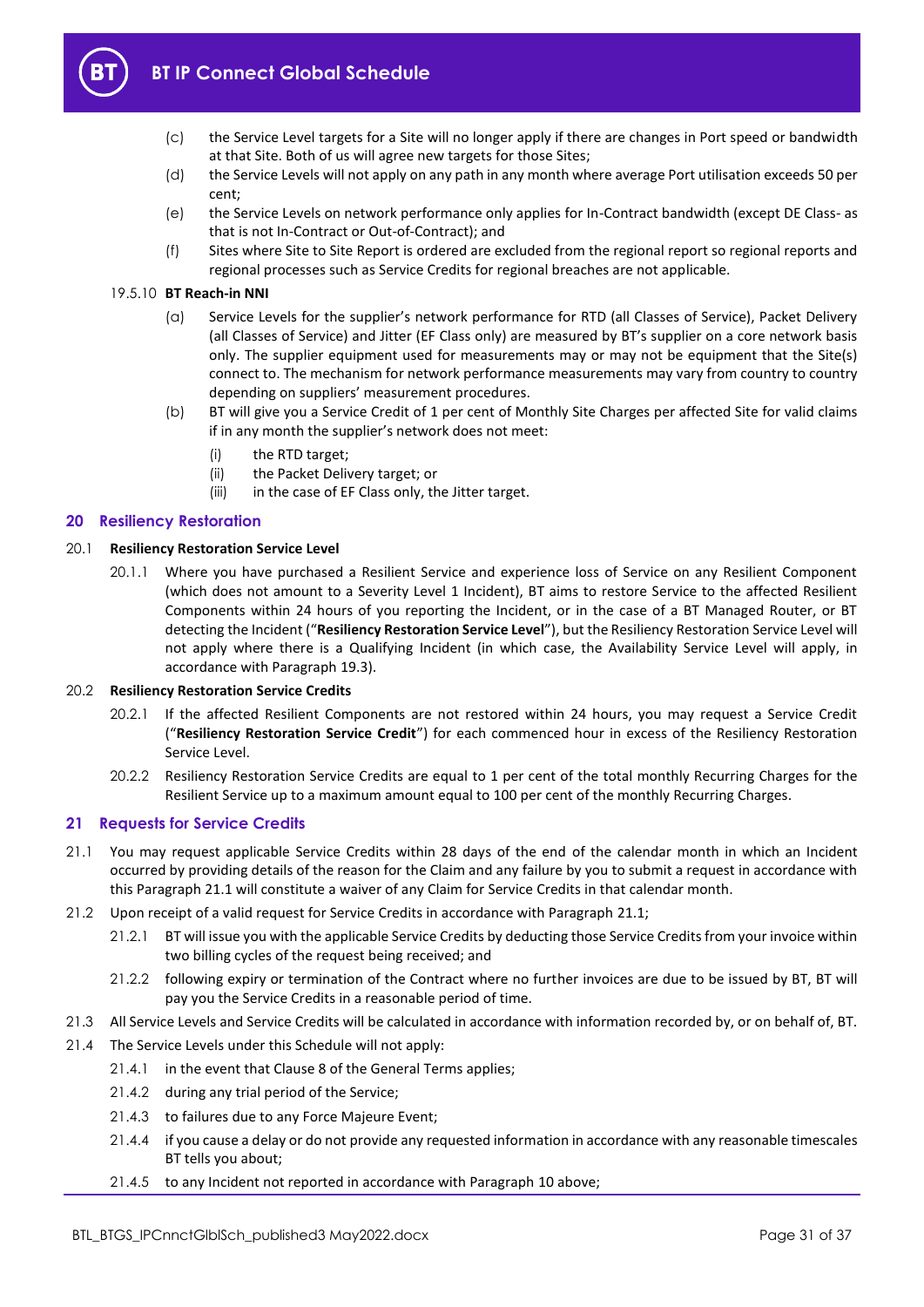

- (c) the Service Level targets for a Site will no longer apply if there are changes in Port speed or bandwidth at that Site. Both of us will agree new targets for those Sites;
- (d) the Service Levels will not apply on any path in any month where average Port utilisation exceeds 50 per cent;
- (e) the Service Levels on network performance only applies for In-Contract bandwidth (except DE Class- as that is not In-Contract or Out-of-Contract); and
- (f) Sites where Site to Site Report is ordered are excluded from the regional report so regional reports and regional processes such as Service Credits for regional breaches are not applicable.

## 19.5.10 **BT Reach-in NNI**

- (a) Service Levels for the supplier's network performance for RTD (all Classes of Service), Packet Delivery (all Classes of Service) and Jitter (EF Class only) are measured by BT's supplier on a core network basis only. The supplier equipment used for measurements may or may not be equipment that the Site(s) connect to. The mechanism for network performance measurements may vary from country to country depending on suppliers' measurement procedures.
- (b) BT will give you a Service Credit of 1 per cent of Monthly Site Charges per affected Site for valid claims if in any month the supplier's network does not meet:
	- (i) the RTD target;
	- (ii) the Packet Delivery target; or
	- (iii) in the case of EF Class only, the Jitter target.

## <span id="page-30-0"></span>**20 Resiliency Restoration**

## <span id="page-30-4"></span>20.1 **Resiliency Restoration Service Level**

20.1.1 Where you have purchased a Resilient Service and experience loss of Service on any Resilient Component (which does not amount to a Severity Level 1 Incident), BT aims to restore Service to the affected Resilient Components within 24 hours of you reporting the Incident, or in the case of a BT Managed Router, or BT detecting the Incident ("**Resiliency Restoration Service Level**"), but the Resiliency Restoration Service Level will not apply where there is a Qualifying Incident (in which case, the Availability Service Level will apply, in accordance with Paragrap[h 19.3\)](#page-28-4).

## <span id="page-30-3"></span>20.2 **Resiliency Restoration Service Credits**

- 20.2.1 If the affected Resilient Components are not restored within 24 hours, you may request a Service Credit ("**Resiliency Restoration Service Credit**") for each commenced hour in excess of the Resiliency Restoration Service Level.
- 20.2.2 Resiliency Restoration Service Credits are equal to 1 per cent of the total monthly Recurring Charges for the Resilient Service up to a maximum amount equal to 100 per cent of the monthly Recurring Charges.

## <span id="page-30-1"></span>**21 Requests for Service Credits**

- <span id="page-30-2"></span>21.1 You may request applicable Service Credits within 28 days of the end of the calendar month in which an Incident occurred by providing details of the reason for the Claim and any failure by you to submit a request in accordance with this Paragraph [21.1](#page-30-2) will constitute a waiver of any Claim for Service Credits in that calendar month.
- 21.2 Upon receipt of a valid request for Service Credits in accordance with Paragraph [21.1;](#page-30-2)
	- 21.2.1 BT will issue you with the applicable Service Credits by deducting those Service Credits from your invoice within two billing cycles of the request being received; and
	- 21.2.2 following expiry or termination of the Contract where no further invoices are due to be issued by BT, BT will pay you the Service Credits in a reasonable period of time.
- 21.3 All Service Levels and Service Credits will be calculated in accordance with information recorded by, or on behalf of, BT.
- 21.4 The Service Levels under this Schedule will not apply:
	- 21.4.1 in the event that Clause 8 of the General Terms applies;
	- 21.4.2 during any trial period of the Service;
	- 21.4.3 to failures due to any Force Majeure Event;
	- 21.4.4 if you cause a delay or do not provide any requested information in accordance with any reasonable timescales BT tells you about;
	- 21.4.5 to any Incident not reported in accordance with Paragraph [10](#page-22-0) above;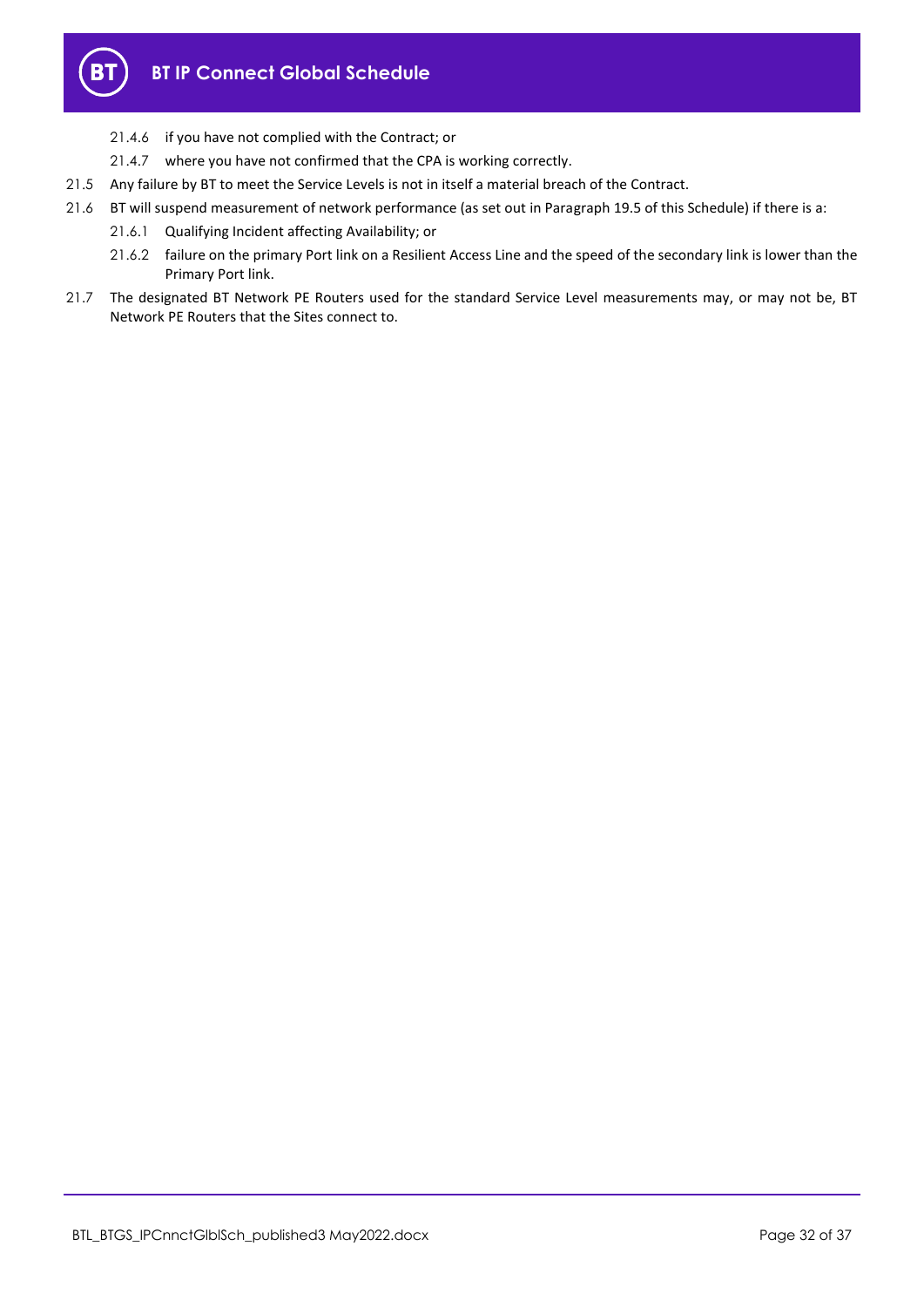

- 21.4.6 if you have not complied with the Contract; or
- 21.4.7 where you have not confirmed that the CPA is working correctly.
- 21.5 Any failure by BT to meet the Service Levels is not in itself a material breach of the Contract.
- 21.6 BT will suspend measurement of network performance (as set out in Paragrap[h 19.5](#page-29-0) of this Schedule) if there is a:
	- 21.6.1 Qualifying Incident affecting Availability; or
	- 21.6.2 failure on the primary Port link on a Resilient Access Line and the speed of the secondary link is lower than the Primary Port link.
- 21.7 The designated BT Network PE Routers used for the standard Service Level measurements may, or may not be, BT Network PE Routers that the Sites connect to.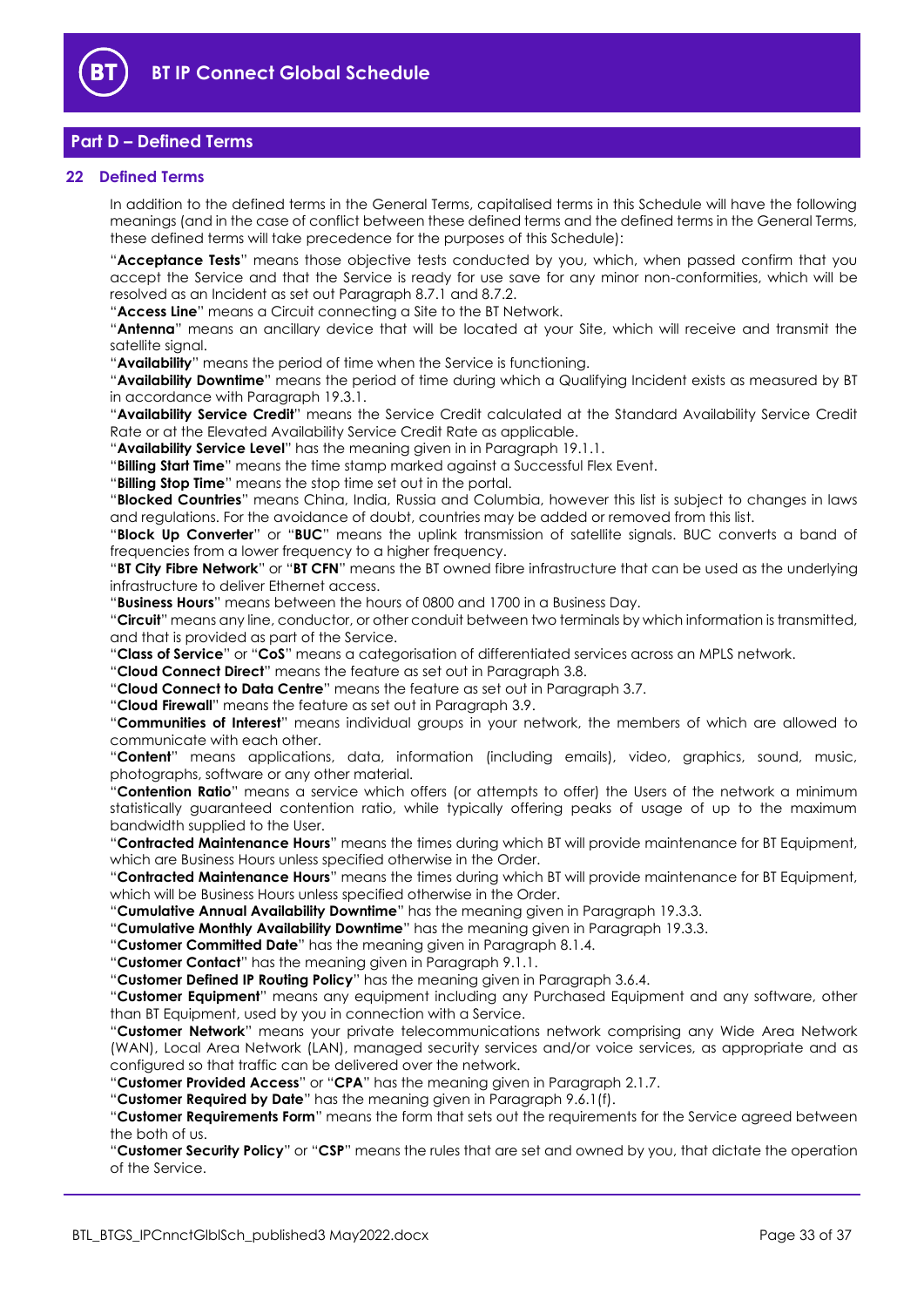

# <span id="page-32-0"></span>**Part D – Defined Terms**

## <span id="page-32-1"></span>**22 Defined Terms**

In addition to the defined terms in the General Terms, capitalised terms in this Schedule will have the following meanings (and in the case of conflict between these defined terms and the defined terms in the General Terms, these defined terms will take precedence for the purposes of this Schedule):

"**Acceptance Tests**" means those objective tests conducted by you, which, when passed confirm that you accept the Service and that the Service is ready for use save for any minor non-conformities, which will be resolved as an Incident as set out Paragraph [8.7.1](#page-16-2) an[d 8.7.2.](#page-16-3)

"**Access Line**" means a Circuit connecting a Site to the BT Network.

"**Antenna**" means an ancillary device that will be located at your Site, which will receive and transmit the satellite signal.

"**Availability**" means the period of time when the Service is functioning.

"**Availability Downtime**" means the period of time during which a Qualifying Incident exists as measured by BT in accordance with Paragrap[h 19.3.1.](#page-28-2)

"**Availability Service Credit**" means the Service Credit calculated at the Standard Availability Service Credit Rate or at the Elevated Availability Service Credit Rate as applicable.

"**Availability Service Level**" has the meaning given in in Paragraph [19.1.1.](#page-27-7)

"**Billing Start Time**" means the time stamp marked against a Successful Flex Event.

"**Billing Stop Time**" means the stop time set out in the portal.

"**Blocked Countries**" means China, India, Russia and Columbia, however this list is subject to changes in laws and regulations. For the avoidance of doubt, countries may be added or removed from this list.

"**Block Up Converter**" or "**BUC**" means the uplink transmission of satellite signals. BUC converts a band of frequencies from a lower frequency to a higher frequency.

"**BT City Fibre Network**" or "**BT CFN**" means the BT owned fibre infrastructure that can be used as the underlying infrastructure to deliver Ethernet access.

"**Business Hours**" means between the hours of 0800 and 1700 in a Business Day.

"**Circuit**" means any line, conductor, or other conduit between two terminals by which information is transmitted, and that is provided as part of the Service.

"**Class of Service**" or "**CoS**" means a categorisation of differentiated services across an MPLS network.

"**Cloud Connect Direct**" means the feature as set out in Paragraph [3.8.](#page-8-1)

"**Cloud Connect to Data Centre**" means the feature as set out in Paragrap[h 3.7.](#page-8-2)

"**Cloud Firewall**" means the feature as set out in Paragraph [3.9.](#page-8-0)

"**Communities of Interest**" means individual groups in your network, the members of which are allowed to communicate with each other.

"**Content**" means applications, data, information (including emails), video, graphics, sound, music, photographs, software or any other material.

"**Contention Ratio**" means a service which offers (or attempts to offer) the Users of the network a minimum statistically guaranteed contention ratio, while typically offering peaks of usage of up to the maximum bandwidth supplied to the User.

"**Contracted Maintenance Hours**" means the times during which BT will provide maintenance for BT Equipment, which are Business Hours unless specified otherwise in the Order.

"**Contracted Maintenance Hours**" means the times during which BT will provide maintenance for BT Equipment, which will be Business Hours unless specified otherwise in the Order.

"**Cumulative Annual Availability Downtime**" has the meaning given in Paragraph [19.3.3.](#page-28-5)

"**Cumulative Monthly Availability Downtime**" has the meaning given in Paragrap[h 19.3.3.](#page-28-5)

"**Customer Committed Date**" has the meaning given in Paragraph [8.1.4.](#page-15-7)

"**Customer Contact**" has the meaning given in Paragraph [9.1.1.](#page-17-2)

"**Customer Defined IP Routing Policy**" has the meaning given in Paragrap[h 3.6.4.](#page-7-0)

"**Customer Equipment**" means any equipment including any Purchased Equipment and any software, other than BT Equipment, used by you in connection with a Service.

"**Customer Network**" means your private telecommunications network comprising any Wide Area Network (WAN), Local Area Network (LAN), managed security services and/or voice services, as appropriate and as configured so that traffic can be delivered over the network.

"**Customer Provided Access**" or "**CPA**" has the meaning given in Paragraph [2.1.7.](#page-2-1)

"**Customer Required by Date**" has the meaning given in Paragraph [9.6.1\(f\).](#page-22-5)

"**Customer Requirements Form**" means the form that sets out the requirements for the Service agreed between the both of us.

"**Customer Security Policy**" or "**CSP**" means the rules that are set and owned by you, that dictate the operation of the Service.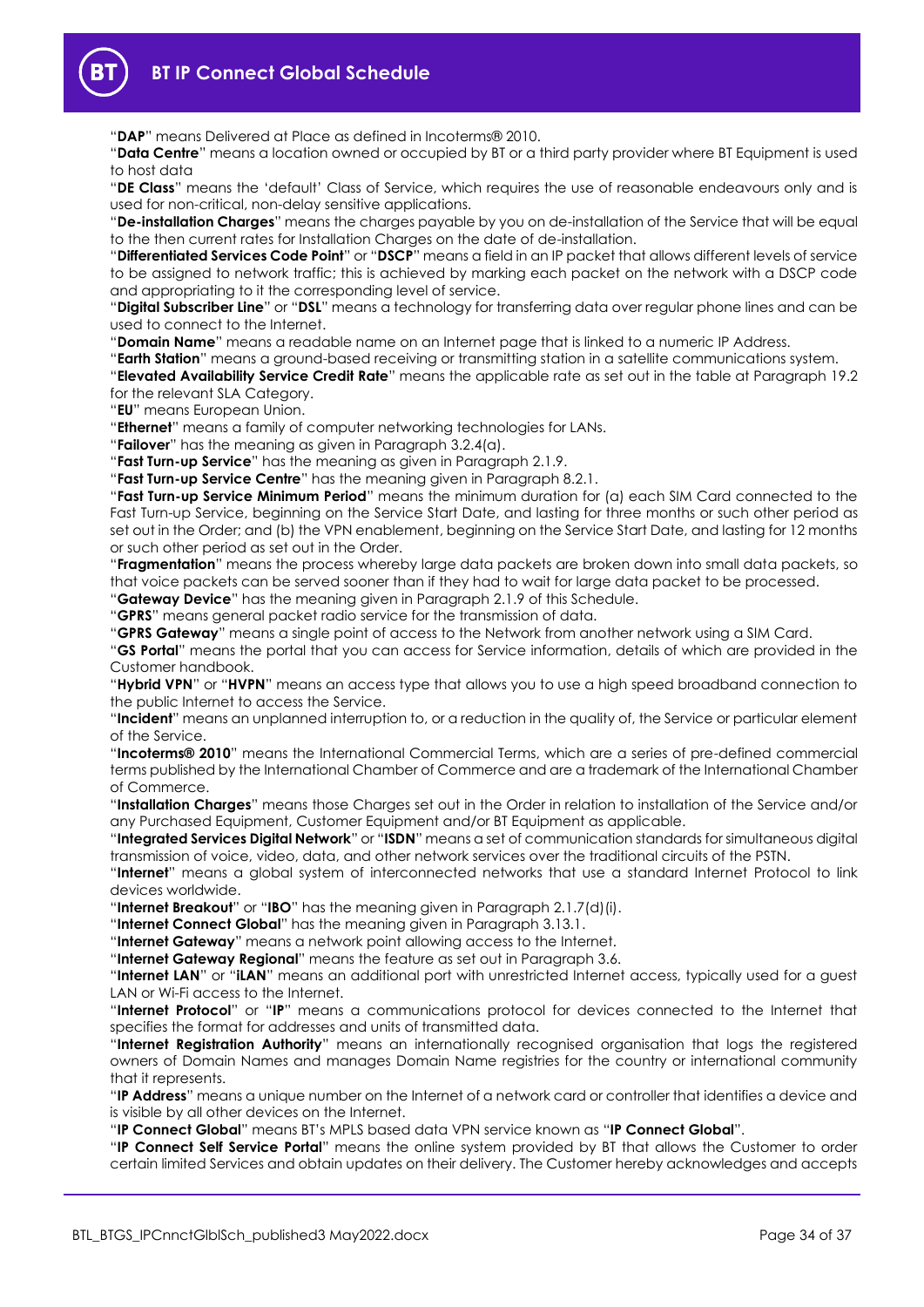**BT IP Connect Global Schedule**

"**DAP**" means Delivered at Place as defined in Incoterms® 2010.

"**Data Centre**" means a location owned or occupied by BT or a third party provider where BT Equipment is used to host data

"**DE Class**" means the 'default' Class of Service, which requires the use of reasonable endeavours only and is used for non-critical, non-delay sensitive applications.

"**De-installation Charges**" means the charges payable by you on de-installation of the Service that will be equal to the then current rates for Installation Charges on the date of de-installation.

"**Differentiated Services Code Point**" or "**DSCP**" means a field in an IP packet that allows different levels of service to be assigned to network traffic; this is achieved by marking each packet on the network with a DSCP code and appropriating to it the corresponding level of service.

"**Digital Subscriber Line**" or "**DSL**" means a technology for transferring data over regular phone lines and can be used to connect to the Internet.

"**Domain Name**" means a readable name on an Internet page that is linked to a numeric IP Address.

"**Earth Station**" means a ground-based receiving or transmitting station in a satellite communications system.

"**Elevated Availability Service Credit Rate**" means the applicable rate as set out in the table at Paragraph [19.2](#page-27-8) for the relevant SLA Category.

"**EU**" means European Union.

"**Ethernet**" means a family of computer networking technologies for LANs.

"**Failover**" has the meaning as given in Paragrap[h 3.2.4\(a\).](#page-6-2)

"**Fast Turn-up Service**" has the meaning as given in Paragraph [2.1.9.](#page-3-0)

"**Fast Turn-up Service Centre**" has the meaning given in Paragraph [8.2.1.](#page-15-8)

"**Fast Turn-up Service Minimum Period**" means the minimum duration for (a) each SIM Card connected to the Fast Turn-up Service, beginning on the Service Start Date, and lasting for three months or such other period as set out in the Order; and (b) the VPN enablement, beginning on the Service Start Date, and lasting for 12 months or such other period as set out in the Order.

"**Fragmentation**" means the process whereby large data packets are broken down into small data packets, so that voice packets can be served sooner than if they had to wait for large data packet to be processed.

"**Gateway Device**" has the meaning given in Paragraph [2.1.9](#page-3-0) of this Schedule.

"**GPRS**" means general packet radio service for the transmission of data.

"**GPRS Gateway**" means a single point of access to the Network from another network using a SIM Card.

"**GS Portal**" means the portal that you can access for Service information, details of which are provided in the Customer handbook.

"**Hybrid VPN**" or "**HVPN**" means an access type that allows you to use a high speed broadband connection to the public Internet to access the Service.

"**Incident**" means an unplanned interruption to, or a reduction in the quality of, the Service or particular element of the Service.

"**Incoterms® 2010**" means the International Commercial Terms, which are a series of pre-defined commercial terms published by the International Chamber of Commerce and are a trademark of the International Chamber of Commerce.

"**Installation Charges**" means those Charges set out in the Order in relation to installation of the Service and/or any Purchased Equipment, Customer Equipment and/or BT Equipment as applicable.

"**Integrated Services Digital Network**" or "**ISDN**" means a set of communication standards for simultaneous digital transmission of voice, video, data, and other network services over the traditional circuits of the PSTN.

"**Internet**" means a global system of interconnected networks that use a standard Internet Protocol to link devices worldwide.

"**Internet Breakout**" or "**IBO**" has the meaning given in Paragrap[h 2.1.7\(d\)\(i\).](#page-2-2)

"**Internet Connect Global**" has the meaning given in Paragraph [3.13.1.](#page-10-0)

"**Internet Gateway**" means a network point allowing access to the Internet.

"**Internet Gateway Regional**" means the feature as set out in Paragraph [3.6.](#page-7-1)

"**Internet LAN**" or "**iLAN**" means an additional port with unrestricted Internet access, typically used for a guest LAN or Wi-Fi access to the Internet.

"**Internet Protocol**" or "**IP**" means a communications protocol for devices connected to the Internet that specifies the format for addresses and units of transmitted data.

"**Internet Registration Authority**" means an internationally recognised organisation that logs the registered owners of Domain Names and manages Domain Name registries for the country or international community that it represents.

"**IP Address**" means a unique number on the Internet of a network card or controller that identifies a device and is visible by all other devices on the Internet.

"**IP Connect Global**" means BT's MPLS based data VPN service known as "**IP Connect Global**".

"**IP Connect Self Service Portal**" means the online system provided by BT that allows the Customer to order certain limited Services and obtain updates on their delivery. The Customer hereby acknowledges and accepts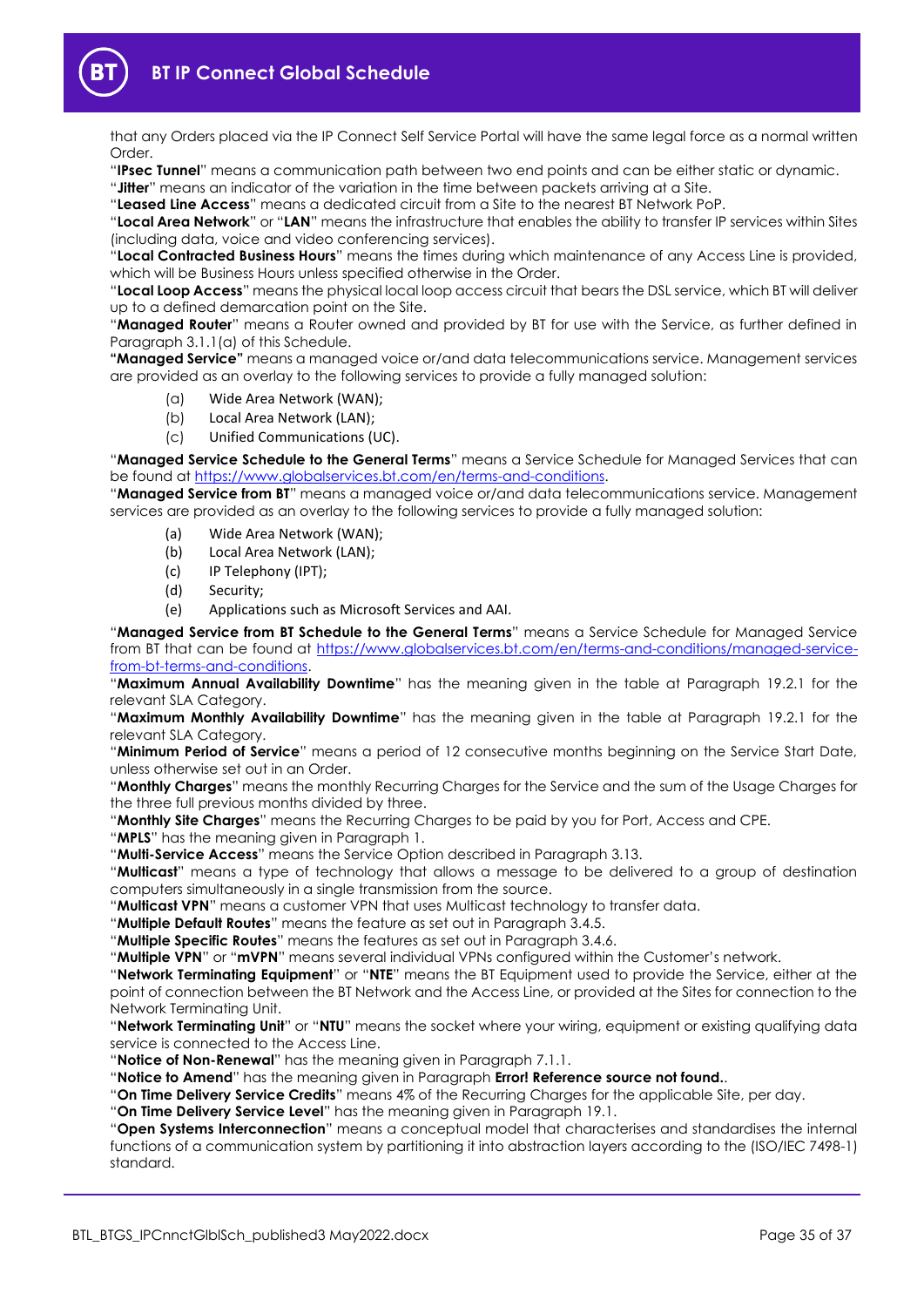

that any Orders placed via the IP Connect Self Service Portal will have the same legal force as a normal written Order.

"**IPsec Tunnel**" means a communication path between two end points and can be either static or dynamic.

"**Jitter**" means an indicator of the variation in the time between packets arriving at a Site.

"**Leased Line Access**" means a dedicated circuit from a Site to the nearest BT Network PoP.

"**Local Area Network**" or "**LAN**" means the infrastructure that enables the ability to transfer IP services within Sites (including data, voice and video conferencing services).

"**Local Contracted Business Hours**" means the times during which maintenance of any Access Line is provided, which will be Business Hours unless specified otherwise in the Order.

"**Local Loop Access**" means the physical local loop access circuit that bears the DSL service, which BT will deliver up to a defined demarcation point on the Site.

"**Managed Router**" means a Router owned and provided by BT for use with the Service, as further defined in Paragraph [3.1.1\(a\)](#page-5-2) of this Schedule.

**"Managed Service"** means a managed voice or/and data telecommunications service. Management services are provided as an overlay to the following services to provide a fully managed solution:

- (a) Wide Area Network (WAN);
- (b) Local Area Network (LAN);
- (c) Unified Communications (UC).

"**Managed Service Schedule to the General Terms**" means a Service Schedule for Managed Services that can be found at [https://www.globalservices.bt.com/en/terms-and-conditions.](https://www.globalservices.bt.com/en/terms-and-conditions)

"**Managed Service from BT**" means a managed voice or/and data telecommunications service. Management services are provided as an overlay to the following services to provide a fully managed solution:

- (a) Wide Area Network (WAN);
- (b) Local Area Network (LAN);
- (c) IP Telephony (IPT);
- (d) Security;
- (e) Applications such as Microsoft Services and AAI.

"**Managed Service from BT Schedule to the General Terms**" means a Service Schedule for Managed Service from BT that can be found at [https://www.globalservices.bt.com/en/terms-and-conditions/managed-service](https://www.globalservices.bt.com/en/terms-and-conditions/managed-service-from-bt-terms-and-conditions)[from-bt-terms-and-conditions.](https://www.globalservices.bt.com/en/terms-and-conditions/managed-service-from-bt-terms-and-conditions)

"**Maximum Annual Availability Downtime**" has the meaning given in the table at Paragraph [19.2.1](#page-27-6) for the relevant SLA Category.

"**Maximum Monthly Availability Downtime**" has the meaning given in the table at Paragraph [19.2.1](#page-27-6) for the relevant SLA Category.

"**Minimum Period of Service**" means a period of 12 consecutive months beginning on the Service Start Date, unless otherwise set out in an Order.

"**Monthly Charges**" means the monthly Recurring Charges for the Service and the sum of the Usage Charges for the three full previous months divided by three.

"**Monthly Site Charges**" means the Recurring Charges to be paid by you for Port, Access and CPE.

"**MPLS**" has the meaning given in Paragraph [1.](#page-1-2)

"**Multi-Service Access**" means the Service Option described in Paragraph [3.13.](#page-10-1)

"**Multicast**" means a type of technology that allows a message to be delivered to a group of destination computers simultaneously in a single transmission from the source.

"**Multicast VPN**" means a customer VPN that uses Multicast technology to transfer data.

"**Multiple Default Routes**" means the feature as set out in Paragrap[h 3.4.5.](#page-7-2)

"**Multiple Specific Routes**" means the features as set out in Paragraph [3.4.6.](#page-7-3)

"**Multiple VPN**" or "**mVPN**" means several individual VPNs configured within the Customer's network.

"**Network Terminating Equipment**" or "**NTE**" means the BT Equipment used to provide the Service, either at the point of connection between the BT Network and the Access Line, or provided at the Sites for connection to the Network Terminating Unit.

"**Network Terminating Unit**" or "**NTU**" means the socket where your wiring, equipment or existing qualifying data service is connected to the Access Line.

"**Notice of Non-Renewal**" has the meaning given in Paragraph [7.1.1.](#page-13-3)

"**Notice to Amend**" has the meaning given in Paragraph **Error! Reference source not found.**.

"**On Time Delivery Service Credits**" means 4% of the Recurring Charges for the applicable Site, per day.

"**On Time Delivery Service Level**" has the meaning given in Paragrap[h 19.1.](#page-27-9)

"**Open Systems Interconnection**" means a conceptual model that characterises and standardises the internal functions of a communication system by partitioning it into abstraction layers according to the (ISO/IEC 7498-1) standard.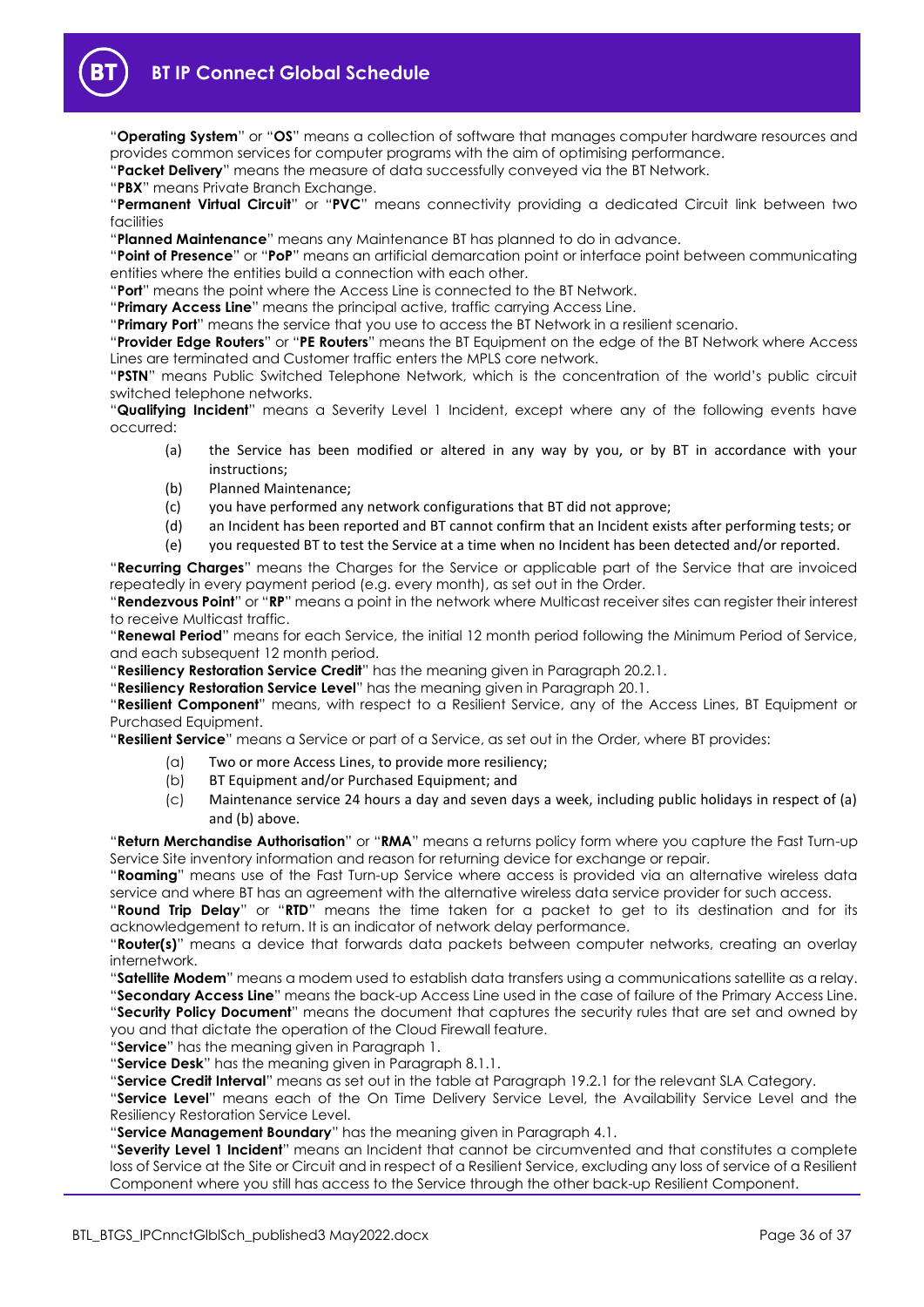"**Operating System**" or "**OS**" means a collection of software that manages computer hardware resources and provides common services for computer programs with the aim of optimising performance.

"**Packet Delivery**" means the measure of data successfully conveyed via the BT Network.

"**PBX**" means Private Branch Exchange.

"**Permanent Virtual Circuit**" or "**PVC**" means connectivity providing a dedicated Circuit link between two facilities

"**Planned Maintenance**" means any Maintenance BT has planned to do in advance.

"**Point of Presence**" or "**PoP**" means an artificial demarcation point or interface point between communicating entities where the entities build a connection with each other.

"**Port**" means the point where the Access Line is connected to the BT Network.

"**Primary Access Line**" means the principal active, traffic carrying Access Line.

"**Primary Port**" means the service that you use to access the BT Network in a resilient scenario.

"**Provider Edge Routers**" or "**PE Routers**" means the BT Equipment on the edge of the BT Network where Access Lines are terminated and Customer traffic enters the MPLS core network.

"**PSTN**" means Public Switched Telephone Network, which is the concentration of the world's public circuit switched telephone networks.

"**Qualifying Incident**" means a Severity Level 1 Incident, except where any of the following events have occurred:

- (a) the Service has been modified or altered in any way by you, or by BT in accordance with your instructions;
- (b) Planned Maintenance;
- (c) you have performed any network configurations that BT did not approve;
- (d) an Incident has been reported and BT cannot confirm that an Incident exists after performing tests; or
- (e) you requested BT to test the Service at a time when no Incident has been detected and/or reported.

"**Recurring Charges**" means the Charges for the Service or applicable part of the Service that are invoiced repeatedly in every payment period (e.g. every month), as set out in the Order.

"**Rendezvous Point**" or "**RP**" means a point in the network where Multicast receiver sites can register their interest to receive Multicast traffic.

"**Renewal Period**" means for each Service, the initial 12 month period following the Minimum Period of Service, and each subsequent 12 month period.

"**Resiliency Restoration Service Credit**" has the meaning given in Paragraph [20.2.1.](#page-30-3)

"**Resiliency Restoration Service Level**" has the meaning given in Paragrap[h 20.1.](#page-30-4)

"**Resilient Component**" means, with respect to a Resilient Service, any of the Access Lines, BT Equipment or Purchased Equipment.

"**Resilient Service**" means a Service or part of a Service, as set out in the Order, where BT provides:

- (a) Two or more Access Lines, to provide more resiliency;
- (b) BT Equipment and/or Purchased Equipment; and
- (c) Maintenance service 24 hours a day and seven days a week, including public holidays in respect of (a) and (b) above.

"**Return Merchandise Authorisation**" or "**RMA**" means a returns policy form where you capture the Fast Turn-up Service Site inventory information and reason for returning device for exchange or repair.

"**Roaming**" means use of the Fast Turn-up Service where access is provided via an alternative wireless data service and where BT has an agreement with the alternative wireless data service provider for such access.

"**Round Trip Delay**" or "**RTD**" means the time taken for a packet to get to its destination and for its acknowledgement to return. It is an indicator of network delay performance.

"**Router(s)**" means a device that forwards data packets between computer networks, creating an overlay internetwork.

"**Satellite Modem**" means a modem used to establish data transfers using a communications satellite as a relay.

"**Secondary Access Line**" means the back-up Access Line used in the case of failure of the Primary Access Line. "**Security Policy Document**" means the document that captures the security rules that are set and owned by you and that dictate the operation of the Cloud Firewall feature.

"**Service**" has the meaning given in Paragraph [1.](#page-1-2)

"**Service Desk**" has the meaning given in Paragraph [8.1.1.](#page-15-2)

"**Service Credit Interval**" means as set out in the table at Paragraph [19.2.1](#page-27-6) for the relevant SLA Category.

"**Service Level**" means each of the On Time Delivery Service Level, the Availability Service Level and the Resiliency Restoration Service Level.

"**Service Management Boundary**" has the meaning given in Paragrap[h 4.1.](#page-11-3)

"**Severity Level 1 Incident**" means an Incident that cannot be circumvented and that constitutes a complete loss of Service at the Site or Circuit and in respect of a Resilient Service, excluding any loss of service of a Resilient Component where you still has access to the Service through the other back-up Resilient Component.